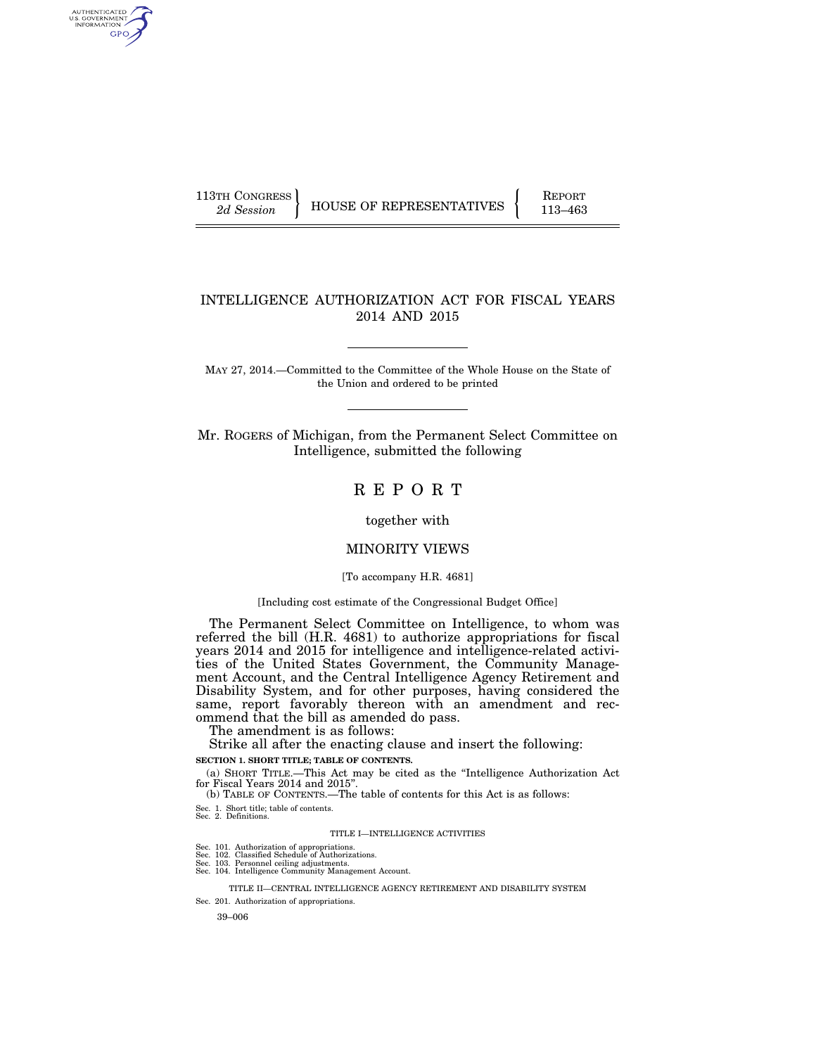AUTHENTICATED<br>U.S. GOVERNMENT<br>INFORMATION GPO

113TH CONGRESS HOUSE OF REPRESENTATIVES FEPORT 113–463

## INTELLIGENCE AUTHORIZATION ACT FOR FISCAL YEARS 2014 AND 2015

MAY 27, 2014.—Committed to the Committee of the Whole House on the State of the Union and ordered to be printed

Mr. ROGERS of Michigan, from the Permanent Select Committee on Intelligence, submitted the following

R E P O R T

together with

## MINORITY VIEWS

## [To accompany H.R. 4681]

#### [Including cost estimate of the Congressional Budget Office]

The Permanent Select Committee on Intelligence, to whom was referred the bill (H.R. 4681) to authorize appropriations for fiscal years 2014 and 2015 for intelligence and intelligence-related activities of the United States Government, the Community Management Account, and the Central Intelligence Agency Retirement and Disability System, and for other purposes, having considered the same, report favorably thereon with an amendment and recommend that the bill as amended do pass.

The amendment is as follows:

Strike all after the enacting clause and insert the following:

**SECTION 1. SHORT TITLE; TABLE OF CONTENTS.** 

(a) SHORT TITLE.—This Act may be cited as the ''Intelligence Authorization Act for Fiscal Years 2014 and 2015''.

(b) TABLE OF CONTENTS.—The table of contents for this Act is as follows:

Sec. 1. Short title; table of contents. Sec. 2. Definitions.

#### TITLE I—INTELLIGENCE ACTIVITIES

- 
- 
- Sec. 101. Authorization of appropriations. Sec. 102. Classified Schedule of Authorizations. Sec. 103. Personnel ceiling adjustments. Sec. 104. Intelligence Community Management Account.

TITLE II—CENTRAL INTELLIGENCE AGENCY RETIREMENT AND DISABILITY SYSTEM

Sec. 201. Authorization of appropriations.

39–006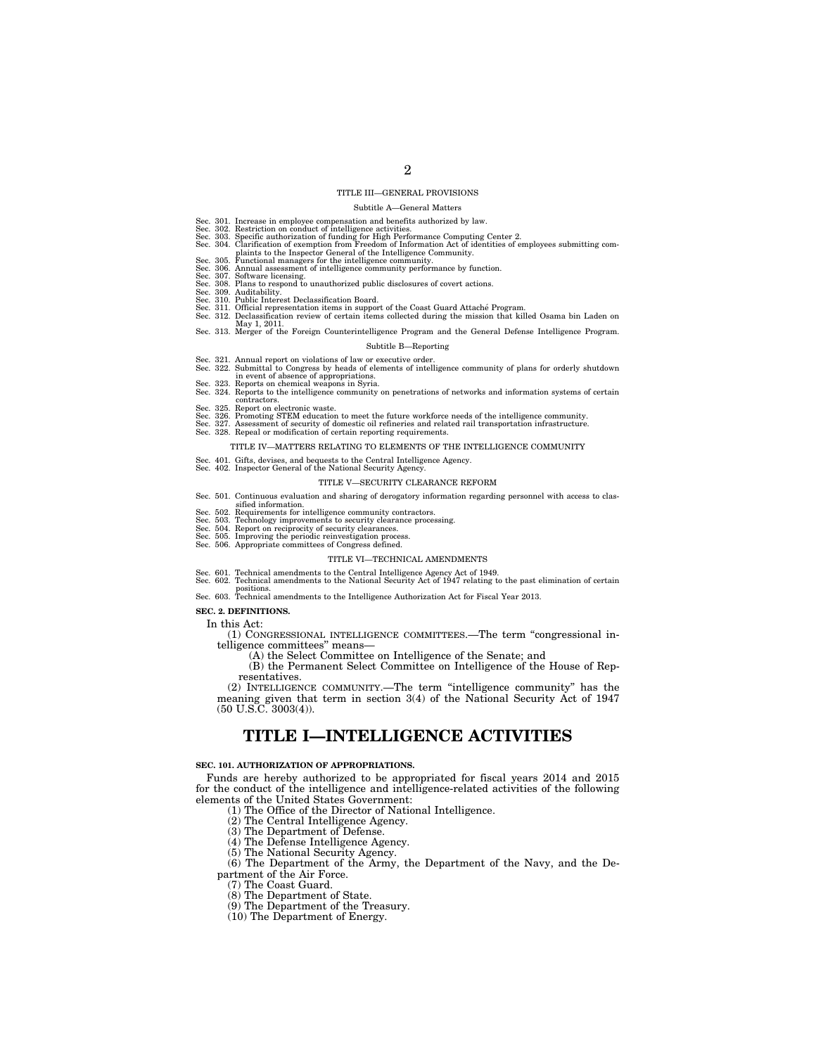#### TITLE III—GENERAL PROVISIONS

#### Subtitle A—General Matters

- 
- 
- Sec. 301. Increase in employee compensation and benefits authorized by law.<br>Sec. 302. Restriction on conduct of intelligence activities.<br>Sec. 303. Specific authorization of funding for High Performance Computing Center 2.<br>
- 
- 
- 
- Sec. 308. Plans to respond to unauthorized public disclosures of covert actions. Sec. 309. Auditability. Sec. 310. Public Interest Declassification Board.
- 
- 
- Sec. 311. Official representation items in support of the Coast Guard Attaché Program.<br>Sec. 312. Declassification review of certain items collected during the mission that killed Osama bin Laden on<br>May 1, 2011. Sec. 313. Merger of the Foreign Counterintelligence Program and the General Defense Intelligence Program.
- 

## Subtitle B—Reporting

- 
- Sec. 321. Annual report on violations of law or executive order.<br>Sec. 322. Submittal to Congress by heads of elements of intelligence community of plans for orderly shutdown<br>Sec. 323. Reports on chemical weapons in Syria.
- Sec. 324. Reports to the intelligence community on penetrations of networks and information systems of certain<br>Sec. 326. Report on electronic waste.<br>Sec. 326. Promoting STEM education to meet the future workforce needs of
- 
- 
- 
- 

#### TITLE IV—MATTERS RELATING TO ELEMENTS OF THE INTELLIGENCE COMMUNITY

- Sec. 401. Gifts, devises, and bequests to the Central Intelligence Agency. Sec. 402. Inspector General of the National Security Agency.
- 

#### TITLE V—SECURITY CLEARANCE REFORM

- Sec. 501. Continuous evaluation and sharing of derogatory information regarding personnel with access to clas-
- sified information.
- Sec. 502. Requirements for intelligence community contractors. Sec. 503. Technology improvements to security clearance processing.
- 
- Sec. 504. Report on reciprocity of security clearances. Sec. 505. Improving the periodic reinvestigation process. Sec. 506. Appropriate committees of Congress defined.
- 

#### TITLE VI—TECHNICAL AMENDMENTS

- 
- Sec. 601. Technical amendments to the Central Intelligence Agency Act of 1949. Sec. 602. Technical amendments to the National Security Act of 1947 relating to the past elimination of certain
- positions. Sec. 603. Technical amendments to the Intelligence Authorization Act for Fiscal Year 2013.

#### **SEC. 2. DEFINITIONS.**

In this Act:

(1) CONGRESSIONAL INTELLIGENCE COMMITTEES.—The term ''congressional intelligence committees'' means—

(A) the Select Committee on Intelligence of the Senate; and

(B) the Permanent Select Committee on Intelligence of the House of Representatives.

(2) INTELLIGENCE COMMUNITY.—The term ''intelligence community'' has the meaning given that term in section 3(4) of the National Security Act of 1947 (50 U.S.C. 3003(4)).

# **TITLE I—INTELLIGENCE ACTIVITIES**

#### **SEC. 101. AUTHORIZATION OF APPROPRIATIONS.**

Funds are hereby authorized to be appropriated for fiscal years 2014 and 2015 for the conduct of the intelligence and intelligence-related activities of the following elements of the United States Government:

- (1) The Office of the Director of National Intelligence.
- (2) The Central Intelligence Agency.
- (3) The Department of Defense.
- (4) The Defense Intelligence Agency.
- (5) The National Security Agency.

(6) The Department of the Army, the Department of the Navy, and the Department of the Air Force.

- (7) The Coast Guard.
- (8) The Department of State.
- (9) The Department of the Treasury.
- (10) The Department of Energy.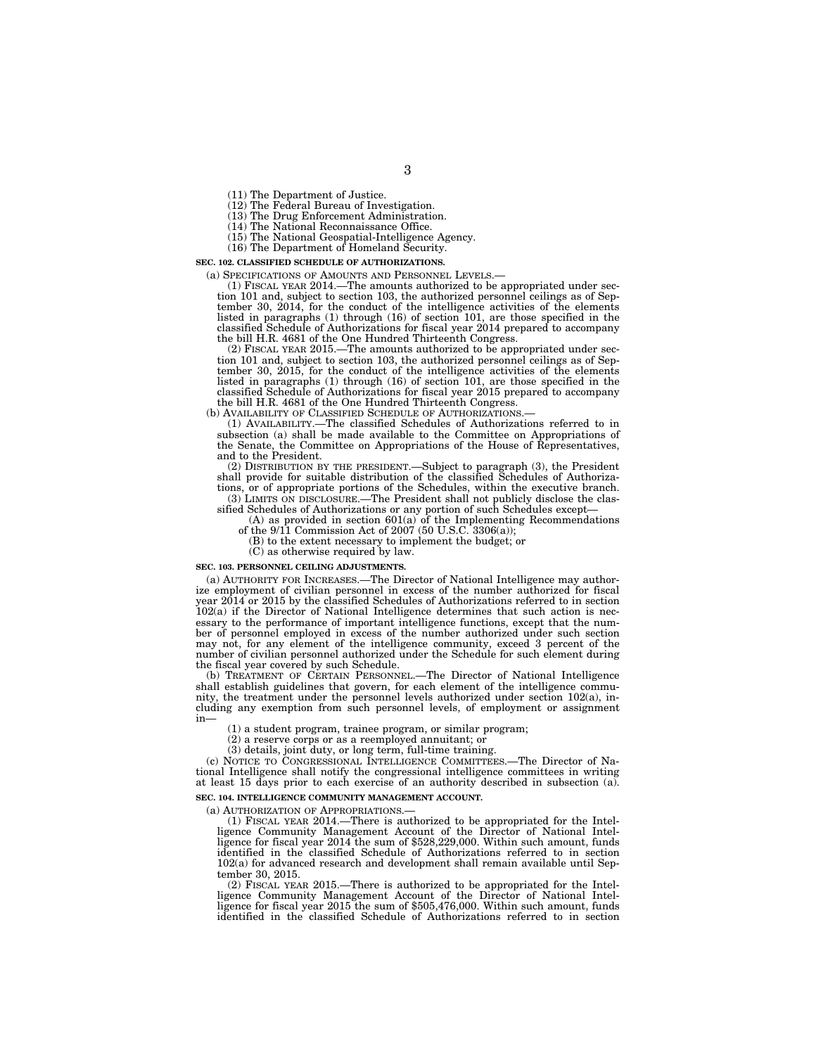(11) The Department of Justice.

(12) The Federal Bureau of Investigation.

(13) The Drug Enforcement Administration.

(14) The National Reconnaissance Office.

(15) The National Geospatial-Intelligence Agency.

(16) The Department of Homeland Security.

**SEC. 102. CLASSIFIED SCHEDULE OF AUTHORIZATIONS.** 

(a) SPECIFICATIONS OF AMOUNTS AND PERSONNEL LEVELS.— (1) FISCAL YEAR 2014.—The amounts authorized to be appropriated under section 101 and, subject to section 103, the authorized personnel ceilings as of Sep-tember 30, 2014, for the conduct of the intelligence activities of the elements listed in paragraphs (1) through (16) of section 101, are those specified in the classified Schedule of Authorizations for fiscal year 2014 prepared to accompany the bill H.R. 4681 of the One Hundred Thirteenth Congress.

(2) FISCAL YEAR 2015.—The amounts authorized to be appropriated under section 101 and, subject to section 103, the authorized personnel ceilings as of September 30, 2015, for the conduct of the intelligence activities of the elements listed in paragraphs (1) through (16) of section 101, are those specified in the classified Schedule of Authorizations for fiscal year 2015 prepared to accompany the bill H.R. 4681 of the One Hundred Thirteenth Congress.

(b) AVAILABILITY OF CLASSIFIED SCHEDULE OF AUTHORIZATIONS.

(1) AVAILABILITY.—The classified Schedules of Authorizations referred to in subsection (a) shall be made available to the Committee on Appropriations of the Senate, the Committee on Appropriations of the House of Representatives, and to the President.

(2) DISTRIBUTION BY THE PRESIDENT.—Subject to paragraph (3), the President shall provide for suitable distribution of the classified Schedules of Authorizations, or of appropriate portions of the Schedules, within the executive branch.

(3) LIMITS ON DISCLOSURE.—The President shall not publicly disclose the classified Schedules of Authorizations or any portion of such Schedules except—

(A) as provided in section  $601(a)$  of the Implementing Recommendations of the 9/11 Commission Act of 2007 (50 U.S.C. 3306(a));

(B) to the extent necessary to implement the budget; or

(C) as otherwise required by law.

#### **SEC. 103. PERSONNEL CEILING ADJUSTMENTS.**

(a) AUTHORITY FOR INCREASES.—The Director of National Intelligence may authorize employment of civilian personnel in excess of the number authorized for fiscal year 2014 or 2015 by the classified Schedules of Authorizations referred to in section 102(a) if the Director of National Intelligence determines that such action is necessary to the performance of important intelligence functions, except that the number of personnel employed in excess of the number authorized under such section may not, for any element of the intelligence community, exceed 3 percent of the number of civilian personnel authorized under the Schedule for such element during the fiscal year covered by such Schedule.

(b) TREATMENT OF CERTAIN PERSONNEL.—The Director of National Intelligence shall establish guidelines that govern, for each element of the intelligence community, the treatment under the personnel levels authorized under section 102(a), including any exemption from such personnel levels, of employment or assignment in—

(1) a student program, trainee program, or similar program;

(2) a reserve corps or as a reemployed annuitant; or

(3) details, joint duty, or long term, full-time training.

(c) NOTICE TO CONGRESSIONAL INTELLIGENCE COMMITTEES.—The Director of National Intelligence shall notify the congressional intelligence committees in writing at least 15 days prior to each exercise of an authority described in subsection (a). **SEC. 104. INTELLIGENCE COMMUNITY MANAGEMENT ACCOUNT.** 

(a) AUTHORIZATION OF APPROPRIATIONS.—

(1) FISCAL YEAR 2014.—There is authorized to be appropriated for the Intelligence Community Management Account of the Director of National Intelligence for fiscal year 2014 the sum of \$528,229,000. Within such amount, funds identified in the classified Schedule of Authorizations referred to in section 102(a) for advanced research and development shall remain available until September 30, 2015.

(2) FISCAL YEAR 2015.—There is authorized to be appropriated for the Intelligence Community Management Account of the Director of National Intelligence for fiscal year 2015 the sum of \$505,476,000. Within such amount, funds identified in the classified Schedule of Authorizations referred to in section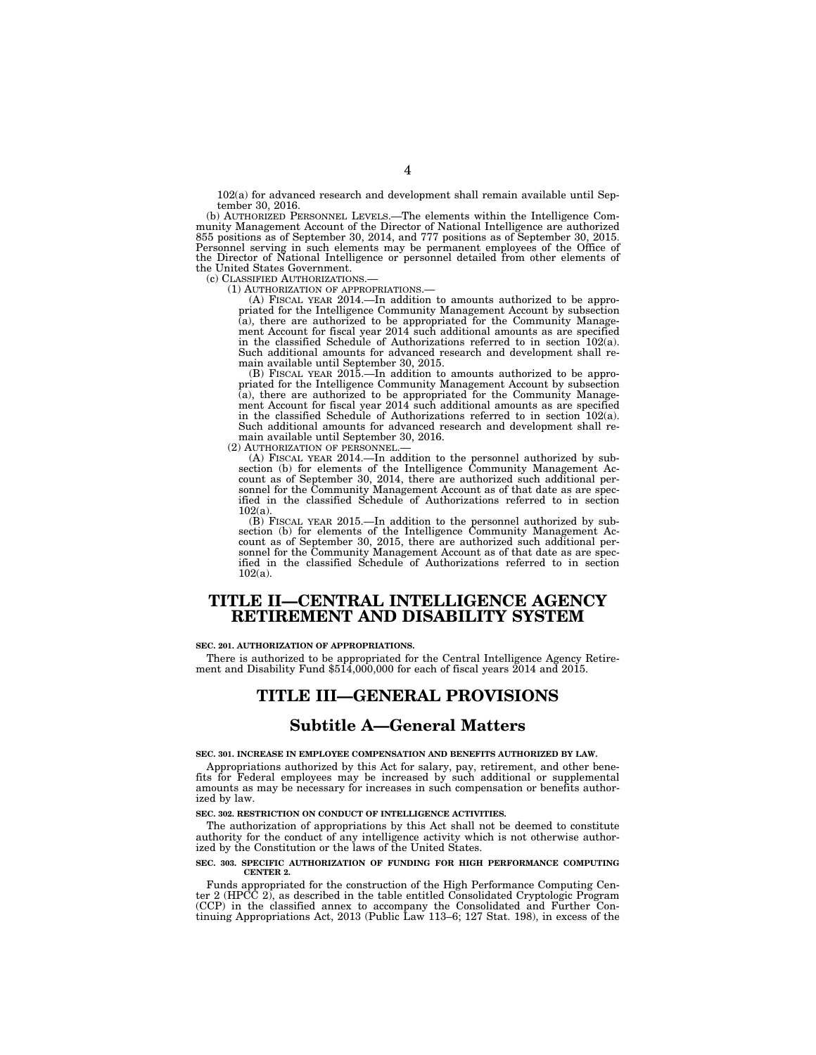102(a) for advanced research and development shall remain available until September 30, 2016.

(b) AUTHORIZED PERSONNEL LEVELS.—The elements within the Intelligence Community Management Account of the Director of National Intelligence are authorized 855 positions as of September 30, 2014, and 777 positions as of September 30, 2015. Personnel serving in such elements may be permanent employees of the Office of the Director of National Intelligence or personnel detailed from other elements of the United States Government.<br>(c) CLASSIFIED AUTHORIZATIONS.

(c) CLASSIFIED AUTHORIZATIONS.— (1) AUTHORIZATION OF APPROPRIATIONS.— (A) FISCAL YEAR 2014.—In addition to amounts authorized to be appropriated for the Intelligence Community Management Account by subsection (a), there are authorized to be appropriated for the Community Management Account for fiscal year 2014 such additional amounts as are specified in the classified Schedule of Authorizations referred to in section 102(a). Such additional amounts for advanced research and development shall remain available until September 30, 2015.

(B) FISCAL YEAR 2015.—In addition to amounts authorized to be appro-priated for the Intelligence Community Management Account by subsection (a), there are authorized to be appropriated for the Community Manage-ment Account for fiscal year 2014 such additional amounts as are specified in the classified Schedule of Authorizations referred to in section 102(a). Such additional amounts for advanced research and development shall remain available until September 30, 2016.<br>(2) AUTHORIZATION OF PERSONNEL.—

(2) AUTHORIZATION OF PERSONNEL.—<br>
(A) FISCAL YEAR 2014.—In addition to the personnel authorized by subsection (b) for elements of the Intelligence Community Management Account as of September 30, 2014, there are authorized ified in the classified Schedule of Authorizations referred to in section 102(a).

(B) FISCAL YEAR 2015.—In addition to the personnel authorized by subsection (b) for elements of the Intelligence Community Management Account as of September 30, 2015, there are authorized such additional personnel for th 102(a).

# **TITLE II—CENTRAL INTELLIGENCE AGENCY RETIREMENT AND DISABILITY SYSTEM**

#### **SEC. 201. AUTHORIZATION OF APPROPRIATIONS.**

There is authorized to be appropriated for the Central Intelligence Agency Retire- ment and Disability Fund \$514,000,000 for each of fiscal years 2014 and 2015.

## **TITLE III—GENERAL PROVISIONS**

## **Subtitle A—General Matters**

**SEC. 301. INCREASE IN EMPLOYEE COMPENSATION AND BENEFITS AUTHORIZED BY LAW.** 

Appropriations authorized by this Act for salary, pay, retirement, and other benefits for Federal employees may be increased by such additional or supplemental amounts as may be necessary for increases in such compensation or benefits authorized by law.

#### **SEC. 302. RESTRICTION ON CONDUCT OF INTELLIGENCE ACTIVITIES.**

The authorization of appropriations by this Act shall not be deemed to constitute authority for the conduct of any intelligence activity which is not otherwise authorized by the Constitution or the laws of the United States.

#### **SEC. 303. SPECIFIC AUTHORIZATION OF FUNDING FOR HIGH PERFORMANCE COMPUTING CENTER 2.**

Funds appropriated for the construction of the High Performance Computing Center 2 (HPCC 2), as described in the table entitled Consolidated Cryptologic Program (CCP) in the classified annex to accompany the Consolidated and Further Continuing Appropriations Act, 2013 (Public Law 113–6; 127 Stat. 198), in excess of the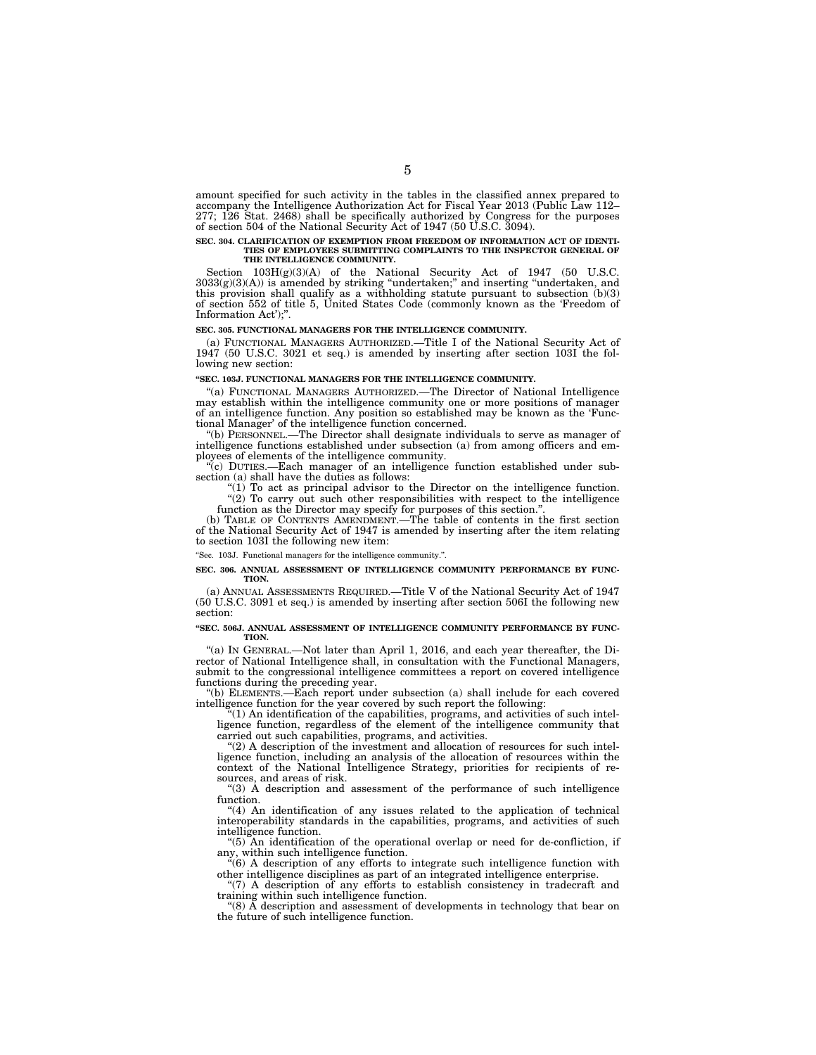amount specified for such activity in the tables in the classified annex prepared to accompany the Intelligence Authorization Act for Fiscal Year 2013 (Public Law 112– 277; 126 Stat. 2468) shall be specifically authorized by Congress for the purposes of section 504 of the National Security Act of 1947 (50 U.S.C. 3094).

## **SEC. 304. CLARIFICATION OF EXEMPTION FROM FREEDOM OF INFORMATION ACT OF IDENTI-TIES OF EMPLOYEES SUBMITTING COMPLAINTS TO THE INSPECTOR GENERAL OF THE INTELLIGENCE COMMUNITY.**

Section  $103H(g)(3)(A)$  of the National Security Act of 1947 (50 U.S.C. 3033(g)(3)(A)) is amended by striking ''undertaken;'' and inserting ''undertaken, and this provision shall qualify as a withholding statute pursuant to subsection (b)(3) of section 552 of title 5, United States Code (commonly known as the 'Freedom of Information Act');''.

#### **SEC. 305. FUNCTIONAL MANAGERS FOR THE INTELLIGENCE COMMUNITY.**

(a) FUNCTIONAL MANAGERS AUTHORIZED.—Title I of the National Security Act of 1947 (50 U.S.C. 3021 et seq.) is amended by inserting after section 103I the following new section:

#### **''SEC. 103J. FUNCTIONAL MANAGERS FOR THE INTELLIGENCE COMMUNITY.**

''(a) FUNCTIONAL MANAGERS AUTHORIZED.—The Director of National Intelligence may establish within the intelligence community one or more positions of manager of an intelligence function. Any position so established may be known as the 'Functional Manager' of the intelligence function concerned.

''(b) PERSONNEL.—The Director shall designate individuals to serve as manager of intelligence functions established under subsection (a) from among officers and employees of elements of the intelligence community.

''(c) DUTIES.—Each manager of an intelligence function established under subsection (a) shall have the duties as follows:

"(1) To act as principal advisor to the Director on the intelligence function. "(2) To carry out such other responsibilities with respect to the intelligence

function as the Director may specify for purposes of this section.

(b) TABLE OF CONTENTS AMENDMENT.—The table of contents in the first section of the National Security Act of 1947 is amended by inserting after the item relating to section 103I the following new item:

''Sec. 103J. Functional managers for the intelligence community.''.

#### **SEC. 306. ANNUAL ASSESSMENT OF INTELLIGENCE COMMUNITY PERFORMANCE BY FUNC-TION.**

(a) ANNUAL ASSESSMENTS REQUIRED.—Title V of the National Security Act of 1947 (50 U.S.C. 3091 et seq.) is amended by inserting after section 506I the following new section:

#### **''SEC. 506J. ANNUAL ASSESSMENT OF INTELLIGENCE COMMUNITY PERFORMANCE BY FUNC-TION.**

''(a) IN GENERAL.—Not later than April 1, 2016, and each year thereafter, the Director of National Intelligence shall, in consultation with the Functional Managers, submit to the congressional intelligence committees a report on covered intelligence functions during the preceding year.

''(b) ELEMENTS.—Each report under subsection (a) shall include for each covered intelligence function for the year covered by such report the following:

''(1) An identification of the capabilities, programs, and activities of such intelligence function, regardless of the element of the intelligence community that carried out such capabilities, programs, and activities.

''(2) A description of the investment and allocation of resources for such intelligence function, including an analysis of the allocation of resources within the context of the National Intelligence Strategy, priorities for recipients of resources, and areas of risk.

 $(3)$  A description and assessment of the performance of such intelligence function.

''(4) An identification of any issues related to the application of technical interoperability standards in the capabilities, programs, and activities of such intelligence function.

''(5) An identification of the operational overlap or need for de-confliction, if any, within such intelligence function.

''(6) A description of any efforts to integrate such intelligence function with other intelligence disciplines as part of an integrated intelligence enterprise.

"(7) A description of any efforts to establish consistency in tradecraft and training within such intelligence function.

" $(8)$   $\check{A}$  description and assessment of developments in technology that bear on the future of such intelligence function.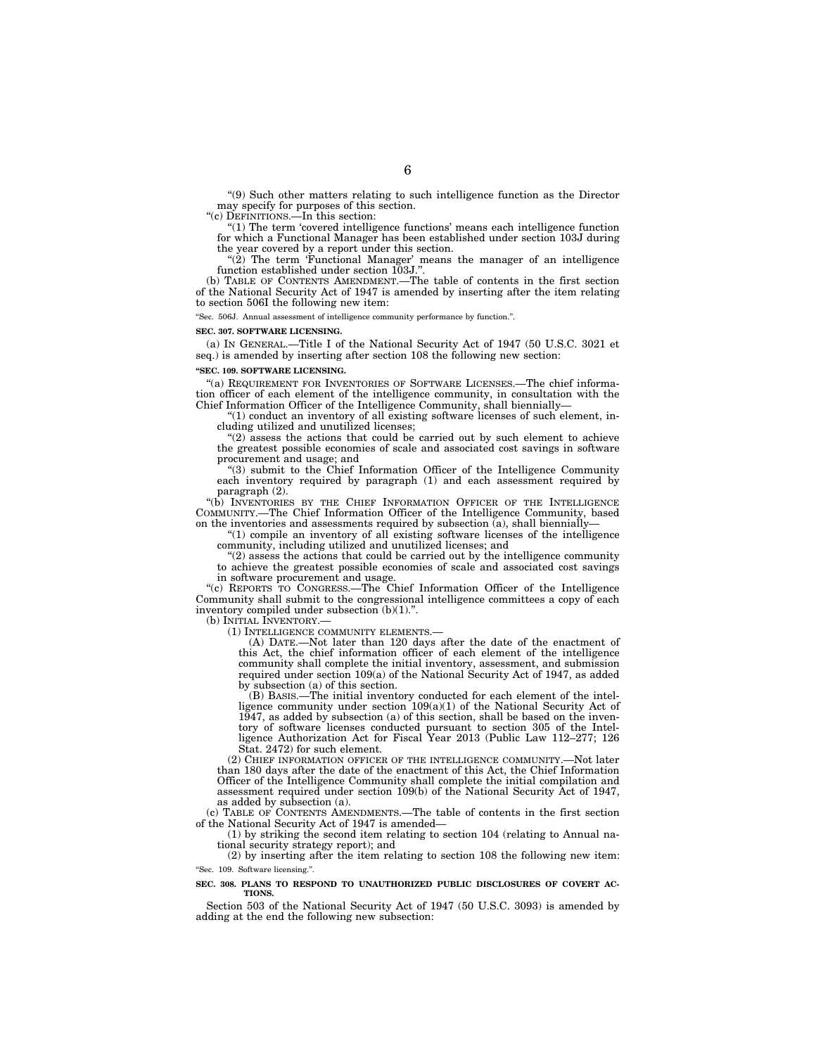''(9) Such other matters relating to such intelligence function as the Director may specify for purposes of this section. ''(c) DEFINITIONS.—In this section:

''(1) The term 'covered intelligence functions' means each intelligence function for which a Functional Manager has been established under section 103J during the year covered by a report under this section.

''(2) The term 'Functional Manager' means the manager of an intelligence function established under section 103J.''.

(b) TABLE OF CONTENTS AMENDMENT.—The table of contents in the first section of the National Security Act of 1947 is amended by inserting after the item relating to section 506I the following new item:

''Sec. 506J. Annual assessment of intelligence community performance by function.''.

#### **SEC. 307. SOFTWARE LICENSING.**

(a) IN GENERAL.—Title I of the National Security Act of 1947 (50 U.S.C. 3021 et seq.) is amended by inserting after section 108 the following new section:

#### **''SEC. 109. SOFTWARE LICENSING.**

''(a) REQUIREMENT FOR INVENTORIES OF SOFTWARE LICENSES.—The chief information officer of each element of the intelligence community, in consultation with the Chief Information Officer of the Intelligence Community, shall biennially—

 $(1)$  conduct an inventory of all existing software licenses of such element, including utilized and unutilized licenses;

(2) assess the actions that could be carried out by such element to achieve the greatest possible economies of scale and associated cost savings in software procurement and usage; and

''(3) submit to the Chief Information Officer of the Intelligence Community each inventory required by paragraph (1) and each assessment required by paragraph (2).

''(b) INVENTORIES BY THE CHIEF INFORMATION OFFICER OF THE INTELLIGENCE COMMUNITY.—The Chief Information Officer of the Intelligence Community, based on the inventories and assessments required by subsection  $\alpha$ ), shall biennially-

 $(1)$  compile an inventory of all existing software licenses of the intelligence community, including utilized and unutilized licenses; and

 $(2)$  assess the actions that could be carried out by the intelligence community to achieve the greatest possible economies of scale and associated cost savings in software procurement and usage.

''(c) REPORTS TO CONGRESS.—The Chief Information Officer of the Intelligence Community shall submit to the congressional intelligence committees a copy of each inventory compiled under subsection  $(b)(1)$ .".

(b) INITIAL INVENTORY.

(1) INTELLIGENCE COMMUNITY ELEMENTS.—

(A) DATE.—Not later than 120 days after the date of the enactment of this Act, the chief information officer of each element of the intelligence community shall complete the initial inventory, assessment, and submission required under section 109(a) of the National Security Act of 1947, as added by subsection (a) of this section.

(B) BASIS.—The initial inventory conducted for each element of the intelligence community under section  $109(a)(1)$  of the National Security Act of 1947, as added by subsection (a) of this section, shall be based on the inventory of software licenses conducted pursuant to section 305 of the Intelligence Authorization Act for Fiscal Year 2013 (Public Law 112–277; 126 Stat. 2472) for such element.

(2) CHIEF INFORMATION OFFICER OF THE INTELLIGENCE COMMUNITY.—Not later than 180 days after the date of the enactment of this Act, the Chief Information Officer of the Intelligence Community shall complete the initial compilation and assessment required under section 109(b) of the National Security Act of 1947, as added by subsection (a).

(c) TABLE OF CONTENTS AMENDMENTS.—The table of contents in the first section of the National Security Act of 1947 is amended—

(1) by striking the second item relating to section 104 (relating to Annual national security strategy report); and

(2) by inserting after the item relating to section 108 the following new item: ''Sec. 109. Software licensing.''.

#### **SEC. 308. PLANS TO RESPOND TO UNAUTHORIZED PUBLIC DISCLOSURES OF COVERT AC-TIONS.**

Section 503 of the National Security Act of 1947 (50 U.S.C. 3093) is amended by adding at the end the following new subsection: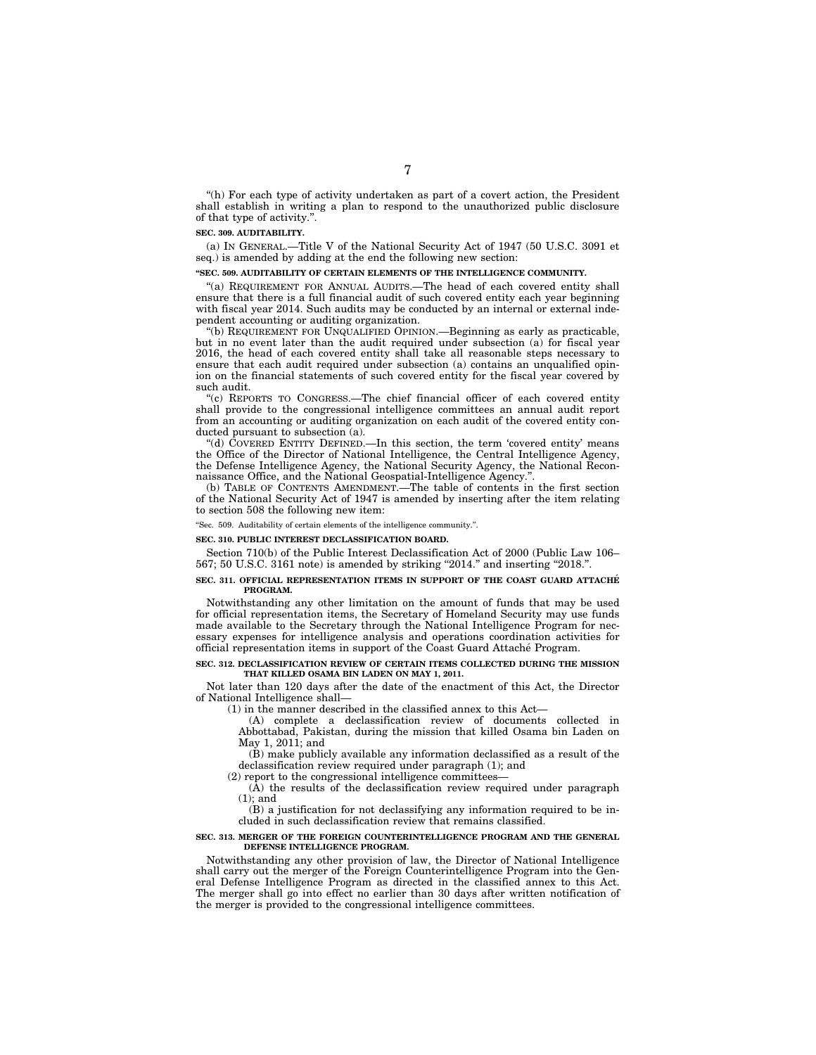''(h) For each type of activity undertaken as part of a covert action, the President shall establish in writing a plan to respond to the unauthorized public disclosure of that type of activity.''.

#### **SEC. 309. AUDITABILITY.**

(a) IN GENERAL.—Title V of the National Security Act of 1947 (50 U.S.C. 3091 et seq.) is amended by adding at the end the following new section:

#### **''SEC. 509. AUDITABILITY OF CERTAIN ELEMENTS OF THE INTELLIGENCE COMMUNITY.**

''(a) REQUIREMENT FOR ANNUAL AUDITS.—The head of each covered entity shall ensure that there is a full financial audit of such covered entity each year beginning with fiscal year 2014. Such audits may be conducted by an internal or external independent accounting or auditing organization.

''(b) REQUIREMENT FOR UNQUALIFIED OPINION.—Beginning as early as practicable, but in no event later than the audit required under subsection (a) for fiscal year 2016, the head of each covered entity shall take all reasonable steps necessary to ensure that each audit required under subsection (a) contains an unqualified opinion on the financial statements of such covered entity for the fiscal year covered by such audit.

''(c) REPORTS TO CONGRESS.—The chief financial officer of each covered entity shall provide to the congressional intelligence committees an annual audit report from an accounting or auditing organization on each audit of the covered entity conducted pursuant to subsection (a).

''(d) COVERED ENTITY DEFINED.—In this section, the term 'covered entity' means the Office of the Director of National Intelligence, the Central Intelligence Agency, the Defense Intelligence Agency, the National Security Agency, the National Reconnaissance Office, and the National Geospatial-Intelligence Agency.''.

(b) TABLE OF CONTENTS AMENDMENT.—The table of contents in the first section of the National Security Act of 1947 is amended by inserting after the item relating to section 508 the following new item:

#### ''Sec. 509. Auditability of certain elements of the intelligence community.''.

#### **SEC. 310. PUBLIC INTEREST DECLASSIFICATION BOARD.**

Section 710(b) of the Public Interest Declassification Act of 2000 (Public Law 106– 567; 50 U.S.C. 3161 note) is amended by striking "2014." and inserting "2018.".

#### **SEC. 311. OFFICIAL REPRESENTATION ITEMS IN SUPPORT OF THE COAST GUARD ATTACHE´ PROGRAM.**

Notwithstanding any other limitation on the amount of funds that may be used for official representation items, the Secretary of Homeland Security may use funds made available to the Secretary through the National Intelligence Program for necessary expenses for intelligence analysis and operations coordination activities for official representation items in support of the Coast Guard Attache´ Program.

#### **SEC. 312. DECLASSIFICATION REVIEW OF CERTAIN ITEMS COLLECTED DURING THE MISSION THAT KILLED OSAMA BIN LADEN ON MAY 1, 2011.**

Not later than 120 days after the date of the enactment of this Act, the Director of National Intelligence shall—

(1) in the manner described in the classified annex to this Act—

(A) complete a declassification review of documents collected in Abbottabad, Pakistan, during the mission that killed Osama bin Laden on May 1, 2011; and

(B) make publicly available any information declassified as a result of the declassification review required under paragraph (1); and

(2) report to the congressional intelligence committees—

 $(\overline{A})$  the results of the declassification review required under paragraph (1); and

(B) a justification for not declassifying any information required to be included in such declassification review that remains classified.

#### **SEC. 313. MERGER OF THE FOREIGN COUNTERINTELLIGENCE PROGRAM AND THE GENERAL DEFENSE INTELLIGENCE PROGRAM.**

Notwithstanding any other provision of law, the Director of National Intelligence shall carry out the merger of the Foreign Counterintelligence Program into the General Defense Intelligence Program as directed in the classified annex to this Act. The merger shall go into effect no earlier than 30 days after written notification of the merger is provided to the congressional intelligence committees.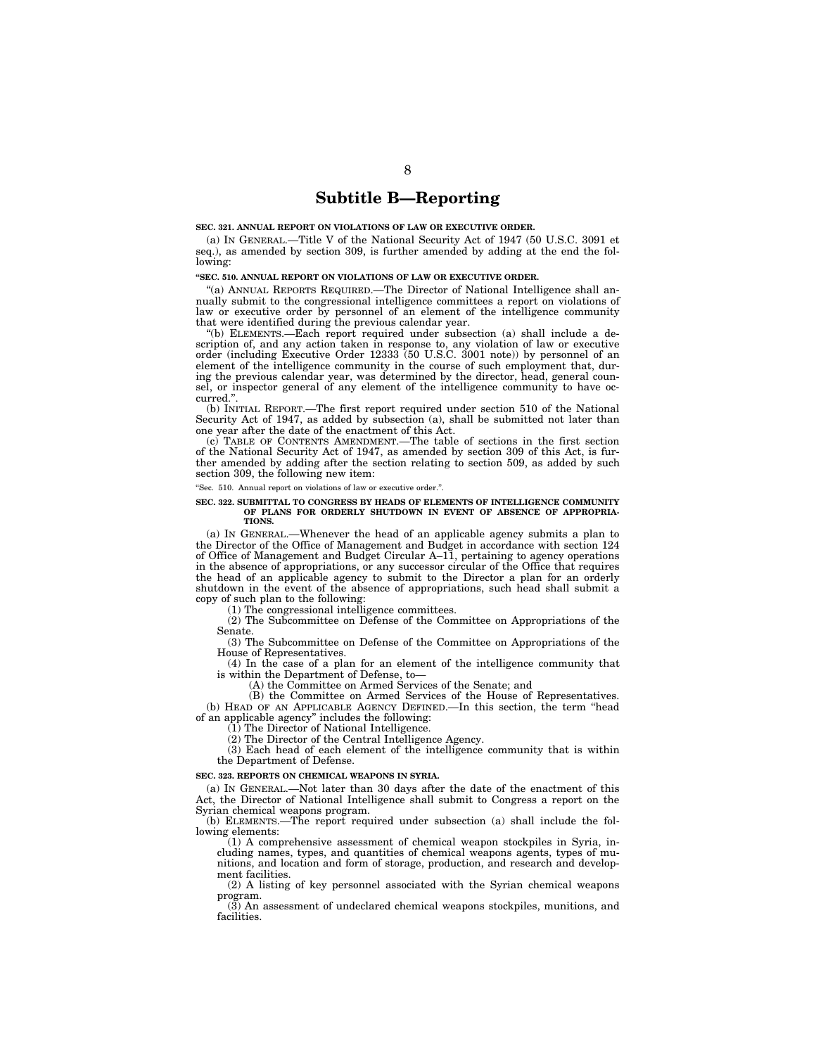## **Subtitle B—Reporting**

#### **SEC. 321. ANNUAL REPORT ON VIOLATIONS OF LAW OR EXECUTIVE ORDER.**

(a) IN GENERAL.—Title V of the National Security Act of 1947 (50 U.S.C. 3091 et seq.), as amended by section 309, is further amended by adding at the end the following:

#### **''SEC. 510. ANNUAL REPORT ON VIOLATIONS OF LAW OR EXECUTIVE ORDER.**

''(a) ANNUAL REPORTS REQUIRED.—The Director of National Intelligence shall annually submit to the congressional intelligence committees a report on violations of law or executive order by personnel of an element of the intelligence community that were identified during the previous calendar year.

''(b) ELEMENTS.—Each report required under subsection (a) shall include a description of, and any action taken in response to, any violation of law or executive order (including Executive Order 12333 (50 U.S.C. 3001 note)) by personnel of an element of the intelligence community in the course of such employment that, during the previous calendar year, was determined by the director, head, general counsel, or inspector general of any element of the intelligence community to have occurred.''.

(b) INITIAL REPORT.—The first report required under section 510 of the National Security Act of 1947, as added by subsection (a), shall be submitted not later than one year after the date of the enactment of this Act.

(c) TABLE OF CONTENTS AMENDMENT.—The table of sections in the first section of the National Security Act of 1947, as amended by section 309 of this Act, is further amended by adding after the section relating to section 509, as added by such section 309, the following new item:

"Sec. 510. Annual report on violations of law or executive order.".

#### **SEC. 322. SUBMITTAL TO CONGRESS BY HEADS OF ELEMENTS OF INTELLIGENCE COMMUNITY OF PLANS FOR ORDERLY SHUTDOWN IN EVENT OF ABSENCE OF APPROPRIA-TIONS.**

(a) IN GENERAL.—Whenever the head of an applicable agency submits a plan to the Director of the Office of Management and Budget in accordance with section 124 of Office of Management and Budget Circular A–11, pertaining to agency operations in the absence of appropriations, or any successor circular of the Office that requires the head of an applicable agency to submit to the Director a plan for an orderly shutdown in the event of the absence of appropriations, such head shall submit a copy of such plan to the following:

(1) The congressional intelligence committees.

(2) The Subcommittee on Defense of the Committee on Appropriations of the Senate.

(3) The Subcommittee on Defense of the Committee on Appropriations of the House of Representatives.

(4) In the case of a plan for an element of the intelligence community that is within the Department of Defense, to—

(A) the Committee on Armed Services of the Senate; and

(B) the Committee on Armed Services of the House of Representatives. (b) HEAD OF AN APPLICABLE AGENCY DEFINED.—In this section, the term ''head

of an applicable agency'' includes the following:

(1) The Director of National Intelligence.

(2) The Director of the Central Intelligence Agency.

(3) Each head of each element of the intelligence community that is within the Department of Defense.

#### **SEC. 323. REPORTS ON CHEMICAL WEAPONS IN SYRIA.**

(a) IN GENERAL.—Not later than 30 days after the date of the enactment of this Act, the Director of National Intelligence shall submit to Congress a report on the Syrian chemical weapons program.

(b) ELEMENTS.—The report required under subsection (a) shall include the following elements:

(1) A comprehensive assessment of chemical weapon stockpiles in Syria, including names, types, and quantities of chemical weapons agents, types of munitions, and location and form of storage, production, and research and development facilities.

(2) A listing of key personnel associated with the Syrian chemical weapons program.

(3) An assessment of undeclared chemical weapons stockpiles, munitions, and facilities.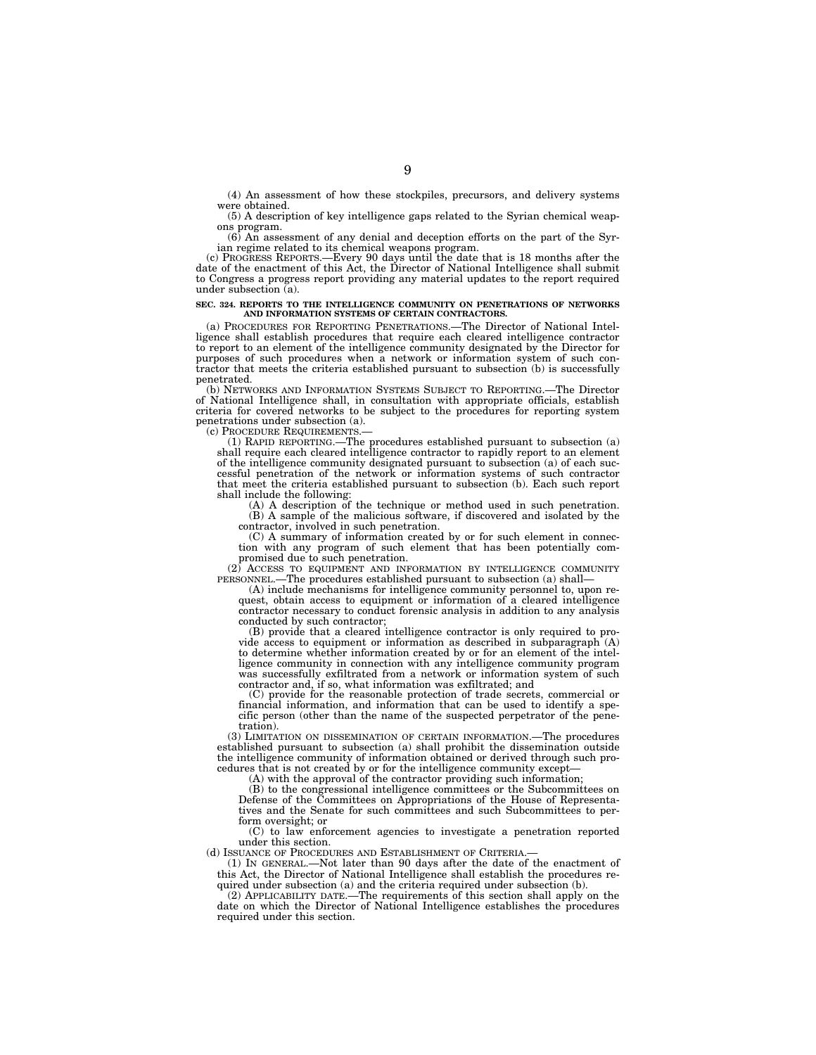(4) An assessment of how these stockpiles, precursors, and delivery systems were obtained.

(5) A description of key intelligence gaps related to the Syrian chemical weapons program.

(6) An assessment of any denial and deception efforts on the part of the Syrian regime related to its chemical weapons program. (c) PROGRESS REPORTS.—Every 90 days until the date that is 18 months after the

date of the enactment of this Act, the Director of National Intelligence shall submit to Congress a progress report providing any material updates to the report required under subsection (a).

# **SEC. 324. REPORTS TO THE INTELLIGENCE COMMUNITY ON PENETRATIONS OF NETWORKS AND INFORMATION SYSTEMS OF CERTAIN CONTRACTORS.**

(a) PROCEDURES FOR REPORTING PENETRATIONS.—The Director of National Intelligence shall establish procedures that require each cleared intelligence contractor to report to an element of the intelligence community designated by the Director for purposes of such procedures when a network or information system of such contractor that meets the criteria established pursuant to subsection (b) is successfully penetrated.

(b) NETWORKS AND INFORMATION SYSTEMS SUBJECT TO REPORTING.—The Director of National Intelligence shall, in consultation with appropriate officials, establish criteria for covered networks to be subject to the procedures for reporting system penetrations under subsection (a).<br>(c) PROCEDURE REQUIREMENTS.

(1) RAPID REPORTING.—The procedures established pursuant to subsection  $(a)$ shall require each cleared intelligence contractor to rapidly report to an element of the intelligence community designated pursuant to subsection (a) of each successful penetration of the network or information systems of such contractor that meet the criteria established pursuant to subsection (b). Each such report shall include the following: (A) A description of the technique or method used in such penetration.

(B) A sample of the malicious software, if discovered and isolated by the contractor, involved in such penetration.

(C) A summary of information created by or for such element in connection with any program of such element that has been potentially compromised due to such penetration.

(2) ACCESS TO EQUIPMENT AND INFORMATION BY INTELLIGENCE COMMUNITY PERSONNEL.—The procedures established pursuant to subsection (a) shall—

(A) include mechanisms for intelligence community personnel to, upon re-quest, obtain access to equipment or information of a cleared intelligence contractor necessary to conduct forensic analysis in addition to any analysis conducted by such contractor;

(B) provide that a cleared intelligence contractor is only required to provide access to equipment or information as described in subparagraph  $(A)$ to determine whether information created by or for an element of the intelligence community in connection with any intelligence community program was successfully exfiltrated from a network or information system of such contractor and, if so, what information was exfiltrated; and

(C) provide for the reasonable protection of trade secrets, commercial or financial information, and information that can be used to identify a specific person (other than the name of the suspected perpetrator of the penetration).

(3) LIMITATION ON DISSEMINATION OF CERTAIN INFORMATION.—The procedures established pursuant to subsection (a) shall prohibit the dissemination outside the intelligence community of information obtained or derived through such procedures that is not created by or for the intelligence community except— (A) with the approval of the contractor providing such information;

(B) to the congressional intelligence committees or the Subcommittees on Defense of the Committees on Appropriations of the House of Representatives and the Senate for such committees and such Subcommittees to perform oversight; or

(C) to law enforcement agencies to investigate a penetration reported under this section.

(d) ISSUANCE OF PROCEDURES AND ESTABLISHMENT OF CRITERIA.—

(1) IN GENERAL.—Not later than 90 days after the date of the enactment of this Act, the Director of National Intelligence shall establish the procedures required under subsection (a) and the criteria required under subsection (b).

(2) APPLICABILITY DATE.—The requirements of this section shall apply on the date on which the Director of National Intelligence establishes the procedures required under this section.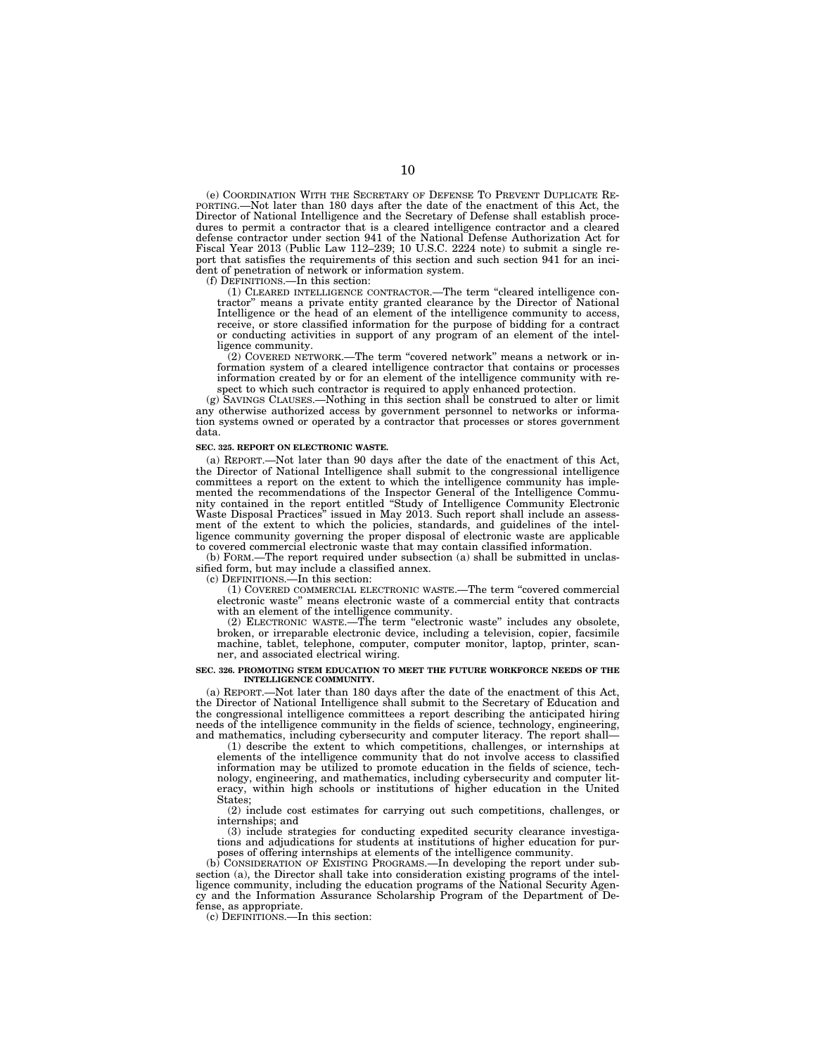(e) COORDINATION WITH THE SECRETARY OF DEFENSE TO PREVENT DUPLICATE RE-PORTING.—Not later than 180 days after the date of the enactment of this Act, the Director of National Intelligence and the Secretary of Defense shall establish procedures to permit a contractor that is a cleared intelligence contractor and a cleared defense contractor under section 941 of the National Defense Authorization Act for Fiscal Year 2013 (Public Law 112–239; 10 U.S.C. 2224 note) to submit a single report that satisfies the requirements of this section and such section 941 for an incident of penetration of network or information system.

(f) DEFINITIONS.—In this section:

(1) CLEARED INTELLIGENCE CONTRACTOR.—The term ''cleared intelligence contractor'' means a private entity granted clearance by the Director of National Intelligence or the head of an element of the intelligence community to access, receive, or store classified information for the purpose of bidding for a contract or conducting activities in support of any program of an element of the intelligence community.

(2) COVERED NETWORK.—The term ''covered network'' means a network or information system of a cleared intelligence contractor that contains or processes information created by or for an element of the intelligence community with respect to which such contractor is required to apply enhanced protection.

(g) SAVINGS CLAUSES.—Nothing in this section shall be construed to alter or limit any otherwise authorized access by government personnel to networks or information systems owned or operated by a contractor that processes or stores government data.

#### **SEC. 325. REPORT ON ELECTRONIC WASTE.**

(a) REPORT.—Not later than 90 days after the date of the enactment of this Act, the Director of National Intelligence shall submit to the congressional intelligence committees a report on the extent to which the intelligence community has implemented the recommendations of the Inspector General of the Intelligence Community contained in the report entitled ''Study of Intelligence Community Electronic Waste Disposal Practices'' issued in May 2013. Such report shall include an assessment of the extent to which the policies, standards, and guidelines of the intelligence community governing the proper disposal of electronic waste are applicable to covered commercial electronic waste that may contain classified information.

(b) FORM.—The report required under subsection (a) shall be submitted in unclassified form, but may include a classified annex.

(c) DEFINITIONS.—In this section:

(1) COVERED COMMERCIAL ELECTRONIC WASTE.—The term ''covered commercial electronic waste'' means electronic waste of a commercial entity that contracts with an element of the intelligence community.

(2) ELECTRONIC WASTE.—The term ''electronic waste'' includes any obsolete, broken, or irreparable electronic device, including a television, copier, facsimile machine, tablet, telephone, computer, computer monitor, laptop, printer, scanner, and associated electrical wiring.

#### **SEC. 326. PROMOTING STEM EDUCATION TO MEET THE FUTURE WORKFORCE NEEDS OF THE INTELLIGENCE COMMUNITY.**

(a) REPORT.—Not later than 180 days after the date of the enactment of this Act, the Director of National Intelligence shall submit to the Secretary of Education and the congressional intelligence committees a report describing the anticipated hiring needs of the intelligence community in the fields of science, technology, engineering, and mathematics, including cybersecurity and computer literacy. The report shall—

(1) describe the extent to which competitions, challenges, or internships at elements of the intelligence community that do not involve access to classified information may be utilized to promote education in the fields of science, technology, engineering, and mathematics, including cybersecurity and computer literacy, within high schools or institutions of higher education in the United States;

(2) include cost estimates for carrying out such competitions, challenges, or internships; and

(3) include strategies for conducting expedited security clearance investigations and adjudications for students at institutions of higher education for purposes of offering internships at elements of the intelligence community.

(b) CONSIDERATION OF EXISTING PROGRAMS.—In developing the report under subsection (a), the Director shall take into consideration existing programs of the intel-ligence community, including the education programs of the National Security Agency and the Information Assurance Scholarship Program of the Department of Defense, as appropriate.

(c) DEFINITIONS.—In this section: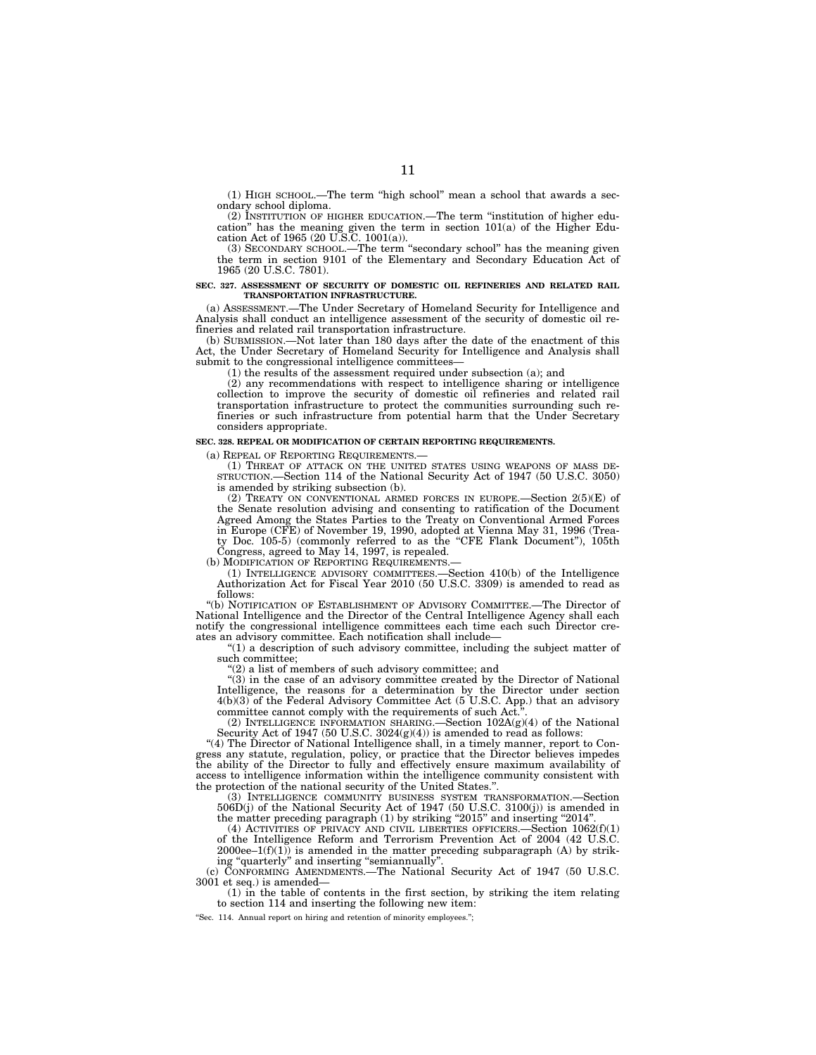(1) HIGH SCHOOL.—The term ''high school'' mean a school that awards a secondary school diploma.

(2) INSTITUTION OF HIGHER EDUCATION.—The term ''institution of higher education" has the meaning given the term in section  $101(a)$  of the Higher Education Act of 1965 (20 U.S.C. 1001(a)).

(3) SECONDARY SCHOOL.—The term ''secondary school'' has the meaning given the term in section 9101 of the Elementary and Secondary Education Act of 1965 (20 U.S.C. 7801).

#### **SEC. 327. ASSESSMENT OF SECURITY OF DOMESTIC OIL REFINERIES AND RELATED RAIL TRANSPORTATION INFRASTRUCTURE.**

(a) ASSESSMENT.—The Under Secretary of Homeland Security for Intelligence and Analysis shall conduct an intelligence assessment of the security of domestic oil refineries and related rail transportation infrastructure.

(b) SUBMISSION.—Not later than 180 days after the date of the enactment of this Act, the Under Secretary of Homeland Security for Intelligence and Analysis shall submit to the congressional intelligence committees—

(1) the results of the assessment required under subsection (a); and

(2) any recommendations with respect to intelligence sharing or intelligence collection to improve the security of domestic oil refineries and related rail transportation infrastructure to protect the communities surrounding such refineries or such infrastructure from potential harm that the Under Secretary considers appropriate.

#### **SEC. 328. REPEAL OR MODIFICATION OF CERTAIN REPORTING REQUIREMENTS.**

(a) REPEAL OF REPORTING REQUIREMENTS.—

(1) THREAT OF ATTACK ON THE UNITED STATES USING WEAPONS OF MASS DE-STRUCTION.—Section 114 of the National Security Act of 1947 (50 U.S.C. 3050) is amended by striking subsection (b).

(2) TREATY ON CONVENTIONAL ARMED FORCES IN EUROPE.—Section 2(5)(E) of the Senate resolution advising and consenting to ratification of the Document Agreed Among the States Parties to the Treaty on Conventional Armed Forces in Europe (CFE) of November 19, 1990, adopted at Vienna May 31, 1996 (Treaty Doc. 105-5) (commonly referred to as the "CFE Flank Document"), 105th Congress, agreed to May 14, 1997, is repealed.

(b) MODIFICATION OF REPORTING REQUIREMENTS.

(1) INTELLIGENCE ADVISORY COMMITTEES.—Section 410(b) of the Intelligence Authorization Act for Fiscal Year 2010 (50 U.S.C. 3309) is amended to read as follows:

''(b) NOTIFICATION OF ESTABLISHMENT OF ADVISORY COMMITTEE.—The Director of National Intelligence and the Director of the Central Intelligence Agency shall each notify the congressional intelligence committees each time each such Director creates an advisory committee. Each notification shall include—

''(1) a description of such advisory committee, including the subject matter of such committee;

''(2) a list of members of such advisory committee; and

''(3) in the case of an advisory committee created by the Director of National Intelligence, the reasons for a determination by the Director under section 4(b)(3) of the Federal Advisory Committee Act (5 U.S.C. App.) that an advisory committee cannot comply with the requirements of such Act.<sup>3</sup>

(2) INTELLIGENCE INFORMATION SHARING.—Section  $102A(g)(4)$  of the National Security Act of 1947 (50 U.S.C.  $3024(g)(4)$ ) is amended to read as follows:

"(4) The Director of National Intelligence shall, in a timely manner, report to Congress any statute, regulation, policy, or practice that the Director believes impedes the ability of the Director to fully and effectively ensure maximum availability of access to intelligence information within the intelligence community consistent with the protection of the national security of the United States.''.

(3) INTELLIGENCE COMMUNITY BUSINESS SYSTEM TRANSFORMATION.—Section 506D(j) of the National Security Act of 1947 (50 U.S.C. 3100(j)) is amended in the matter preceding paragraph (1) by striking "2015" and inserting "2014".

(4) ACTIVITIES OF PRIVACY AND CIVIL LIBERTIES OFFICERS.—Section 1062(f)(1) of the Intelligence Reform and Terrorism Prevention Act of 2004 (42 U.S.C.  $2000$ ee– $1(f)(1)$  is amended in the matter preceding subparagraph (A) by striking "quarterly" and inserting "semiannually".

(c) CONFORMING AMENDMENTS.—The National Security Act of 1947 (50 U.S.C. 3001 et seq.) is amended—

(1) in the table of contents in the first section, by striking the item relating to section 114 and inserting the following new item:

"Sec. 114. Annual report on hiring and retention of minority employees.";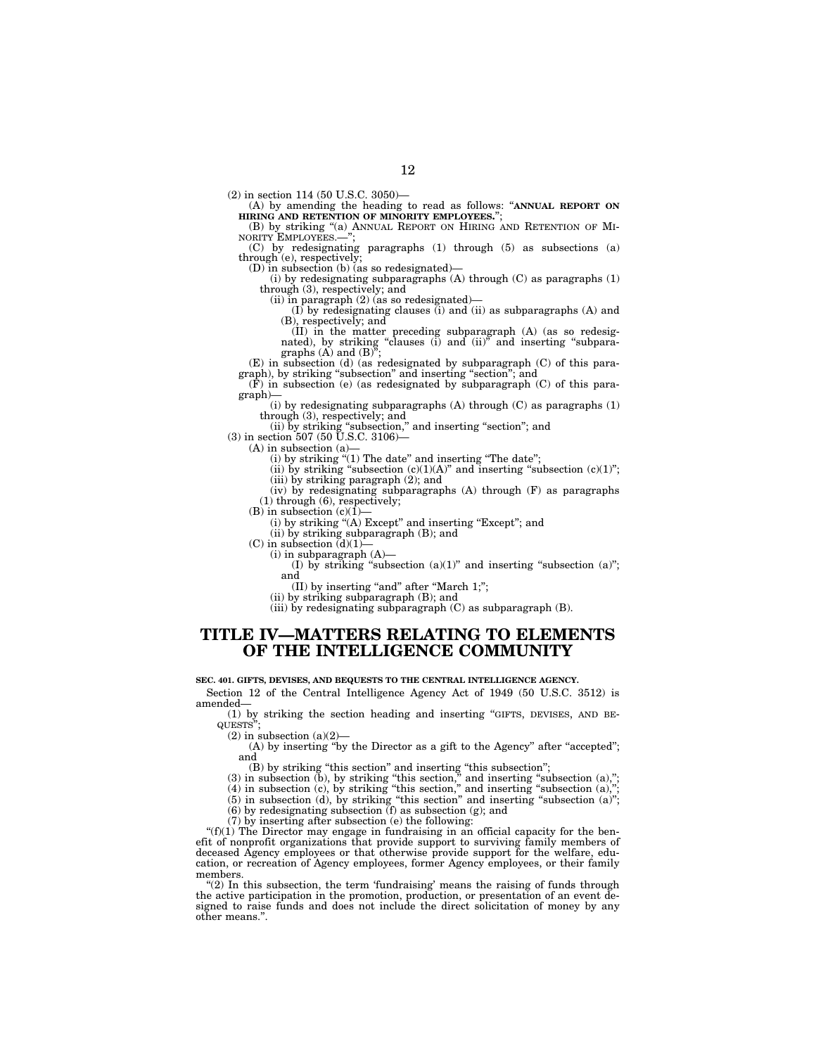(2) in section 114 (50 U.S.C. 3050)—

(A) by amending the heading to read as follows: ''**ANNUAL REPORT ON HIRING AND RETENTION OF MINORITY EMPLOYEES.**'';

(B) by striking "(a) ANNUAL REPORT ON HIRING AND RETENTION OF MI-NORITY EMPLOYEES.-

(C) by redesignating paragraphs (1) through (5) as subsections (a) through (e), respectively;

(D) in subsection (b) (as so redesignated)-

(i) by redesignating subparagraphs (A) through (C) as paragraphs (1) through (3), respectively; and

(ii) in paragraph (2) (as so redesignated)—

(I) by redesignating clauses (i) and (ii) as subparagraphs (A) and (B), respectively; and

(II) in the matter preceding subparagraph (A) (as so redesig-nated), by striking ''clauses (i) and (ii)'' and inserting ''subpara-graphs (A) and (B)'';

(E) in subsection (d) (as redesignated by subparagraph (C) of this paragraph), by striking "subsection" and inserting "section"; and (F) in subsection (e) (as redesignated by subparagraph (C) of this para-

graph)—

(i) by redesignating subparagraphs  $(A)$  through  $(C)$  as paragraphs  $(1)$ through (3), respectively; and

(ii) by striking ''subsection,'' and inserting ''section''; and

(3) in section 507 (50 U.S.C. 3106)—

 $(A)$  in subsection  $(a)$ 

(i) by striking "(1) The date" and inserting "The date";

(ii) by striking "subsection  $(c)(1)(A)$ " and inserting "subsection  $(c)(1)$ "; (iii) by striking paragraph (2); and

(iv) by redesignating subparagraphs (A) through (F) as paragraphs (1) through (6), respectively;

(B) in subsection  $(c)(1)$ 

(i) by striking ''(A) Except'' and inserting ''Except''; and

(ii) by striking subparagraph (B); and

(C) in subsection  $\overline{d}(1)$ (i) in subparagraph (A)—

(I) by striking "subsection  $(a)(1)$ " and inserting "subsection  $(a)$ "; and

(II) by inserting "and" after "March 1;";

(ii) by striking subparagraph (B); and

(iii) by redesignating subparagraph (C) as subparagraph (B).

## **TITLE IV—MATTERS RELATING TO ELEMENTS OF THE INTELLIGENCE COMMUNITY**

**SEC. 401. GIFTS, DEVISES, AND BEQUESTS TO THE CENTRAL INTELLIGENCE AGENCY.** 

Section 12 of the Central Intelligence Agency Act of 1949 (50 U.S.C. 3512) is amended—

(1) by striking the section heading and inserting ''GIFTS, DEVISES, AND BE-QUESTS'';

 $(2)$  in subsection  $(a)(2)$ 

(A) by inserting "by the Director as a gift to the Agency" after "accepted"; and

(B) by striking ''this section'' and inserting ''this subsection'';

 $(3)$  in subsection  $(b)$ , by striking "this section," and inserting "subsection  $(a)$ ,";

 $(4)$  in subsection  $(c)$ , by striking "this section," and inserting "subsection  $(a)$ ,";

 $(5)$  in subsection  $(d)$ , by striking "this section" and inserting "subsection  $(a)$ ";

(6) by redesignating subsection (f) as subsection (g); and

(7) by inserting after subsection (e) the following:

" $(f)(1)$  The Director may engage in fundraising in an official capacity for the benefit of nonprofit organizations that provide support to surviving family members of deceased Agency employees or that otherwise provide support for the welfare, education, or recreation of Agency employees, former Agency employees, or their family members.

"(2) In this subsection, the term 'fundraising' means the raising of funds through the active participation in the promotion, production, or presentation of an event designed to raise funds and does not include the direct solicitation of money by any other means."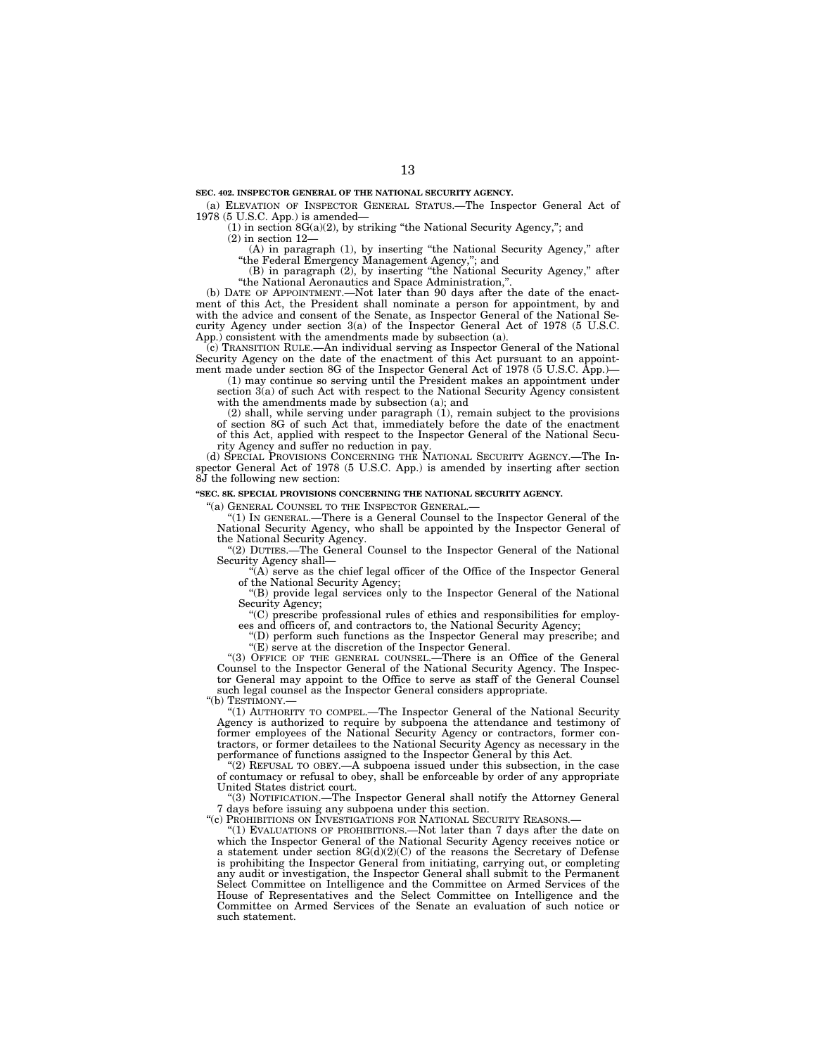(a) ELEVATION OF INSPECTOR GENERAL STATUS.—The Inspector General Act of 1978 (5 U.S.C. App.) is amended—

(1) in section 8G(a)(2), by striking ''the National Security Agency,''; and

(2) in section 12—

(A) in paragraph (1), by inserting "the National Security Agency," after ''the Federal Emergency Management Agency,''; and

(B) in paragraph (2), by inserting ''the National Security Agency,'' after ''the National Aeronautics and Space Administration,''.

(b) DATE OF APPOINTMENT.—Not later than 90 days after the date of the enactment of this Act, the President shall nominate a person for appointment, by and with the advice and consent of the Senate, as Inspector General of the National Security Agency under section 3(a) of the Inspector General Act of 1978 (5 U.S.C. App.) consistent with the amendments made by subsection (a).

(c) TRANSITION RULE.—An individual serving as Inspector General of the National Security Agency on the date of the enactment of this Act pursuant to an appointment made under section 8G of the Inspector General Act of 1978 (5 U.S.C. App.)—

(1) may continue so serving until the President makes an appointment under section 3(a) of such Act with respect to the National Security Agency consistent with the amendments made by subsection (a); and

(2) shall, while serving under paragraph (1), remain subject to the provisions of section 8G of such Act that, immediately before the date of the enactment of this Act, applied with respect to the Inspector General of the National Security Agency and suffer no reduction in pay.

(d) SPECIAL PROVISIONS CONCERNING THE NATIONAL SECURITY AGENCY.—The Inspector General Act of 1978 (5 U.S.C. App.) is amended by inserting after section 8J the following new section:

#### **''SEC. 8K. SPECIAL PROVISIONS CONCERNING THE NATIONAL SECURITY AGENCY.**

"(a) GENERAL COUNSEL TO THE INSPECTOR GENERAL.

''(1) IN GENERAL.—There is a General Counsel to the Inspector General of the National Security Agency, who shall be appointed by the Inspector General of the National Security Agency.

''(2) DUTIES.—The General Counsel to the Inspector General of the National Security Agency shall—

''(A) serve as the chief legal officer of the Office of the Inspector General of the National Security Agency;

''(B) provide legal services only to the Inspector General of the National Security Agency;

''(C) prescribe professional rules of ethics and responsibilities for employees and officers of, and contractors to, the National Security Agency;

''(D) perform such functions as the Inspector General may prescribe; and ''(E) serve at the discretion of the Inspector General.

''(3) OFFICE OF THE GENERAL COUNSEL.—There is an Office of the General Counsel to the Inspector General of the National Security Agency. The Inspector General may appoint to the Office to serve as staff of the General Counsel such legal counsel as the Inspector General considers appropriate.

"(b) TESTIMONY.

"(1) AUTHORITY TO COMPEL.—The Inspector General of the National Security Agency is authorized to require by subpoena the attendance and testimony of former employees of the National Security Agency or contractors, former contractors, or former detailees to the National Security Agency as necessary in the performance of functions assigned to the Inspector General by this Act.

"(2) REFUSAL TO OBEY.—A subpoena issued under this subsection, in the case of contumacy or refusal to obey, shall be enforceable by order of any appropriate United States district court.

''(3) NOTIFICATION.—The Inspector General shall notify the Attorney General 7 days before issuing any subpoena under this section.

"(c) PROHIBITIONS ON INVESTIGATIONS FOR NATIONAL SECURITY REASONS.

''(1) EVALUATIONS OF PROHIBITIONS.—Not later than 7 days after the date on which the Inspector General of the National Security Agency receives notice or a statement under section  $8G(d)(2)(C)$  of the reasons the Secretary of Defense is prohibiting the Inspector General from initiating, carrying out, or completing any audit or investigation, the Inspector General shall submit to the Permanent Select Committee on Intelligence and the Committee on Armed Services of the House of Representatives and the Select Committee on Intelligence and the Committee on Armed Services of the Senate an evaluation of such notice or such statement.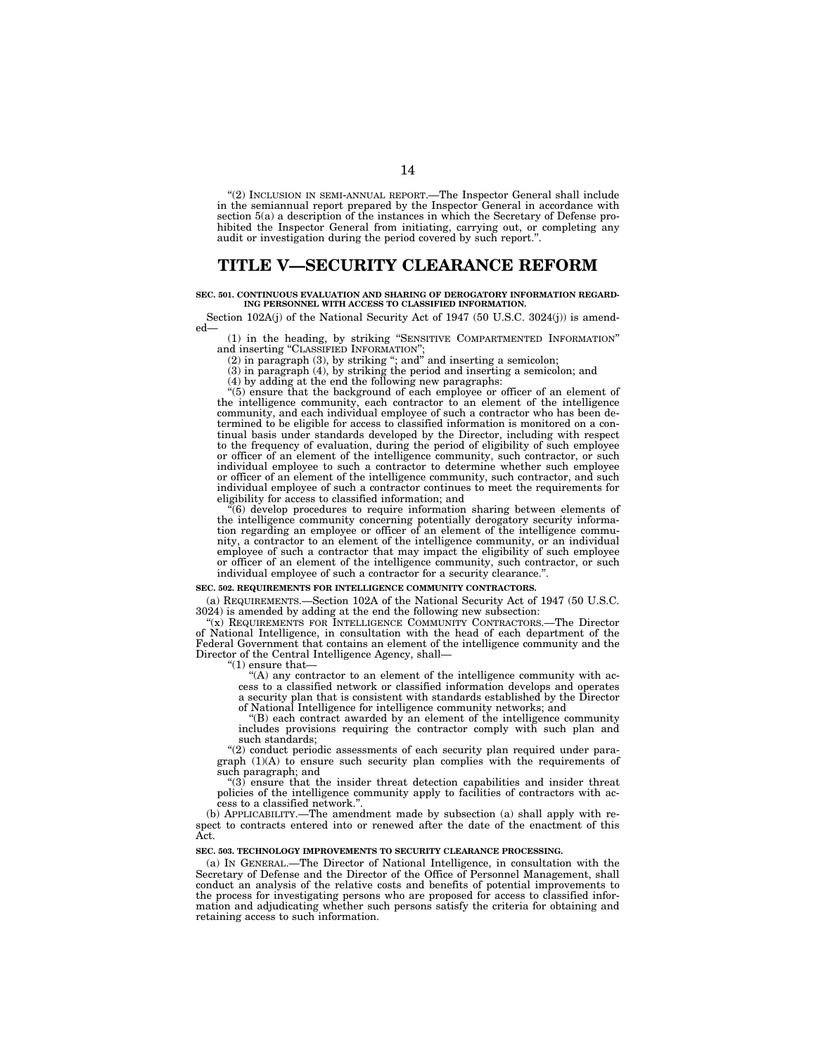''(2) INCLUSION IN SEMI-ANNUAL REPORT.—The Inspector General shall include in the semiannual report prepared by the Inspector General in accordance with section 5(a) a description of the instances in which the Secretary of Defense prohibited the Inspector General from initiating, carrying out, or completing any audit or investigation during the period covered by such report.'

# **TITLE V—SECURITY CLEARANCE REFORM**

#### **SEC. 501. CONTINUOUS EVALUATION AND SHARING OF DEROGATORY INFORMATION REGARD-ING PERSONNEL WITH ACCESS TO CLASSIFIED INFORMATION.**

Section 102A(j) of the National Security Act of 1947 (50 U.S.C. 3024(j)) is amended—

(1) in the heading, by striking ''SENSITIVE COMPARTMENTED INFORMATION'' and inserting ''CLASSIFIED INFORMATION'';

(2) in paragraph (3), by striking ''; and'' and inserting a semicolon;

(3) in paragraph (4), by striking the period and inserting a semicolon; and

(4) by adding at the end the following new paragraphs:

''(5) ensure that the background of each employee or officer of an element of the intelligence community, each contractor to an element of the intelligence community, and each individual employee of such a contractor who has been determined to be eligible for access to classified information is monitored on a continual basis under standards developed by the Director, including with respect to the frequency of evaluation, during the period of eligibility of such employee or officer of an element of the intelligence community, such contractor, or such individual employee to such a contractor to determine whether such employee or officer of an element of the intelligence community, such contractor, and such individual employee of such a contractor continues to meet the requirements for eligibility for access to classified information; and

 $(6)$  develop procedures to require information sharing between elements of the intelligence community concerning potentially derogatory security information regarding an employee or officer of an element of the intelligence community, a contractor to an element of the intelligence community, or an individual employee of such a contractor that may impact the eligibility of such employee or officer of an element of the intelligence community, such contractor, or such individual employee of such a contractor for a security clearance.''.

#### **SEC. 502. REQUIREMENTS FOR INTELLIGENCE COMMUNITY CONTRACTORS.**

(a) REQUIREMENTS.—Section 102A of the National Security Act of 1947 (50 U.S.C. 3024) is amended by adding at the end the following new subsection:

''(x) REQUIREMENTS FOR INTELLIGENCE COMMUNITY CONTRACTORS.—The Director of National Intelligence, in consultation with the head of each department of the Federal Government that contains an element of the intelligence community and the Director of the Central Intelligence Agency, shall—

 $(1)$  ensure that-

 $(A)$  any contractor to an element of the intelligence community with access to a classified network or classified information develops and operates a security plan that is consistent with standards established by the Director of National Intelligence for intelligence community networks; and

''(B) each contract awarded by an element of the intelligence community includes provisions requiring the contractor comply with such plan and such standards;

''(2) conduct periodic assessments of each security plan required under para $graph (1)(A)$  to ensure such security plan complies with the requirements of such paragraph; and

''(3) ensure that the insider threat detection capabilities and insider threat policies of the intelligence community apply to facilities of contractors with access to a classified network.''.

(b) APPLICABILITY.—The amendment made by subsection (a) shall apply with respect to contracts entered into or renewed after the date of the enactment of this Act.

#### **SEC. 503. TECHNOLOGY IMPROVEMENTS TO SECURITY CLEARANCE PROCESSING.**

(a) IN GENERAL.—The Director of National Intelligence, in consultation with the Secretary of Defense and the Director of the Office of Personnel Management, shall conduct an analysis of the relative costs and benefits of potential improvements to the process for investigating persons who are proposed for access to classified information and adjudicating whether such persons satisfy the criteria for obtaining and retaining access to such information.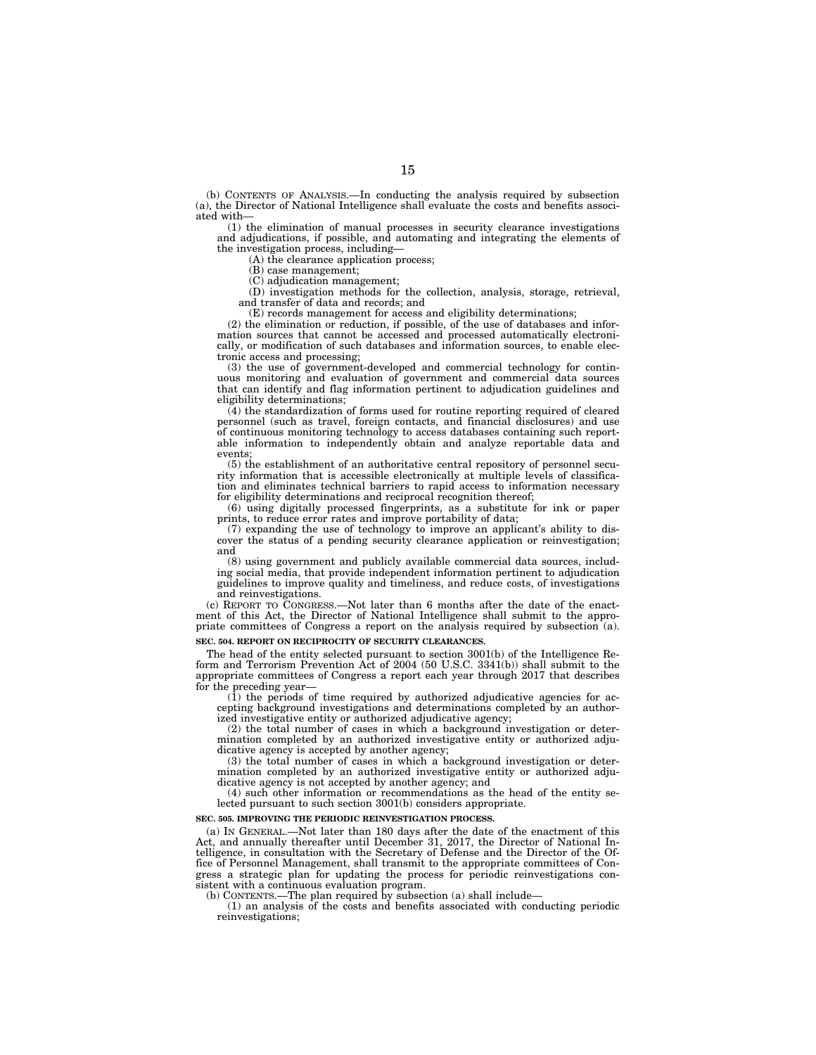(b) CONTENTS OF ANALYSIS.—In conducting the analysis required by subsection (a), the Director of National Intelligence shall evaluate the costs and benefits associated with—

(1) the elimination of manual processes in security clearance investigations and adjudications, if possible, and automating and integrating the elements of the investigation process, including—

(A) the clearance application process;

(B) case management;

(C) adjudication management;

(D) investigation methods for the collection, analysis, storage, retrieval, and transfer of data and records; and

(E) records management for access and eligibility determinations;

(2) the elimination or reduction, if possible, of the use of databases and information sources that cannot be accessed and processed automatically electronically, or modification of such databases and information sources, to enable electronic access and processing;

(3) the use of government-developed and commercial technology for continuous monitoring and evaluation of government and commercial data sources that can identify and flag information pertinent to adjudication guidelines and eligibility determinations;

(4) the standardization of forms used for routine reporting required of cleared personnel (such as travel, foreign contacts, and financial disclosures) and use of continuous monitoring technology to access databases containing such reportable information to independently obtain and analyze reportable data and events;

(5) the establishment of an authoritative central repository of personnel security information that is accessible electronically at multiple levels of classification and eliminates technical barriers to rapid access to information necessary for eligibility determinations and reciprocal recognition thereof;

(6) using digitally processed fingerprints, as a substitute for ink or paper prints, to reduce error rates and improve portability of data;

(7) expanding the use of technology to improve an applicant's ability to discover the status of a pending security clearance application or reinvestigation; and

(8) using government and publicly available commercial data sources, including social media, that provide independent information pertinent to adjudication guidelines to improve quality and timeliness, and reduce costs, of investigations and reinvestigations.

(c) REPORT TO CONGRESS.—Not later than 6 months after the date of the enactment of this Act, the Director of National Intelligence shall submit to the appropriate committees of Congress a report on the analysis required by subsection (a). **SEC. 504. REPORT ON RECIPROCITY OF SECURITY CLEARANCES.** 

The head of the entity selected pursuant to section 3001(b) of the Intelligence Reform and Terrorism Prevention Act of 2004 (50 U.S.C. 3341(b)) shall submit to the appropriate committees of Congress a report each year through 2017 that describes for the preceding year-

(1) the periods of time required by authorized adjudicative agencies for accepting background investigations and determinations completed by an authorized investigative entity or authorized adjudicative agency;

(2) the total number of cases in which a background investigation or determination completed by an authorized investigative entity or authorized adjudicative agency is accepted by another agency;

(3) the total number of cases in which a background investigation or determination completed by an authorized investigative entity or authorized adjudicative agency is not accepted by another agency; and

(4) such other information or recommendations as the head of the entity selected pursuant to such section 3001(b) considers appropriate.

#### **SEC. 505. IMPROVING THE PERIODIC REINVESTIGATION PROCESS.**

(a) IN GENERAL.—Not later than 180 days after the date of the enactment of this Act, and annually thereafter until December 31, 2017, the Director of National Intelligence, in consultation with the Secretary of Defense and the Director of the Office of Personnel Management, shall transmit to the appropriate committees of Congress a strategic plan for updating the process for periodic reinvestigations consistent with a continuous evaluation program.

(b) CONTENTS.—The plan required by subsection (a) shall include—

(1) an analysis of the costs and benefits associated with conducting periodic reinvestigations;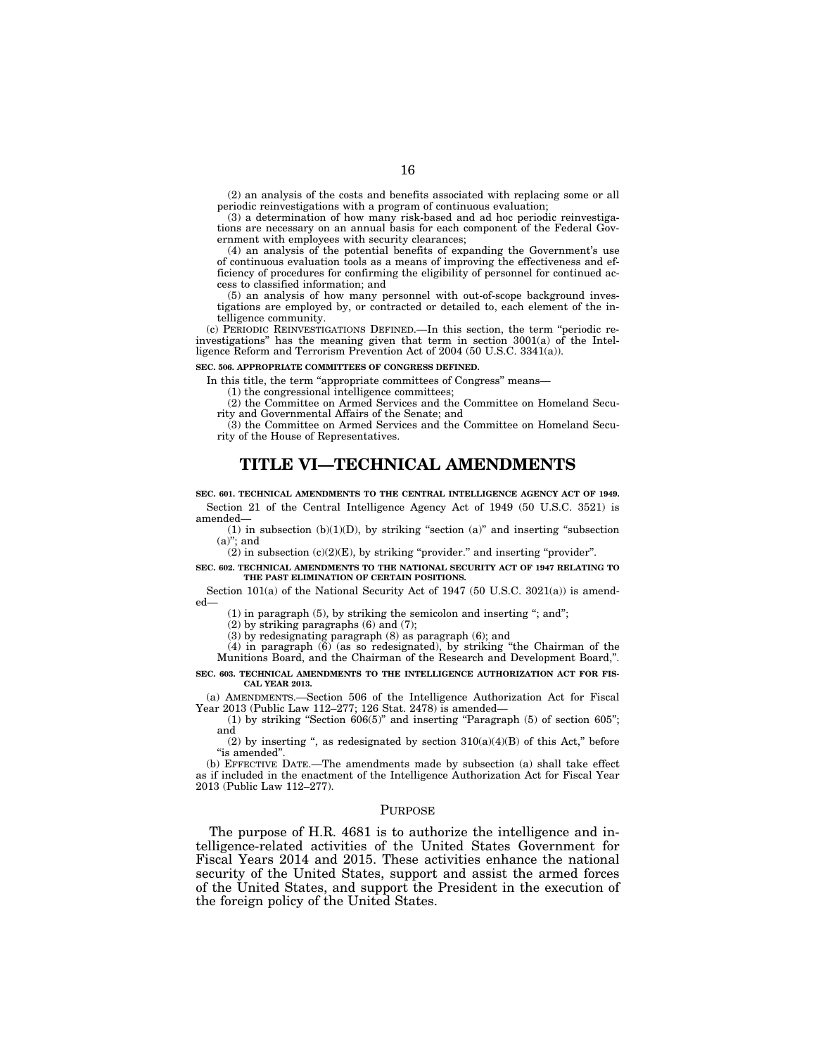(2) an analysis of the costs and benefits associated with replacing some or all periodic reinvestigations with a program of continuous evaluation;

(3) a determination of how many risk-based and ad hoc periodic reinvestigations are necessary on an annual basis for each component of the Federal Government with employees with security clearances;

(4) an analysis of the potential benefits of expanding the Government's use of continuous evaluation tools as a means of improving the effectiveness and efficiency of procedures for confirming the eligibility of personnel for continued access to classified information; and

(5) an analysis of how many personnel with out-of-scope background investigations are employed by, or contracted or detailed to, each element of the intelligence community.

(c) PERIODIC REINVESTIGATIONS DEFINED.—In this section, the term ''periodic reinvestigations'' has the meaning given that term in section 3001(a) of the Intelligence Reform and Terrorism Prevention Act of 2004 (50 U.S.C. 3341(a)).

#### **SEC. 506. APPROPRIATE COMMITTEES OF CONGRESS DEFINED.**

In this title, the term ''appropriate committees of Congress'' means—

(1) the congressional intelligence committees;

(2) the Committee on Armed Services and the Committee on Homeland Security and Governmental Affairs of the Senate; and

(3) the Committee on Armed Services and the Committee on Homeland Security of the House of Representatives.

## **TITLE VI—TECHNICAL AMENDMENTS**

**SEC. 601. TECHNICAL AMENDMENTS TO THE CENTRAL INTELLIGENCE AGENCY ACT OF 1949.**  Section 21 of the Central Intelligence Agency Act of 1949 (50 U.S.C. 3521) is amended—

 $(1)$  in subsection  $(b)(1)(D)$ , by striking "section  $(a)$ " and inserting "subsection  $(a)$ "; and

 $(2)$  in subsection  $(c)(2)(E)$ , by striking "provider." and inserting "provider".

**SEC. 602. TECHNICAL AMENDMENTS TO THE NATIONAL SECURITY ACT OF 1947 RELATING TO THE PAST ELIMINATION OF CERTAIN POSITIONS.** 

Section 101(a) of the National Security Act of 1947 (50 U.S.C. 3021(a)) is amended—

 $(1)$  in paragraph  $(5)$ , by striking the semicolon and inserting "; and";

(2) by striking paragraphs (6) and (7);

(3) by redesignating paragraph (8) as paragraph (6); and

 $(4)$  in paragraph  $(6)$  (as so redesignated), by striking "the Chairman of the Munitions Board, and the Chairman of the Research and Development Board,''.

#### **SEC. 603. TECHNICAL AMENDMENTS TO THE INTELLIGENCE AUTHORIZATION ACT FOR FIS-CAL YEAR 2013.**

(a) AMENDMENTS.—Section 506 of the Intelligence Authorization Act for Fiscal Year 2013 (Public Law 112–277; 126 Stat. 2478) is amended—

(1) by striking "Section  $606(5)$ " and inserting "Paragraph (5) of section  $605$ "; and

(2) by inserting ", as redesignated by section  $310(a)(4)(B)$  of this Act," before ''is amended''.

(b) EFFECTIVE DATE.—The amendments made by subsection (a) shall take effect as if included in the enactment of the Intelligence Authorization Act for Fiscal Year 2013 (Public Law 112–277).

#### **PURPOSE**

The purpose of H.R. 4681 is to authorize the intelligence and intelligence-related activities of the United States Government for Fiscal Years 2014 and 2015. These activities enhance the national security of the United States, support and assist the armed forces of the United States, and support the President in the execution of the foreign policy of the United States.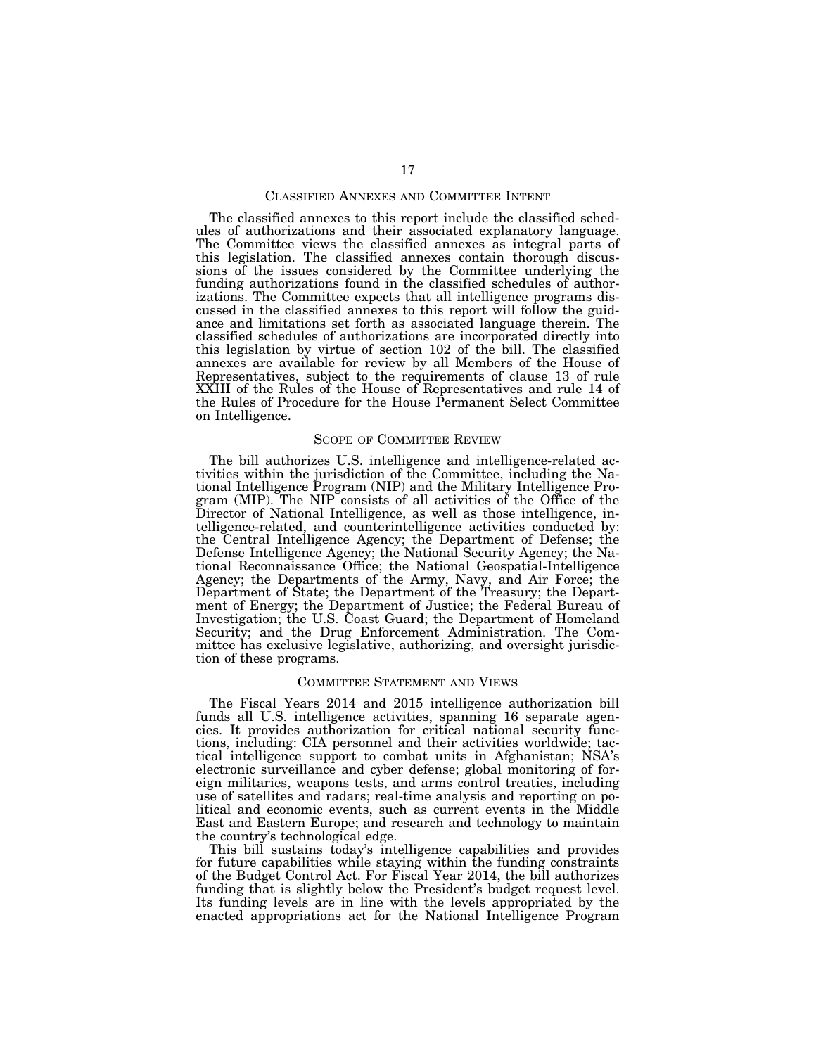#### CLASSIFIED ANNEXES AND COMMITTEE INTENT

The classified annexes to this report include the classified schedules of authorizations and their associated explanatory language. The Committee views the classified annexes as integral parts of this legislation. The classified annexes contain thorough discussions of the issues considered by the Committee underlying the funding authorizations found in the classified schedules of authorizations. The Committee expects that all intelligence programs discussed in the classified annexes to this report will follow the guidance and limitations set forth as associated language therein. The classified schedules of authorizations are incorporated directly into this legislation by virtue of section 102 of the bill. The classified annexes are available for review by all Members of the House of Representatives, subject to the requirements of clause 13 of rule XXIII of the Rules of the House of Representatives and rule 14 of the Rules of Procedure for the House Permanent Select Committee on Intelligence.

#### SCOPE OF COMMITTEE REVIEW

The bill authorizes U.S. intelligence and intelligence-related activities within the jurisdiction of the Committee, including the National Intelligence Program (NIP) and the Military Intelligence Program (MIP). The NIP consists of all activities of the Office of the Director of National Intelligence, as well as those intelligence, intelligence-related, and counterintelligence activities conducted by: the Central Intelligence Agency; the Department of Defense; the Defense Intelligence Agency; the National Security Agency; the National Reconnaissance Office; the National Geospatial-Intelligence Agency; the Departments of the Army, Navy, and Air Force; the Department of State; the Department of the Treasury; the Department of Energy; the Department of Justice; the Federal Bureau of Investigation; the U.S. Coast Guard; the Department of Homeland Security; and the Drug Enforcement Administration. The Committee has exclusive legislative, authorizing, and oversight jurisdiction of these programs.

#### COMMITTEE STATEMENT AND VIEWS

The Fiscal Years 2014 and 2015 intelligence authorization bill funds all U.S. intelligence activities, spanning 16 separate agencies. It provides authorization for critical national security functions, including: CIA personnel and their activities worldwide; tactical intelligence support to combat units in Afghanistan; NSA's electronic surveillance and cyber defense; global monitoring of foreign militaries, weapons tests, and arms control treaties, including use of satellites and radars; real-time analysis and reporting on political and economic events, such as current events in the Middle East and Eastern Europe; and research and technology to maintain the country's technological edge.

This bill sustains today's intelligence capabilities and provides for future capabilities while staying within the funding constraints of the Budget Control Act. For Fiscal Year 2014, the bill authorizes funding that is slightly below the President's budget request level. Its funding levels are in line with the levels appropriated by the enacted appropriations act for the National Intelligence Program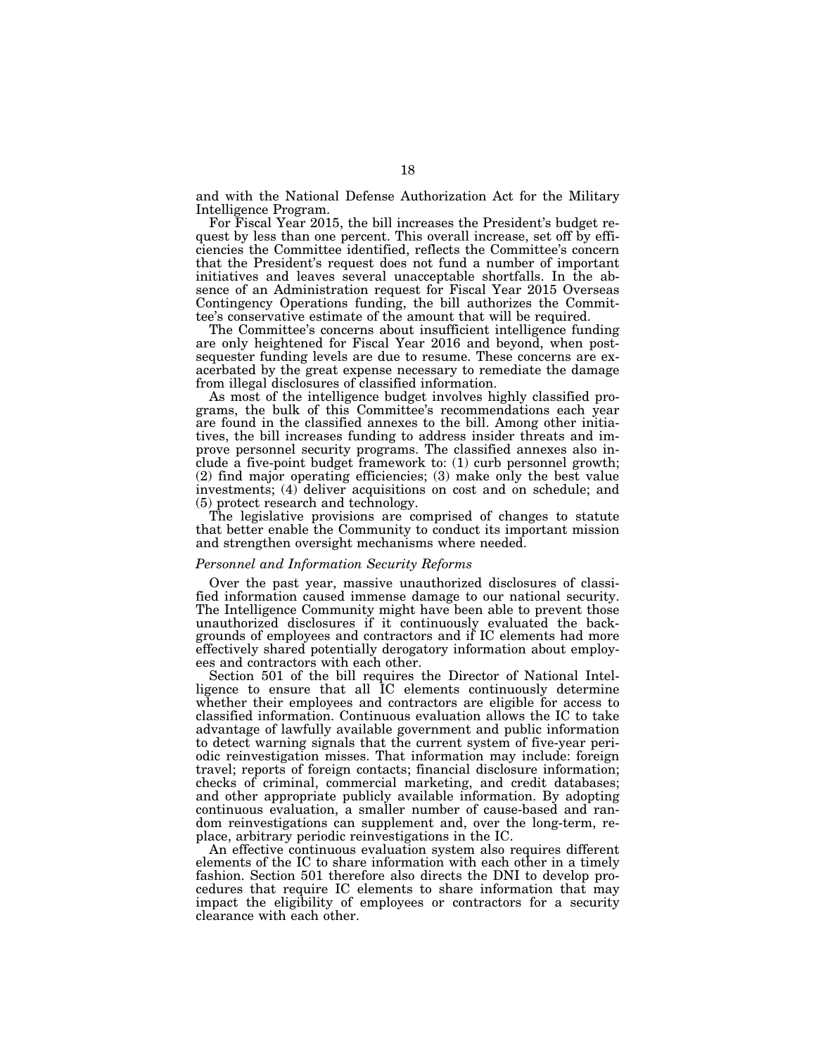and with the National Defense Authorization Act for the Military Intelligence Program.

For Fiscal Year 2015, the bill increases the President's budget request by less than one percent. This overall increase, set off by efficiencies the Committee identified, reflects the Committee's concern that the President's request does not fund a number of important initiatives and leaves several unacceptable shortfalls. In the absence of an Administration request for Fiscal Year 2015 Overseas Contingency Operations funding, the bill authorizes the Committee's conservative estimate of the amount that will be required.

The Committee's concerns about insufficient intelligence funding are only heightened for Fiscal Year 2016 and beyond, when postsequester funding levels are due to resume. These concerns are exacerbated by the great expense necessary to remediate the damage from illegal disclosures of classified information.

As most of the intelligence budget involves highly classified programs, the bulk of this Committee's recommendations each year are found in the classified annexes to the bill. Among other initiatives, the bill increases funding to address insider threats and improve personnel security programs. The classified annexes also include a five-point budget framework to: (1) curb personnel growth; (2) find major operating efficiencies; (3) make only the best value investments; (4) deliver acquisitions on cost and on schedule; and (5) protect research and technology.

The legislative provisions are comprised of changes to statute that better enable the Community to conduct its important mission and strengthen oversight mechanisms where needed.

## *Personnel and Information Security Reforms*

Over the past year, massive unauthorized disclosures of classified information caused immense damage to our national security. The Intelligence Community might have been able to prevent those unauthorized disclosures if it continuously evaluated the backgrounds of employees and contractors and if IC elements had more effectively shared potentially derogatory information about employees and contractors with each other.

Section 501 of the bill requires the Director of National Intelligence to ensure that all IC elements continuously determine whether their employees and contractors are eligible for access to classified information. Continuous evaluation allows the IC to take advantage of lawfully available government and public information to detect warning signals that the current system of five-year periodic reinvestigation misses. That information may include: foreign travel; reports of foreign contacts; financial disclosure information; checks of criminal, commercial marketing, and credit databases; and other appropriate publicly available information. By adopting continuous evaluation, a smaller number of cause-based and random reinvestigations can supplement and, over the long-term, replace, arbitrary periodic reinvestigations in the IC.

An effective continuous evaluation system also requires different elements of the IC to share information with each other in a timely fashion. Section 501 therefore also directs the DNI to develop procedures that require IC elements to share information that may impact the eligibility of employees or contractors for a security clearance with each other.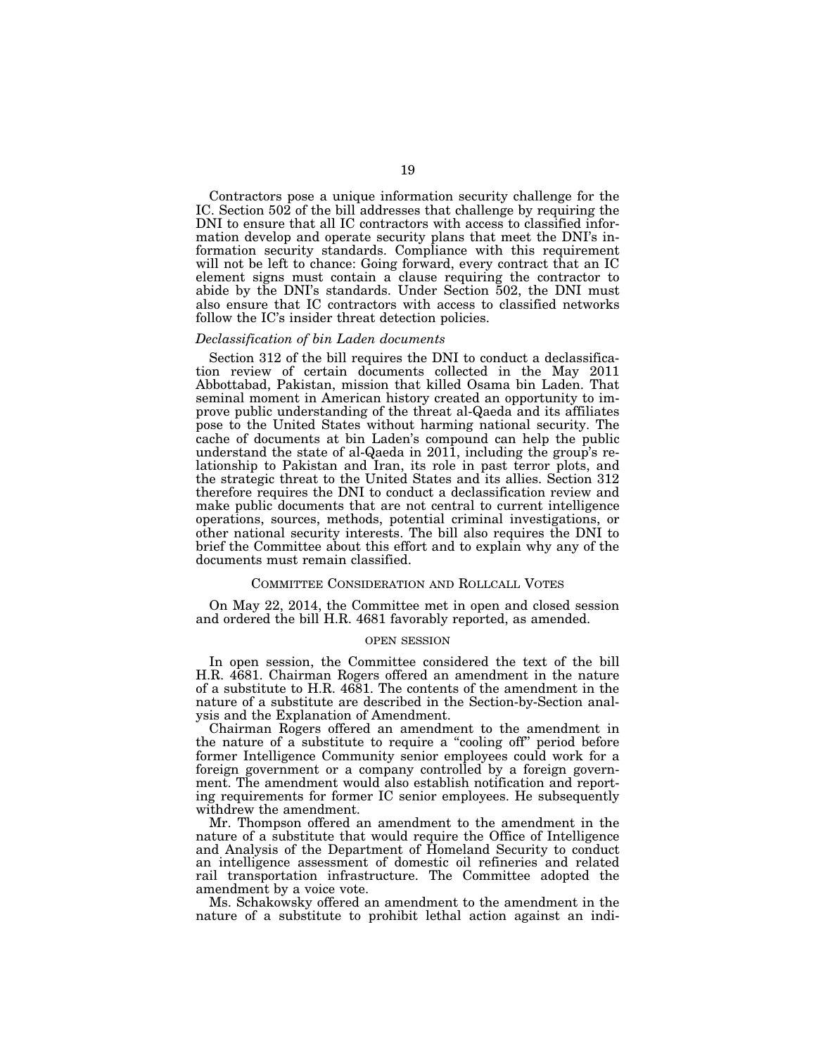Contractors pose a unique information security challenge for the IC. Section 502 of the bill addresses that challenge by requiring the DNI to ensure that all IC contractors with access to classified information develop and operate security plans that meet the DNI's information security standards. Compliance with this requirement will not be left to chance: Going forward, every contract that an IC element signs must contain a clause requiring the contractor to abide by the DNI's standards. Under Section 502, the DNI must also ensure that IC contractors with access to classified networks follow the IC's insider threat detection policies.

#### *Declassification of bin Laden documents*

Section 312 of the bill requires the DNI to conduct a declassification review of certain documents collected in the May 2011 Abbottabad, Pakistan, mission that killed Osama bin Laden. That seminal moment in American history created an opportunity to improve public understanding of the threat al-Qaeda and its affiliates pose to the United States without harming national security. The cache of documents at bin Laden's compound can help the public understand the state of al-Qaeda in 2011, including the group's relationship to Pakistan and Iran, its role in past terror plots, and the strategic threat to the United States and its allies. Section 312 therefore requires the DNI to conduct a declassification review and make public documents that are not central to current intelligence operations, sources, methods, potential criminal investigations, or other national security interests. The bill also requires the DNI to brief the Committee about this effort and to explain why any of the documents must remain classified.

#### COMMITTEE CONSIDERATION AND ROLLCALL VOTES

On May 22, 2014, the Committee met in open and closed session and ordered the bill H.R. 4681 favorably reported, as amended.

## OPEN SESSION

In open session, the Committee considered the text of the bill H.R. 4681. Chairman Rogers offered an amendment in the nature of a substitute to H.R. 4681. The contents of the amendment in the nature of a substitute are described in the Section-by-Section analysis and the Explanation of Amendment.

Chairman Rogers offered an amendment to the amendment in the nature of a substitute to require a ''cooling off'' period before former Intelligence Community senior employees could work for a foreign government or a company controlled by a foreign government. The amendment would also establish notification and reporting requirements for former IC senior employees. He subsequently withdrew the amendment.

Mr. Thompson offered an amendment to the amendment in the nature of a substitute that would require the Office of Intelligence and Analysis of the Department of Homeland Security to conduct an intelligence assessment of domestic oil refineries and related rail transportation infrastructure. The Committee adopted the amendment by a voice vote.

Ms. Schakowsky offered an amendment to the amendment in the nature of a substitute to prohibit lethal action against an indi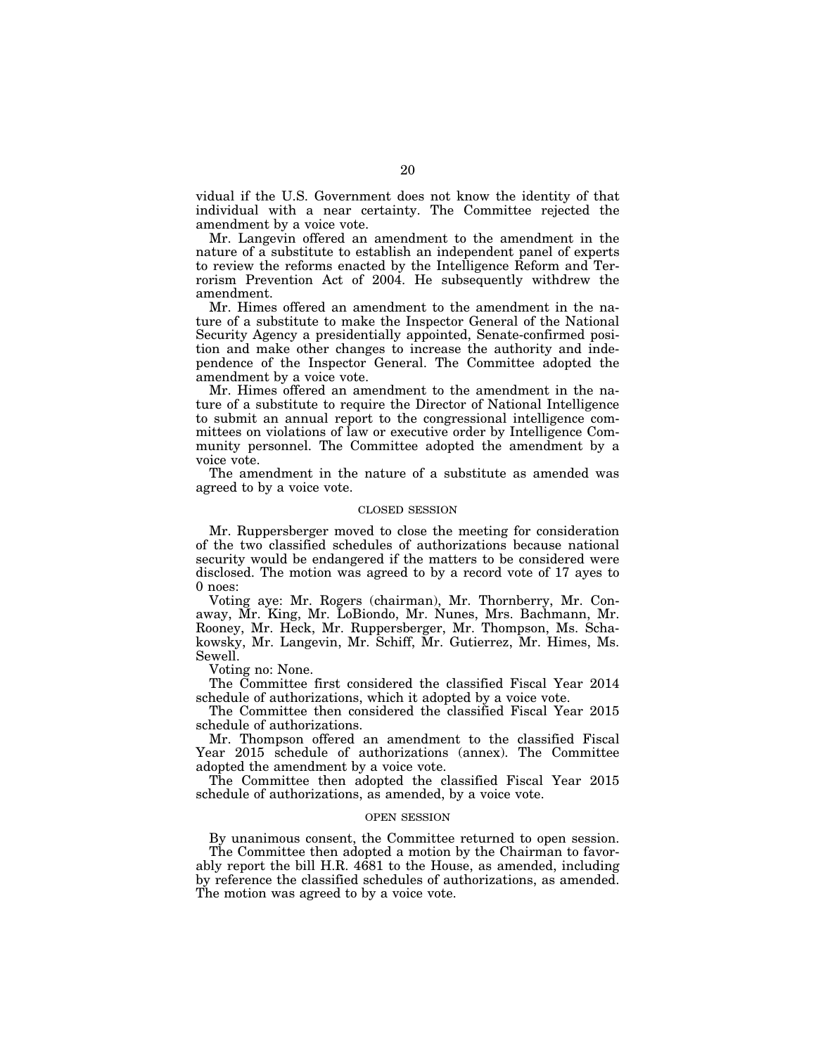vidual if the U.S. Government does not know the identity of that individual with a near certainty. The Committee rejected the amendment by a voice vote.

Mr. Langevin offered an amendment to the amendment in the nature of a substitute to establish an independent panel of experts to review the reforms enacted by the Intelligence Reform and Terrorism Prevention Act of 2004. He subsequently withdrew the amendment.

Mr. Himes offered an amendment to the amendment in the nature of a substitute to make the Inspector General of the National Security Agency a presidentially appointed, Senate-confirmed position and make other changes to increase the authority and independence of the Inspector General. The Committee adopted the amendment by a voice vote.

Mr. Himes offered an amendment to the amendment in the nature of a substitute to require the Director of National Intelligence to submit an annual report to the congressional intelligence committees on violations of law or executive order by Intelligence Community personnel. The Committee adopted the amendment by a voice vote.

The amendment in the nature of a substitute as amended was agreed to by a voice vote.

#### CLOSED SESSION

Mr. Ruppersberger moved to close the meeting for consideration of the two classified schedules of authorizations because national security would be endangered if the matters to be considered were disclosed. The motion was agreed to by a record vote of 17 ayes to 0 noes:

Voting aye: Mr. Rogers (chairman), Mr. Thornberry, Mr. Conaway, Mr. King, Mr. LoBiondo, Mr. Nunes, Mrs. Bachmann, Mr. Rooney, Mr. Heck, Mr. Ruppersberger, Mr. Thompson, Ms. Schakowsky, Mr. Langevin, Mr. Schiff, Mr. Gutierrez, Mr. Himes, Ms. Sewell.

Voting no: None.

The Committee first considered the classified Fiscal Year 2014 schedule of authorizations, which it adopted by a voice vote.

The Committee then considered the classified Fiscal Year 2015 schedule of authorizations.

Mr. Thompson offered an amendment to the classified Fiscal Year 2015 schedule of authorizations (annex). The Committee adopted the amendment by a voice vote.

The Committee then adopted the classified Fiscal Year 2015 schedule of authorizations, as amended, by a voice vote.

#### OPEN SESSION

By unanimous consent, the Committee returned to open session. The Committee then adopted a motion by the Chairman to favor-

ably report the bill H.R. 4681 to the House, as amended, including by reference the classified schedules of authorizations, as amended. The motion was agreed to by a voice vote.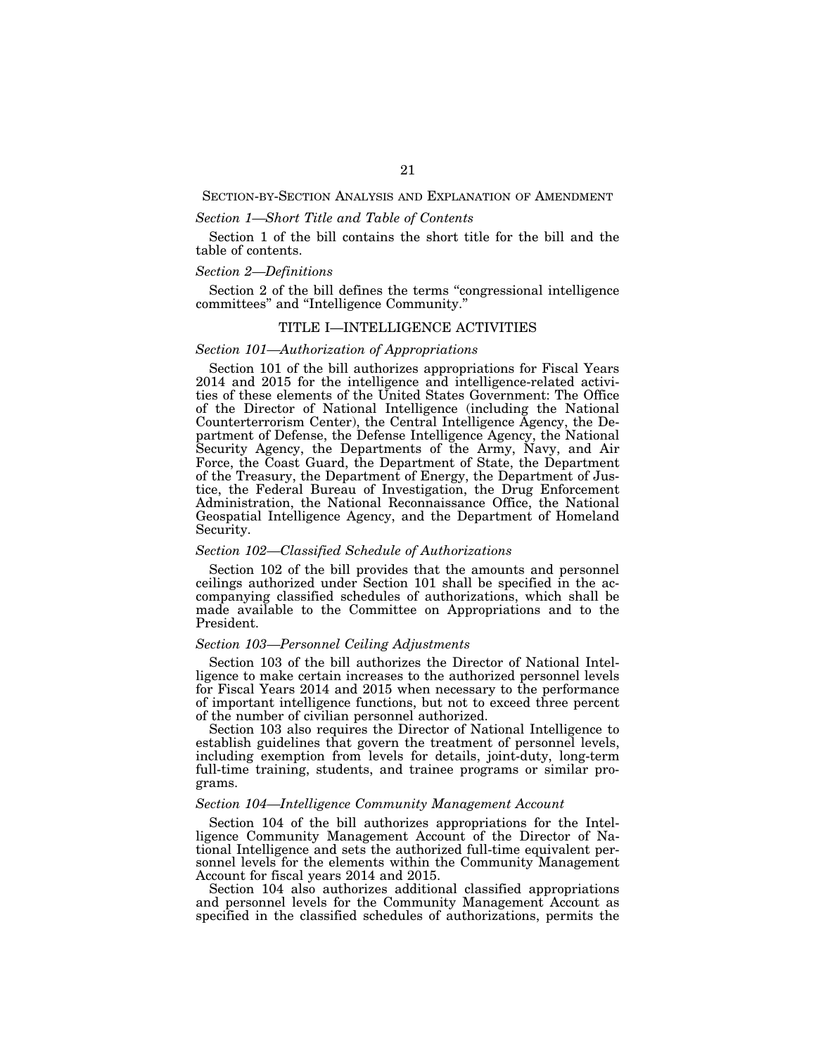SECTION-BY-SECTION ANALYSIS AND EXPLANATION OF AMENDMENT

## *Section 1—Short Title and Table of Contents*

Section 1 of the bill contains the short title for the bill and the table of contents.

## *Section 2—Definitions*

Section 2 of the bill defines the terms ''congressional intelligence committees'' and ''Intelligence Community.''

## TITLE I—INTELLIGENCE ACTIVITIES

## *Section 101—Authorization of Appropriations*

Section 101 of the bill authorizes appropriations for Fiscal Years 2014 and 2015 for the intelligence and intelligence-related activities of these elements of the United States Government: The Office of the Director of National Intelligence (including the National Counterterrorism Center), the Central Intelligence Agency, the Department of Defense, the Defense Intelligence Agency, the National Security Agency, the Departments of the Army, Navy, and Air Force, the Coast Guard, the Department of State, the Department of the Treasury, the Department of Energy, the Department of Justice, the Federal Bureau of Investigation, the Drug Enforcement Administration, the National Reconnaissance Office, the National Geospatial Intelligence Agency, and the Department of Homeland Security.

#### *Section 102—Classified Schedule of Authorizations*

Section 102 of the bill provides that the amounts and personnel ceilings authorized under Section 101 shall be specified in the accompanying classified schedules of authorizations, which shall be made available to the Committee on Appropriations and to the President.

## *Section 103—Personnel Ceiling Adjustments*

Section 103 of the bill authorizes the Director of National Intelligence to make certain increases to the authorized personnel levels for Fiscal Years 2014 and 2015 when necessary to the performance of important intelligence functions, but not to exceed three percent of the number of civilian personnel authorized.

Section 103 also requires the Director of National Intelligence to establish guidelines that govern the treatment of personnel levels, including exemption from levels for details, joint-duty, long-term full-time training, students, and trainee programs or similar programs.

## *Section 104—Intelligence Community Management Account*

Section 104 of the bill authorizes appropriations for the Intelligence Community Management Account of the Director of National Intelligence and sets the authorized full-time equivalent personnel levels for the elements within the Community Management Account for fiscal years 2014 and 2015.

Section 104 also authorizes additional classified appropriations and personnel levels for the Community Management Account as specified in the classified schedules of authorizations, permits the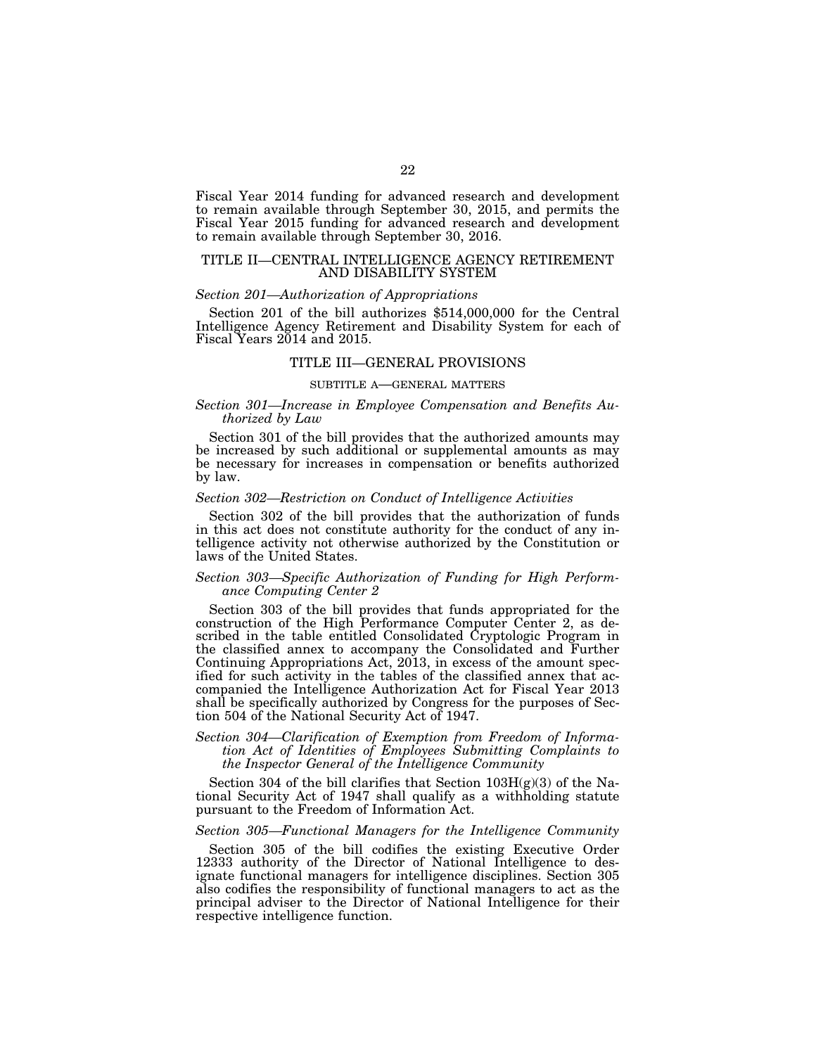Fiscal Year 2014 funding for advanced research and development to remain available through September 30, 2015, and permits the Fiscal Year 2015 funding for advanced research and development to remain available through September 30, 2016.

## TITLE II—CENTRAL INTELLIGENCE AGENCY RETIREMENT AND DISABILITY SYSTEM

#### *Section 201—Authorization of Appropriations*

Section 201 of the bill authorizes \$514,000,000 for the Central Intelligence Agency Retirement and Disability System for each of Fiscal Years 2014 and 2015.

## TITLE III—GENERAL PROVISIONS

#### SUBTITLE A—GENERAL MATTERS

## *Section 301—Increase in Employee Compensation and Benefits Authorized by Law*

Section 301 of the bill provides that the authorized amounts may be increased by such additional or supplemental amounts as may be necessary for increases in compensation or benefits authorized by law.

## *Section 302—Restriction on Conduct of Intelligence Activities*

Section 302 of the bill provides that the authorization of funds in this act does not constitute authority for the conduct of any intelligence activity not otherwise authorized by the Constitution or laws of the United States.

## *Section 303—Specific Authorization of Funding for High Performance Computing Center 2*

Section 303 of the bill provides that funds appropriated for the construction of the High Performance Computer Center 2, as described in the table entitled Consolidated Cryptologic Program in the classified annex to accompany the Consolidated and Further Continuing Appropriations Act, 2013, in excess of the amount specified for such activity in the tables of the classified annex that accompanied the Intelligence Authorization Act for Fiscal Year 2013 shall be specifically authorized by Congress for the purposes of Section 504 of the National Security Act of 1947.

## *Section 304—Clarification of Exemption from Freedom of Information Act of Identities of Employees Submitting Complaints to the Inspector General of the Intelligence Community*

Section 304 of the bill clarifies that Section  $103H(g)(3)$  of the National Security Act of 1947 shall qualify as a withholding statute pursuant to the Freedom of Information Act.

#### *Section 305—Functional Managers for the Intelligence Community*

Section 305 of the bill codifies the existing Executive Order 12333 authority of the Director of National Intelligence to designate functional managers for intelligence disciplines. Section 305 also codifies the responsibility of functional managers to act as the principal adviser to the Director of National Intelligence for their respective intelligence function.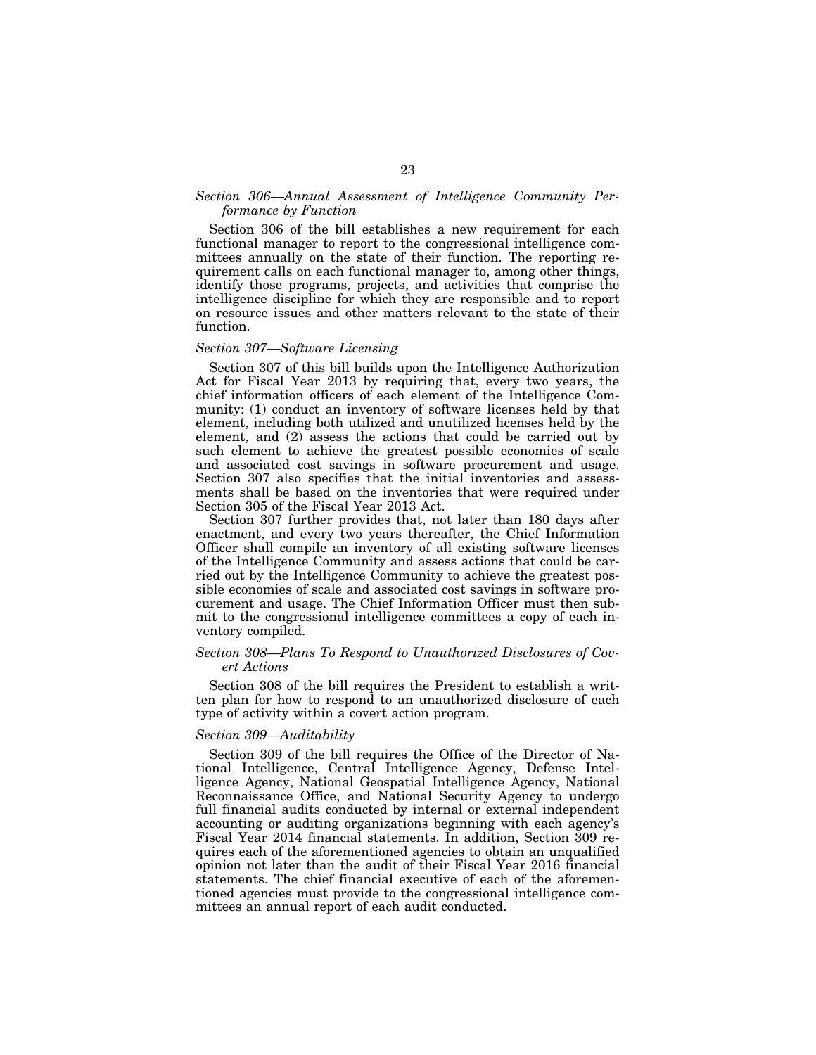## *Section 306—Annual Assessment of Intelligence Community Performance by Function*

Section 306 of the bill establishes a new requirement for each functional manager to report to the congressional intelligence committees annually on the state of their function. The reporting requirement calls on each functional manager to, among other things, identify those programs, projects, and activities that comprise the intelligence discipline for which they are responsible and to report on resource issues and other matters relevant to the state of their function.

## *Section 307—Software Licensing*

Section 307 of this bill builds upon the Intelligence Authorization Act for Fiscal Year 2013 by requiring that, every two years, the chief information officers of each element of the Intelligence Community: (1) conduct an inventory of software licenses held by that element, including both utilized and unutilized licenses held by the element, and (2) assess the actions that could be carried out by such element to achieve the greatest possible economies of scale and associated cost savings in software procurement and usage. Section 307 also specifies that the initial inventories and assessments shall be based on the inventories that were required under Section 305 of the Fiscal Year 2013 Act.

Section 307 further provides that, not later than 180 days after enactment, and every two years thereafter, the Chief Information Officer shall compile an inventory of all existing software licenses of the Intelligence Community and assess actions that could be carried out by the Intelligence Community to achieve the greatest possible economies of scale and associated cost savings in software procurement and usage. The Chief Information Officer must then submit to the congressional intelligence committees a copy of each inventory compiled.

## *Section 308—Plans To Respond to Unauthorized Disclosures of Covert Actions*

Section 308 of the bill requires the President to establish a written plan for how to respond to an unauthorized disclosure of each type of activity within a covert action program.

## *Section 309—Auditability*

Section 309 of the bill requires the Office of the Director of National Intelligence, Central Intelligence Agency, Defense Intelligence Agency, National Geospatial Intelligence Agency, National Reconnaissance Office, and National Security Agency to undergo full financial audits conducted by internal or external independent accounting or auditing organizations beginning with each agency's Fiscal Year 2014 financial statements. In addition, Section 309 requires each of the aforementioned agencies to obtain an unqualified opinion not later than the audit of their Fiscal Year 2016 financial statements. The chief financial executive of each of the aforementioned agencies must provide to the congressional intelligence committees an annual report of each audit conducted.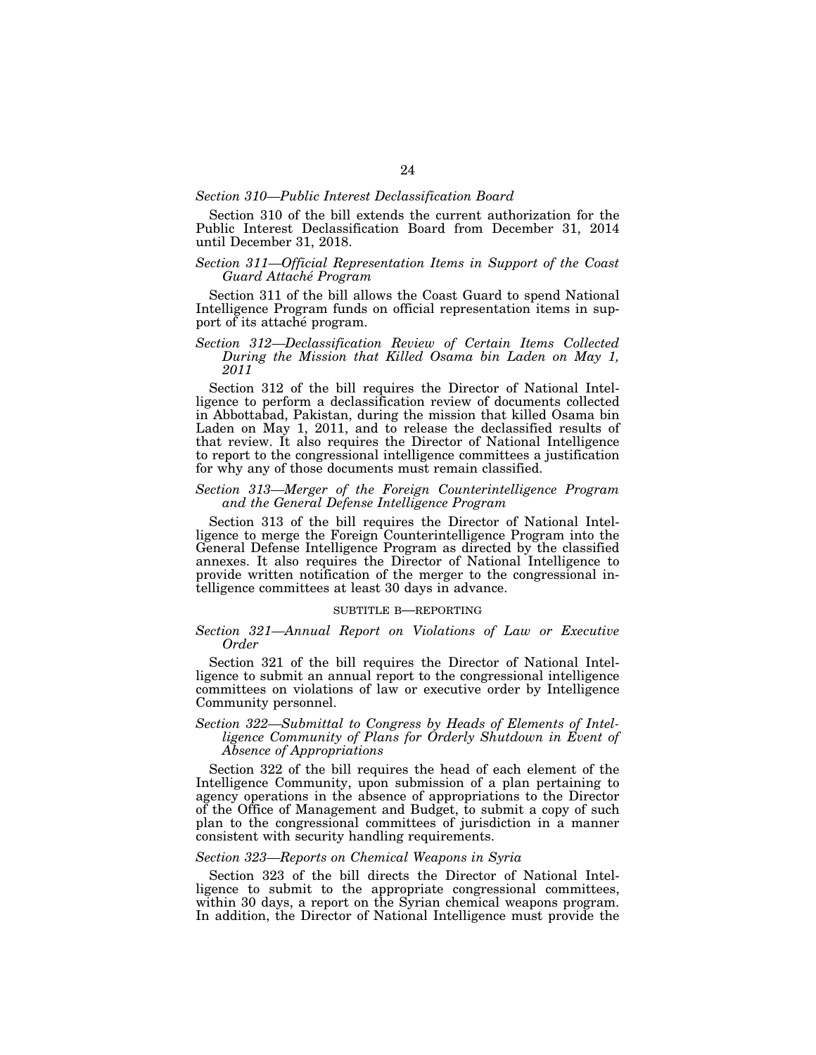#### *Section 310—Public Interest Declassification Board*

Section 310 of the bill extends the current authorization for the Public Interest Declassification Board from December 31, 2014 until December 31, 2018.

## *Section 311—Official Representation Items in Support of the Coast Guard Attache´ Program*

Section 311 of the bill allows the Coast Guard to spend National Intelligence Program funds on official representation items in support of its attaché program.

## *Section 312—Declassification Review of Certain Items Collected During the Mission that Killed Osama bin Laden on May 1, 2011*

Section 312 of the bill requires the Director of National Intelligence to perform a declassification review of documents collected in Abbottabad, Pakistan, during the mission that killed Osama bin Laden on May 1, 2011, and to release the declassified results of that review. It also requires the Director of National Intelligence to report to the congressional intelligence committees a justification for why any of those documents must remain classified.

## *Section 313—Merger of the Foreign Counterintelligence Program and the General Defense Intelligence Program*

Section 313 of the bill requires the Director of National Intelligence to merge the Foreign Counterintelligence Program into the General Defense Intelligence Program as directed by the classified annexes. It also requires the Director of National Intelligence to provide written notification of the merger to the congressional intelligence committees at least 30 days in advance.

#### SUBTITLE B—REPORTING

## *Section 321—Annual Report on Violations of Law or Executive Order*

Section 321 of the bill requires the Director of National Intelligence to submit an annual report to the congressional intelligence committees on violations of law or executive order by Intelligence Community personnel.

## *Section 322—Submittal to Congress by Heads of Elements of Intelligence Community of Plans for Orderly Shutdown in Event of Absence of Appropriations*

Section 322 of the bill requires the head of each element of the Intelligence Community, upon submission of a plan pertaining to agency operations in the absence of appropriations to the Director of the Office of Management and Budget, to submit a copy of such plan to the congressional committees of jurisdiction in a manner consistent with security handling requirements.

## *Section 323—Reports on Chemical Weapons in Syria*

Section 323 of the bill directs the Director of National Intelligence to submit to the appropriate congressional committees, within 30 days, a report on the Syrian chemical weapons program. In addition, the Director of National Intelligence must provide the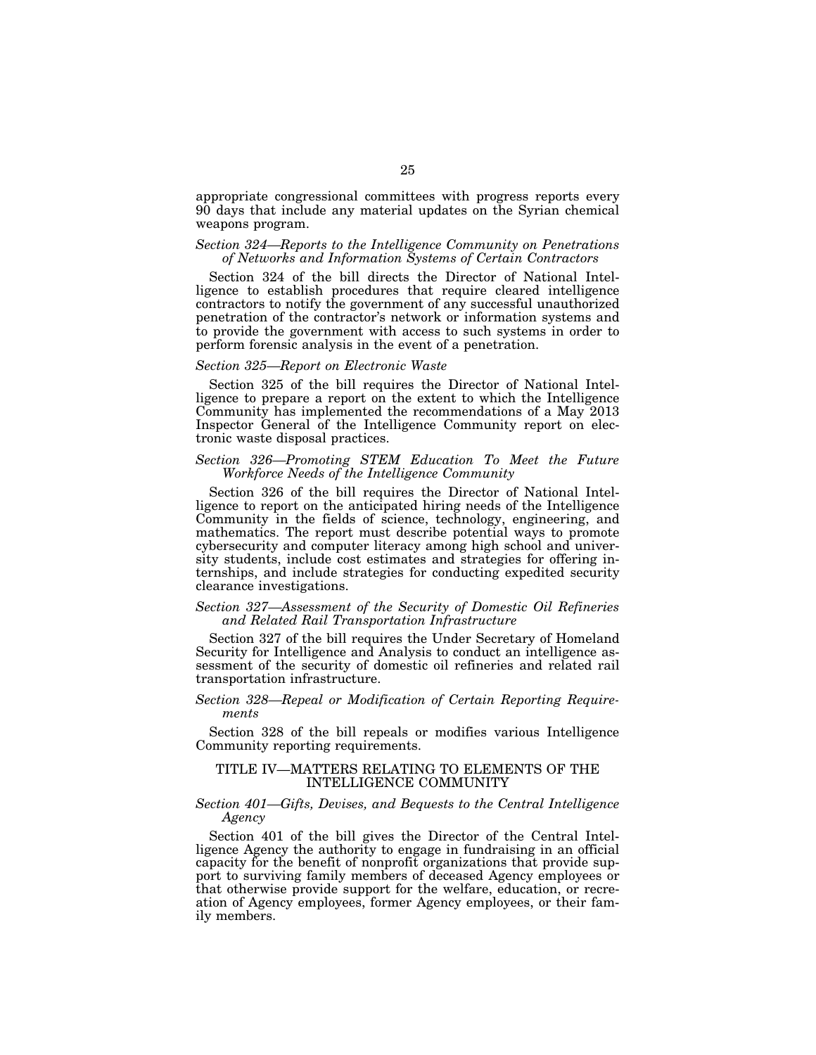appropriate congressional committees with progress reports every 90 days that include any material updates on the Syrian chemical weapons program.

## *Section 324—Reports to the Intelligence Community on Penetrations of Networks and Information Systems of Certain Contractors*

Section 324 of the bill directs the Director of National Intelligence to establish procedures that require cleared intelligence contractors to notify the government of any successful unauthorized penetration of the contractor's network or information systems and to provide the government with access to such systems in order to perform forensic analysis in the event of a penetration.

## *Section 325—Report on Electronic Waste*

Section 325 of the bill requires the Director of National Intelligence to prepare a report on the extent to which the Intelligence Community has implemented the recommendations of a May 2013 Inspector General of the Intelligence Community report on electronic waste disposal practices.

## *Section 326—Promoting STEM Education To Meet the Future Workforce Needs of the Intelligence Community*

Section 326 of the bill requires the Director of National Intelligence to report on the anticipated hiring needs of the Intelligence Community in the fields of science, technology, engineering, and mathematics. The report must describe potential ways to promote cybersecurity and computer literacy among high school and university students, include cost estimates and strategies for offering internships, and include strategies for conducting expedited security clearance investigations.

## *Section 327—Assessment of the Security of Domestic Oil Refineries and Related Rail Transportation Infrastructure*

Section 327 of the bill requires the Under Secretary of Homeland Security for Intelligence and Analysis to conduct an intelligence assessment of the security of domestic oil refineries and related rail transportation infrastructure.

## *Section 328—Repeal or Modification of Certain Reporting Requirements*

Section 328 of the bill repeals or modifies various Intelligence Community reporting requirements.

## TITLE IV—MATTERS RELATING TO ELEMENTS OF THE INTELLIGENCE COMMUNITY

## *Section 401—Gifts, Devises, and Bequests to the Central Intelligence Agency*

Section 401 of the bill gives the Director of the Central Intelligence Agency the authority to engage in fundraising in an official capacity for the benefit of nonprofit organizations that provide support to surviving family members of deceased Agency employees or that otherwise provide support for the welfare, education, or recreation of Agency employees, former Agency employees, or their family members.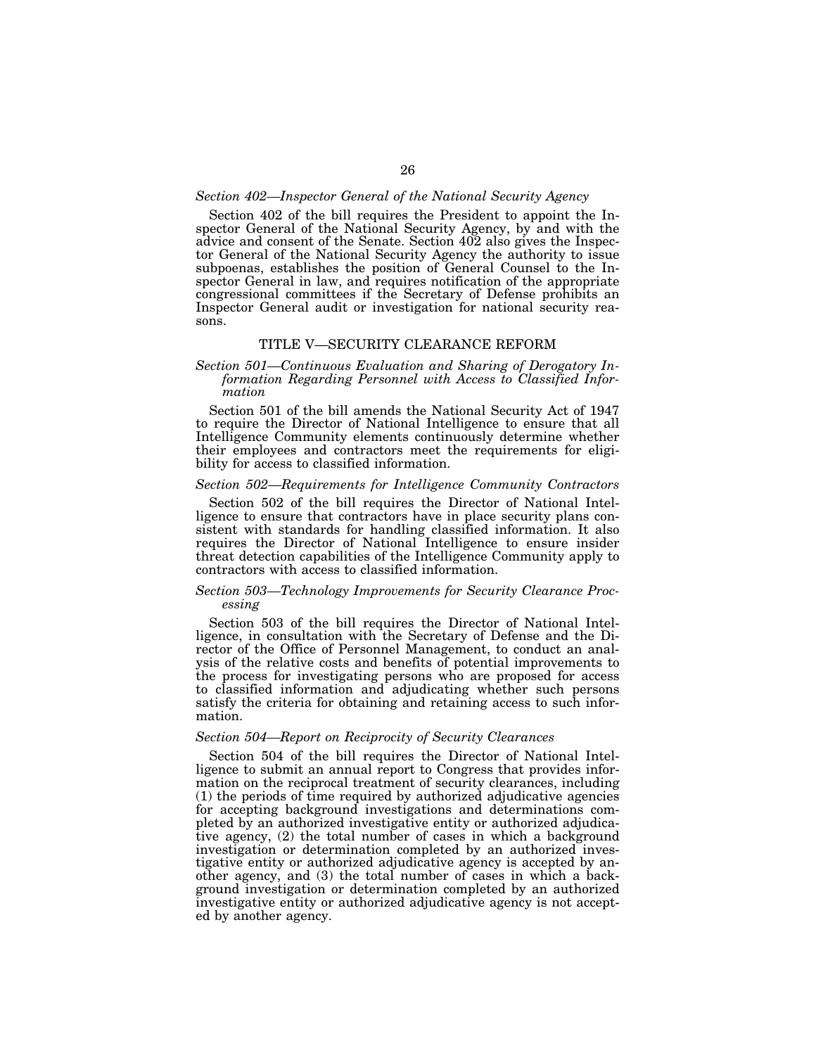#### *Section 402—Inspector General of the National Security Agency*

Section 402 of the bill requires the President to appoint the Inspector General of the National Security Agency, by and with the advice and consent of the Senate. Section 402 also gives the Inspector General of the National Security Agency the authority to issue subpoenas, establishes the position of General Counsel to the Inspector General in law, and requires notification of the appropriate congressional committees if the Secretary of Defense prohibits an Inspector General audit or investigation for national security reasons.

## TITLE V—SECURITY CLEARANCE REFORM

## *Section 501—Continuous Evaluation and Sharing of Derogatory Information Regarding Personnel with Access to Classified Information*

Section 501 of the bill amends the National Security Act of 1947 to require the Director of National Intelligence to ensure that all Intelligence Community elements continuously determine whether their employees and contractors meet the requirements for eligibility for access to classified information.

## *Section 502—Requirements for Intelligence Community Contractors*

Section 502 of the bill requires the Director of National Intelligence to ensure that contractors have in place security plans consistent with standards for handling classified information. It also requires the Director of National Intelligence to ensure insider threat detection capabilities of the Intelligence Community apply to contractors with access to classified information.

## *Section 503—Technology Improvements for Security Clearance Processing*

Section 503 of the bill requires the Director of National Intelligence, in consultation with the Secretary of Defense and the Director of the Office of Personnel Management, to conduct an analysis of the relative costs and benefits of potential improvements to the process for investigating persons who are proposed for access to classified information and adjudicating whether such persons satisfy the criteria for obtaining and retaining access to such information.

## *Section 504—Report on Reciprocity of Security Clearances*

Section 504 of the bill requires the Director of National Intelligence to submit an annual report to Congress that provides information on the reciprocal treatment of security clearances, including (1) the periods of time required by authorized adjudicative agencies for accepting background investigations and determinations completed by an authorized investigative entity or authorized adjudicative agency, (2) the total number of cases in which a background investigation or determination completed by an authorized investigative entity or authorized adjudicative agency is accepted by another agency, and (3) the total number of cases in which a background investigation or determination completed by an authorized investigative entity or authorized adjudicative agency is not accepted by another agency.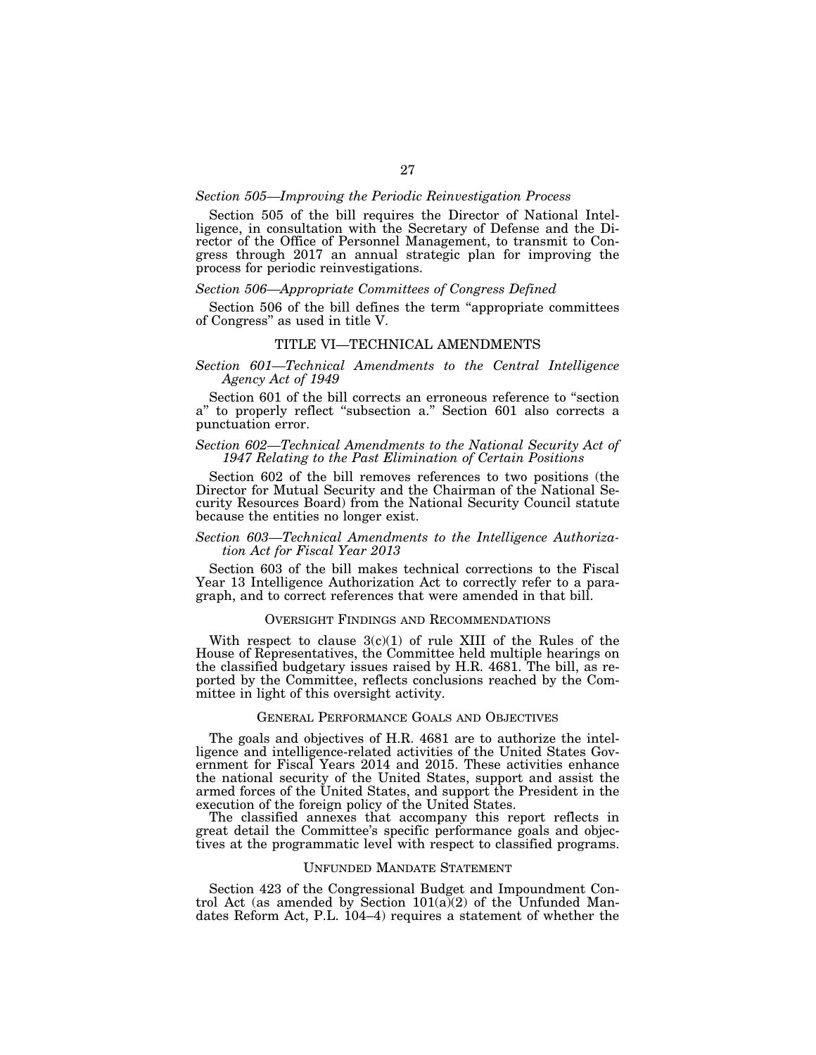## *Section 505—Improving the Periodic Reinvestigation Process*

Section 505 of the bill requires the Director of National Intelligence, in consultation with the Secretary of Defense and the Director of the Office of Personnel Management, to transmit to Congress through 2017 an annual strategic plan for improving the process for periodic reinvestigations.

## *Section 506—Appropriate Committees of Congress Defined*

Section 506 of the bill defines the term "appropriate committees of Congress'' as used in title V.

#### TITLE VI—TECHNICAL AMENDMENTS

## *Section 601—Technical Amendments to the Central Intelligence Agency Act of 1949*

Section 601 of the bill corrects an erroneous reference to "section a'' to properly reflect ''subsection a.'' Section 601 also corrects a punctuation error.

## *Section 602—Technical Amendments to the National Security Act of 1947 Relating to the Past Elimination of Certain Positions*

Section 602 of the bill removes references to two positions (the Director for Mutual Security and the Chairman of the National Security Resources Board) from the National Security Council statute because the entities no longer exist.

## *Section 603—Technical Amendments to the Intelligence Authorization Act for Fiscal Year 2013*

Section 603 of the bill makes technical corrections to the Fiscal Year 13 Intelligence Authorization Act to correctly refer to a paragraph, and to correct references that were amended in that bill.

## OVERSIGHT FINDINGS AND RECOMMENDATIONS

With respect to clause  $3(c)(1)$  of rule XIII of the Rules of the House of Representatives, the Committee held multiple hearings on the classified budgetary issues raised by H.R. 4681. The bill, as reported by the Committee, reflects conclusions reached by the Committee in light of this oversight activity.

#### GENERAL PERFORMANCE GOALS AND OBJECTIVES

The goals and objectives of H.R. 4681 are to authorize the intelligence and intelligence-related activities of the United States Government for Fiscal Years 2014 and 2015. These activities enhance the national security of the United States, support and assist the armed forces of the United States, and support the President in the execution of the foreign policy of the United States.

The classified annexes that accompany this report reflects in great detail the Committee's specific performance goals and objectives at the programmatic level with respect to classified programs.

#### UNFUNDED MANDATE STATEMENT

Section 423 of the Congressional Budget and Impoundment Control Act (as amended by Section  $101(a)(2)$  of the Unfunded Mandates Reform Act, P.L. 104–4) requires a statement of whether the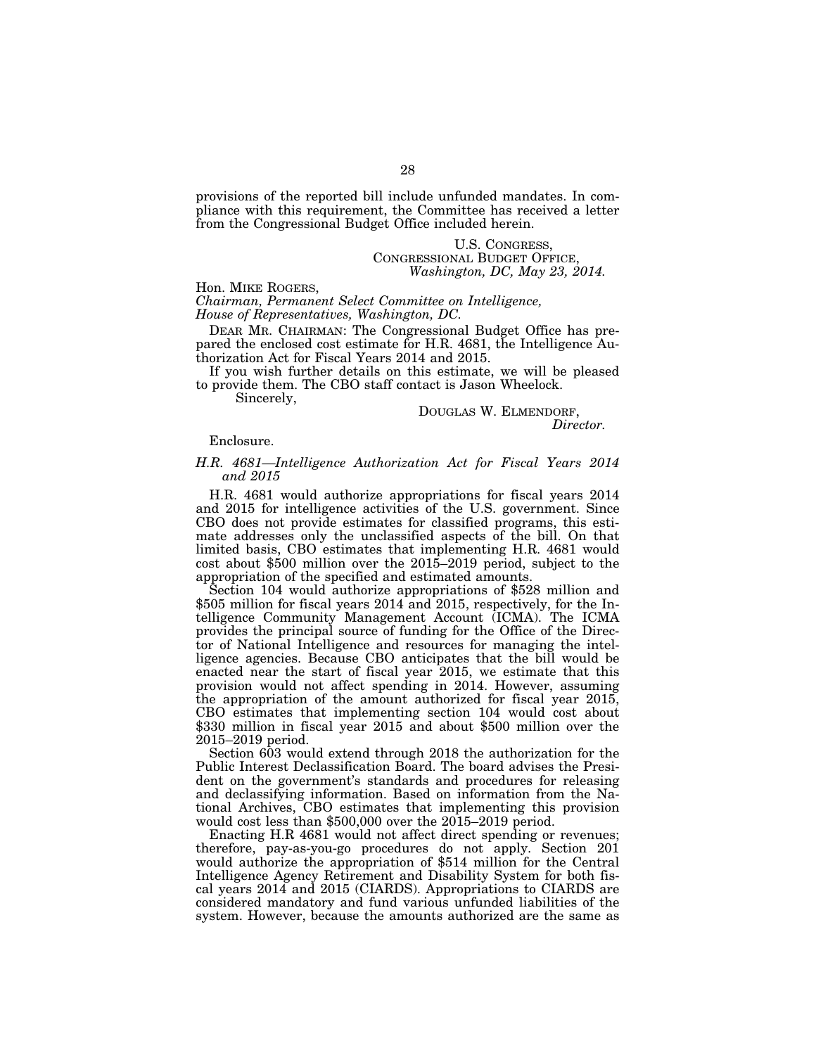provisions of the reported bill include unfunded mandates. In compliance with this requirement, the Committee has received a letter from the Congressional Budget Office included herein.

#### U.S. CONGRESS, CONGRESSIONAL BUDGET OFFICE, *Washington, DC, May 23, 2014.*

#### Hon. MIKE ROGERS,

*Chairman, Permanent Select Committee on Intelligence, House of Representatives, Washington, DC.* 

DEAR MR. CHAIRMAN: The Congressional Budget Office has prepared the enclosed cost estimate for H.R. 4681, the Intelligence Authorization Act for Fiscal Years 2014 and 2015.

If you wish further details on this estimate, we will be pleased to provide them. The CBO staff contact is Jason Wheelock.

Sincerely,

# DOUGLAS W. ELMENDORF, *Director.*

#### Enclosure.

## *H.R. 4681—Intelligence Authorization Act for Fiscal Years 2014 and 2015*

H.R. 4681 would authorize appropriations for fiscal years 2014 and 2015 for intelligence activities of the U.S. government. Since CBO does not provide estimates for classified programs, this estimate addresses only the unclassified aspects of the bill. On that limited basis, CBO estimates that implementing H.R. 4681 would cost about \$500 million over the 2015–2019 period, subject to the appropriation of the specified and estimated amounts.

Section 104 would authorize appropriations of \$528 million and \$505 million for fiscal years 2014 and 2015, respectively, for the Intelligence Community Management Account (ICMA). The ICMA provides the principal source of funding for the Office of the Director of National Intelligence and resources for managing the intelligence agencies. Because CBO anticipates that the bill would be enacted near the start of fiscal year 2015, we estimate that this provision would not affect spending in 2014. However, assuming the appropriation of the amount authorized for fiscal year 2015, CBO estimates that implementing section 104 would cost about \$330 million in fiscal year 2015 and about \$500 million over the 2015–2019 period.

Section 603 would extend through 2018 the authorization for the Public Interest Declassification Board. The board advises the President on the government's standards and procedures for releasing and declassifying information. Based on information from the National Archives, CBO estimates that implementing this provision would cost less than \$500,000 over the 2015–2019 period.

Enacting H.R 4681 would not affect direct spending or revenues; therefore, pay-as-you-go procedures do not apply. Section 201 would authorize the appropriation of \$514 million for the Central Intelligence Agency Retirement and Disability System for both fiscal years 2014 and 2015 (CIARDS). Appropriations to CIARDS are considered mandatory and fund various unfunded liabilities of the system. However, because the amounts authorized are the same as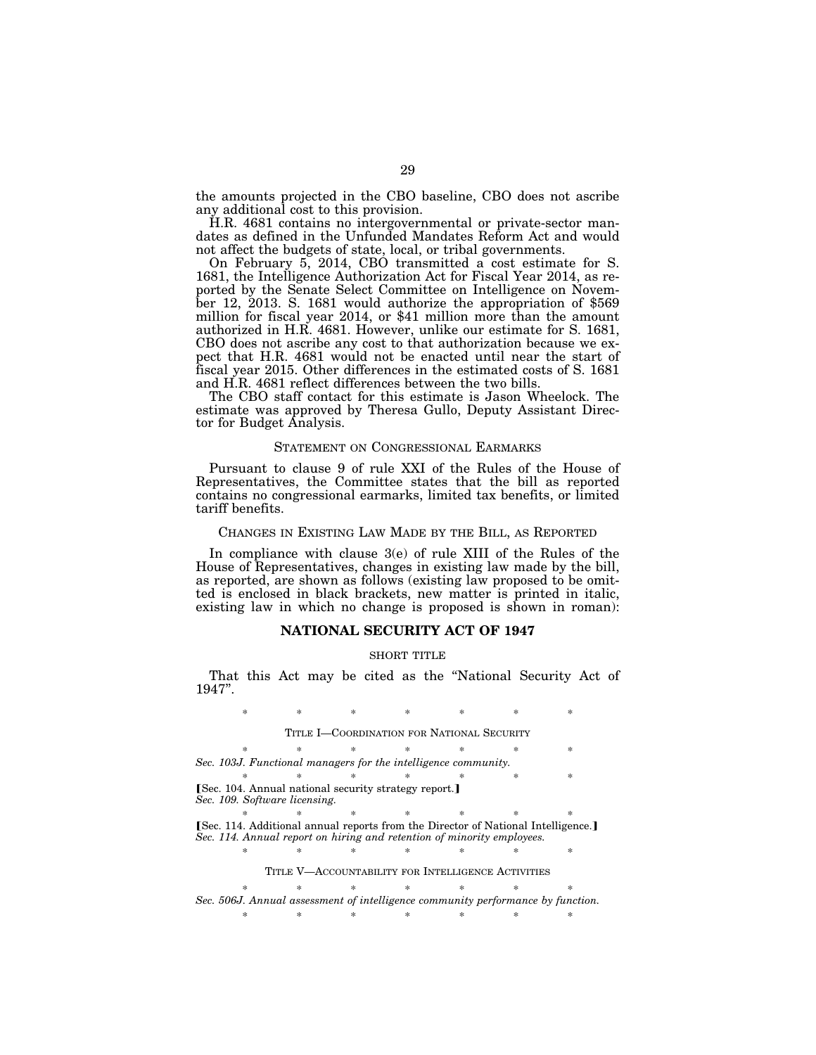the amounts projected in the CBO baseline, CBO does not ascribe any additional cost to this provision.

H.R. 4681 contains no intergovernmental or private-sector mandates as defined in the Unfunded Mandates Reform Act and would not affect the budgets of state, local, or tribal governments.

On February 5, 2014, CBO transmitted a cost estimate for S. 1681, the Intelligence Authorization Act for Fiscal Year 2014, as reported by the Senate Select Committee on Intelligence on November 12, 2013. S. 1681 would authorize the appropriation of \$569 million for fiscal year 2014, or \$41 million more than the amount authorized in H.R. 4681. However, unlike our estimate for S. 1681, CBO does not ascribe any cost to that authorization because we expect that H.R. 4681 would not be enacted until near the start of fiscal year 2015. Other differences in the estimated costs of S. 1681 and H.R. 4681 reflect differences between the two bills.

The CBO staff contact for this estimate is Jason Wheelock. The estimate was approved by Theresa Gullo, Deputy Assistant Director for Budget Analysis.

#### STATEMENT ON CONGRESSIONAL EARMARKS

Pursuant to clause 9 of rule XXI of the Rules of the House of Representatives, the Committee states that the bill as reported contains no congressional earmarks, limited tax benefits, or limited tariff benefits.

## CHANGES IN EXISTING LAW MADE BY THE BILL, AS REPORTED

In compliance with clause 3(e) of rule XIII of the Rules of the House of Representatives, changes in existing law made by the bill, as reported, are shown as follows (existing law proposed to be omitted is enclosed in black brackets, new matter is printed in italic, existing law in which no change is proposed is shown in roman):

## **NATIONAL SECURITY ACT OF 1947**

#### SHORT TITLE

That this Act may be cited as the "National Security Act of 1947''.

\* \* \* \* \* \* \* \* TITLE I—COORDINATION FOR NATIONAL SECURITY  $\begin{array}{l} \ast \\ \ast \end{array}$ *Sec. 103J. Functional managers for the intelligence community.*  \* \* \* \* \* \* \* **ISec. 104. Annual national security strategy report.**] *Sec. 109. Software licensing.*  **Example 2.114.** Additional annual reports from the Director of National Intelligence.] *Sec. 114. Annual report on hiring and retention of minority employees.*  \* \* \* \* \* \* \* \* TITLE V—ACCOUNTABILITY FOR INTELLIGENCE ACTIVITIES \* \* \* \* \* \* \* \* *Sec. 506J. Annual assessment of intelligence community performance by function.*  \* \* \* \* \* \* \*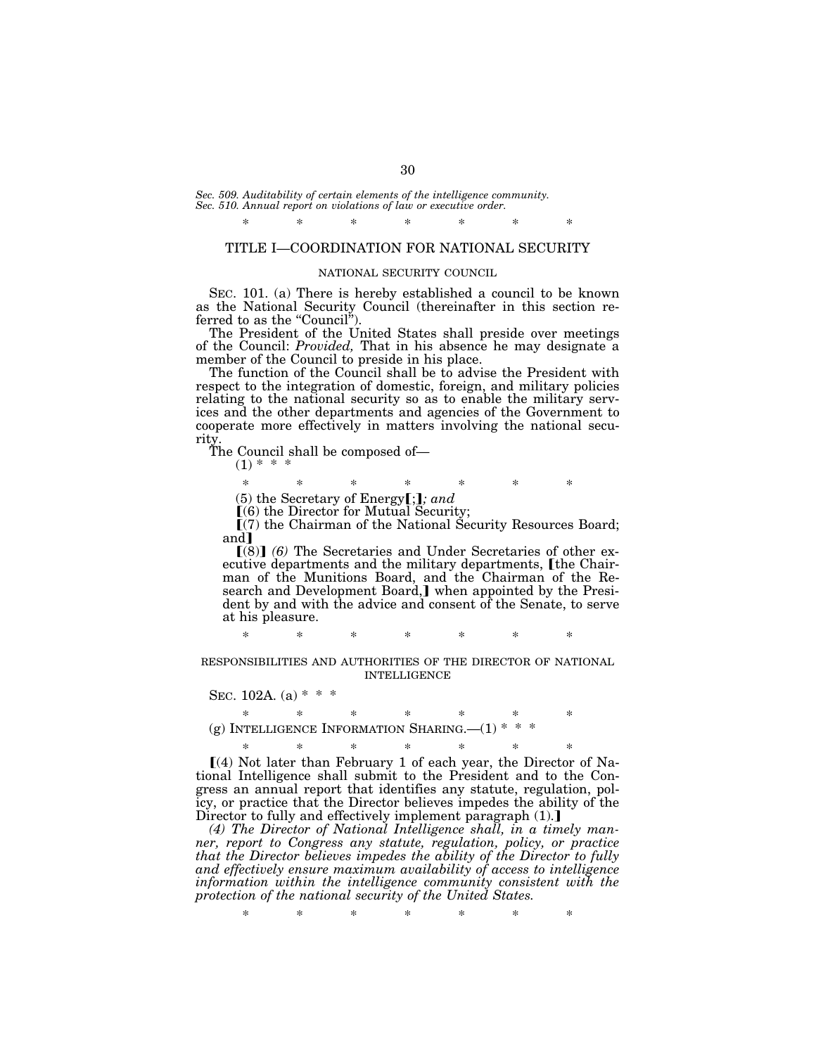*Sec. 509. Auditability of certain elements of the intelligence community. Sec. 510. Annual report on violations of law or executive order.* 

# \* \* \* \* \* \* \* TITLE I—COORDINATION FOR NATIONAL SECURITY

#### NATIONAL SECURITY COUNCIL

SEC. 101. (a) There is hereby established a council to be known as the National Security Council (thereinafter in this section referred to as the "Council".

The President of the United States shall preside over meetings of the Council: *Provided,* That in his absence he may designate a member of the Council to preside in his place.

The function of the Council shall be to advise the President with respect to the integration of domestic, foreign, and military policies relating to the national security so as to enable the military services and the other departments and agencies of the Government to cooperate more effectively in matters involving the national security.

The Council shall be composed of—

 $(1) * *$ 

\* \* \* \* \* \* \*

 $(5)$  the Secretary of Energy $[$ ;  $]$ *; and* 

 $(6)$  the Director for Mutual Security;

ø(7) the Chairman of the National Security Resources Board; and I

**[(8)] (6)** The Secretaries and Under Secretaries of other executive departments and the military departments, [the Chairman of the Munitions Board, and the Chairman of the Research and Development Board,] when appointed by the President by and with the advice and consent of the Senate, to serve at his pleasure.

\* \* \* \* \* \* \*

RESPONSIBILITIES AND AUTHORITIES OF THE DIRECTOR OF NATIONAL INTELLIGENCE

## SEC. 102A. (a)  $* * *$

\* \* \* \* \* \* \* (g) INTELLIGENCE INFORMATION SHARING.  $-(1)$ <sup>\*</sup>

\* \* \* \* \* \* \*  $(a)$  Not later than February 1 of each year, the Director of National Intelligence shall submit to the President and to the Con-

gress an annual report that identifies any statute, regulation, policy, or practice that the Director believes impedes the ability of the Director to fully and effectively implement paragraph  $(1)$ .]

*(4) The Director of National Intelligence shall, in a timely manner, report to Congress any statute, regulation, policy, or practice that the Director believes impedes the ability of the Director to fully and effectively ensure maximum availability of access to intelligence information within the intelligence community consistent with the protection of the national security of the United States.*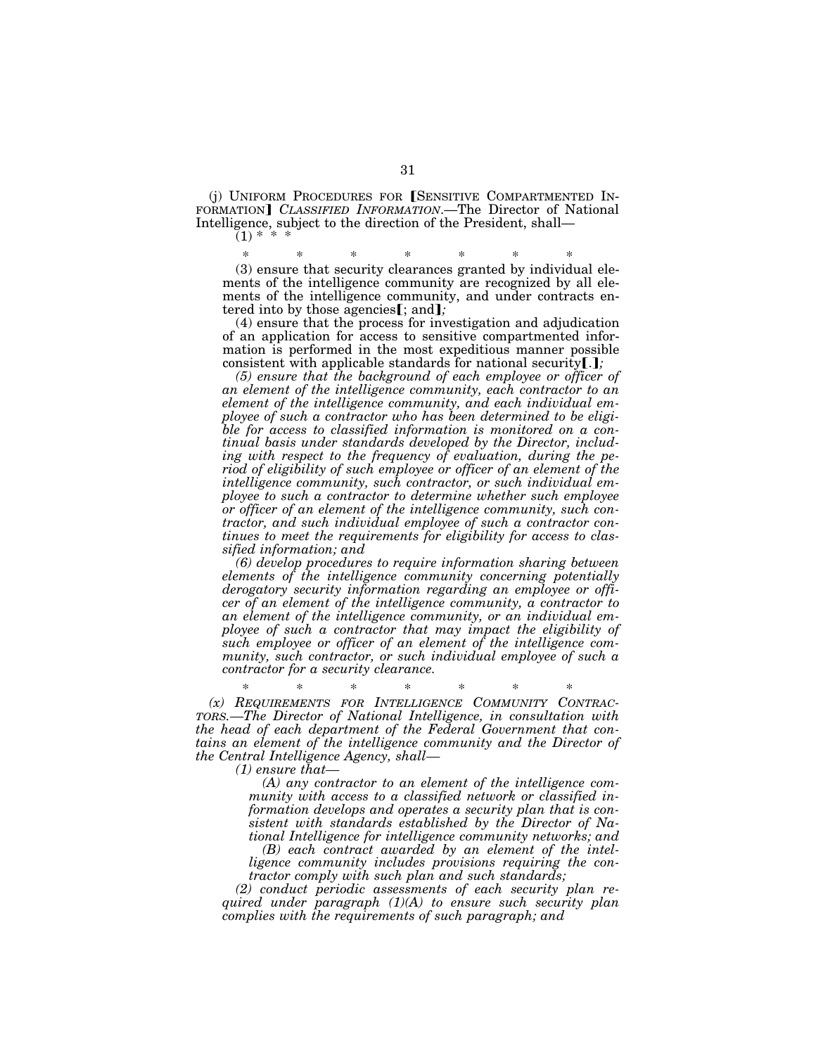(i) UNIFORM PROCEDURES FOR SENSITIVE COMPARTMENTED IN-FORMATION] *CLASSIFIED INFORMATION*.—The Director of National Intelligence, subject to the direction of the President, shall—  $(1) *$ 

\* \* \* \* \* \* \*

(3) ensure that security clearances granted by individual elements of the intelligence community are recognized by all elements of the intelligence community, and under contracts entered into by those agencies**[**; and**]***;* 

(4) ensure that the process for investigation and adjudication of an application for access to sensitive compartmented information is performed in the most expeditious manner possible consistent with applicable standards for national security[.];

*(5) ensure that the background of each employee or officer of an element of the intelligence community, each contractor to an element of the intelligence community, and each individual employee of such a contractor who has been determined to be eligible for access to classified information is monitored on a continual basis under standards developed by the Director, including with respect to the frequency of evaluation, during the period of eligibility of such employee or officer of an element of the intelligence community, such contractor, or such individual employee to such a contractor to determine whether such employee or officer of an element of the intelligence community, such contractor, and such individual employee of such a contractor continues to meet the requirements for eligibility for access to classified information; and* 

*(6) develop procedures to require information sharing between elements of the intelligence community concerning potentially derogatory security information regarding an employee or officer of an element of the intelligence community, a contractor to an element of the intelligence community, or an individual employee of such a contractor that may impact the eligibility of such employee or officer of an element of the intelligence community, such contractor, or such individual employee of such a contractor for a security clearance.* 

\* \* \* \* \* \* \* *(x) REQUIREMENTS FOR INTELLIGENCE COMMUNITY CONTRAC-TORS.—The Director of National Intelligence, in consultation with the head of each department of the Federal Government that contains an element of the intelligence community and the Director of the Central Intelligence Agency, shall—* 

*(1) ensure that—* 

*(A) any contractor to an element of the intelligence community with access to a classified network or classified information develops and operates a security plan that is consistent with standards established by the Director of National Intelligence for intelligence community networks; and* 

*(B) each contract awarded by an element of the intelligence community includes provisions requiring the contractor comply with such plan and such standards;* 

*(2) conduct periodic assessments of each security plan required under paragraph (1)(A) to ensure such security plan complies with the requirements of such paragraph; and*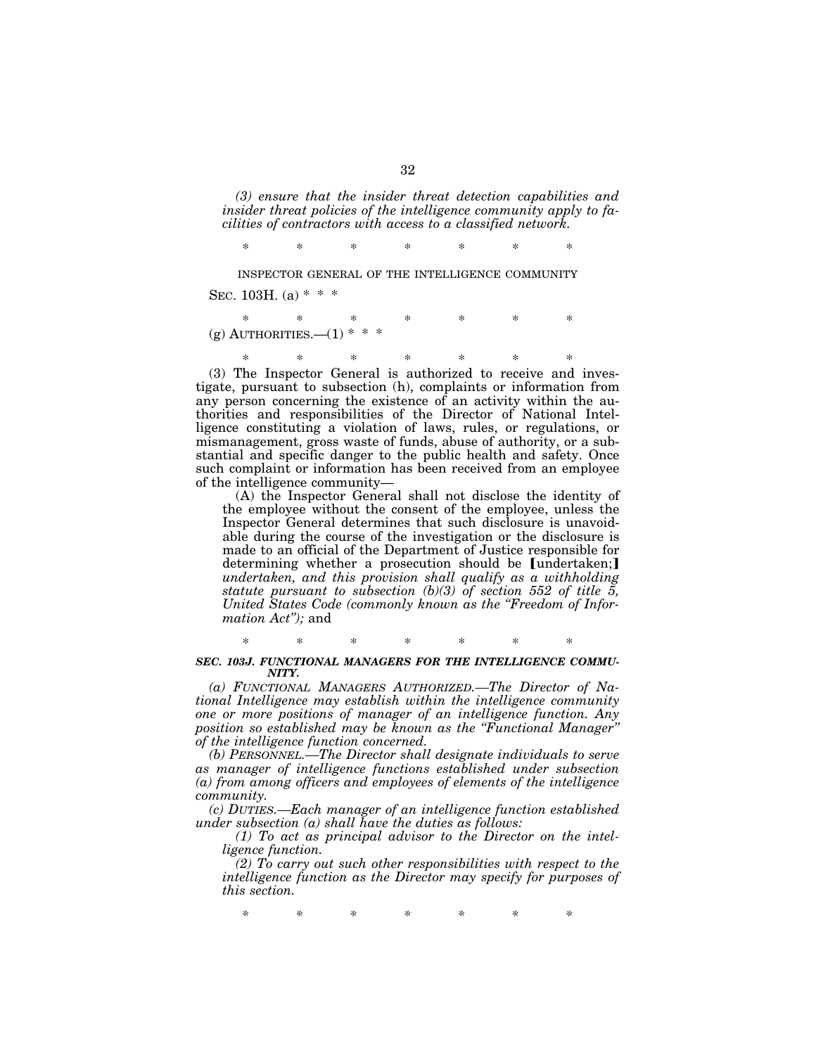*(3) ensure that the insider threat detection capabilities and insider threat policies of the intelligence community apply to facilities of contractors with access to a classified network.* 

\* \* \* \* \* \* \*

INSPECTOR GENERAL OF THE INTELLIGENCE COMMUNITY SEC. 103H. (a)  $* * *$ 

\* \* \* \* \* \* \*  $(g)$  AUTHORITIES.— $(1)$ 

\* \* \* \* \* \* \* (3) The Inspector General is authorized to receive and investigate, pursuant to subsection (h), complaints or information from any person concerning the existence of an activity within the authorities and responsibilities of the Director of National Intelligence constituting a violation of laws, rules, or regulations, or mismanagement, gross waste of funds, abuse of authority, or a substantial and specific danger to the public health and safety. Once such complaint or information has been received from an employee

of the intelligence community— (A) the Inspector General shall not disclose the identity of the employee without the consent of the employee, unless the Inspector General determines that such disclosure is unavoidable during the course of the investigation or the disclosure is made to an official of the Department of Justice responsible for determining whether a prosecution should be [undertaken;] *undertaken, and this provision shall qualify as a withholding statute pursuant to subsection (b)(3) of section 552 of title 5, United States Code (commonly known as the ''Freedom of Information Act'');* and

\* \* \* \* \* \* \* *SEC. 103J. FUNCTIONAL MANAGERS FOR THE INTELLIGENCE COMMU-NITY.* 

*(a) FUNCTIONAL MANAGERS AUTHORIZED.—The Director of National Intelligence may establish within the intelligence community one or more positions of manager of an intelligence function. Any position so established may be known as the ''Functional Manager'' of the intelligence function concerned.* 

*(b) PERSONNEL.—The Director shall designate individuals to serve as manager of intelligence functions established under subsection (a) from among officers and employees of elements of the intelligence community.* 

*(c) DUTIES.—Each manager of an intelligence function established under subsection (a) shall have the duties as follows:* 

*(1) To act as principal advisor to the Director on the intelligence function.* 

*(2) To carry out such other responsibilities with respect to the intelligence function as the Director may specify for purposes of this section.*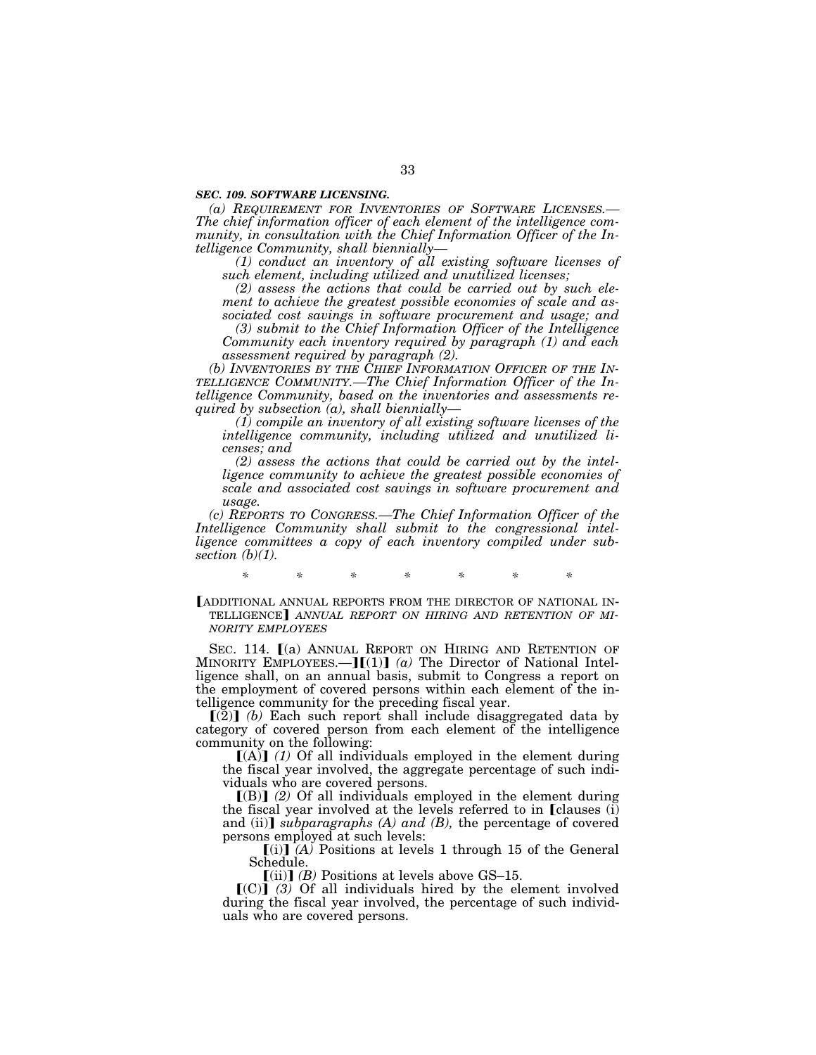#### *SEC. 109. SOFTWARE LICENSING.*

*(a) REQUIREMENT FOR INVENTORIES OF SOFTWARE LICENSES.— The chief information officer of each element of the intelligence community, in consultation with the Chief Information Officer of the Intelligence Community, shall biennially—* 

*(1) conduct an inventory of all existing software licenses of such element, including utilized and unutilized licenses;* 

*(2) assess the actions that could be carried out by such element to achieve the greatest possible economies of scale and associated cost savings in software procurement and usage; and* 

*(3) submit to the Chief Information Officer of the Intelligence Community each inventory required by paragraph (1) and each assessment required by paragraph (2).* 

*(b) INVENTORIES BY THE CHIEF INFORMATION OFFICER OF THE IN-TELLIGENCE COMMUNITY.—The Chief Information Officer of the Intelligence Community, based on the inventories and assessments required by subsection (a), shall biennially—* 

*(1) compile an inventory of all existing software licenses of the intelligence community, including utilized and unutilized licenses; and* 

*(2) assess the actions that could be carried out by the intelligence community to achieve the greatest possible economies of scale and associated cost savings in software procurement and usage.* 

*(c) REPORTS TO CONGRESS.—The Chief Information Officer of the Intelligence Community shall submit to the congressional intelligence committees a copy of each inventory compiled under subsection (b)(1).* 

*\* \* \* \* \* \* \** 

LADDITIONAL ANNUAL REPORTS FROM THE DIRECTOR OF NATIONAL IN-TELLIGENCE ANNUAL REPORT ON HIRING AND RETENTION OF MI-*NORITY EMPLOYEES*

SEC. 114. [(a) ANNUAL REPORT ON HIRING AND RETENTION OF MINORITY EMPLOYEES.— $J(1)$  *(a)* The Director of National Intelligence shall, on an annual basis, submit to Congress a report on the employment of covered persons within each element of the intelligence community for the preceding fiscal year.

 $\left[\left(2\right)\right]$  (b) Each such report shall include disaggregated data by category of covered person from each element of the intelligence community on the following:

 $[(A)]$  (1) Of all individuals employed in the element during the fiscal year involved, the aggregate percentage of such individuals who are covered persons.

 $[(B)]$  (2) Of all individuals employed in the element during the fiscal year involved at the levels referred to in  $\Gamma$  clauses (i) and (ii)] *subparagraphs (A) and (B)*, the percentage of covered persons employed at such levels:

 $[(i)]$   $(A)$  Positions at levels 1 through 15 of the General Schedule.

 $\lceil$ (ii) $\rceil$  *(B)* Positions at levels above GS–15.

 $\lceil (C) \rceil$  (3) Of all individuals hired by the element involved during the fiscal year involved, the percentage of such individuals who are covered persons.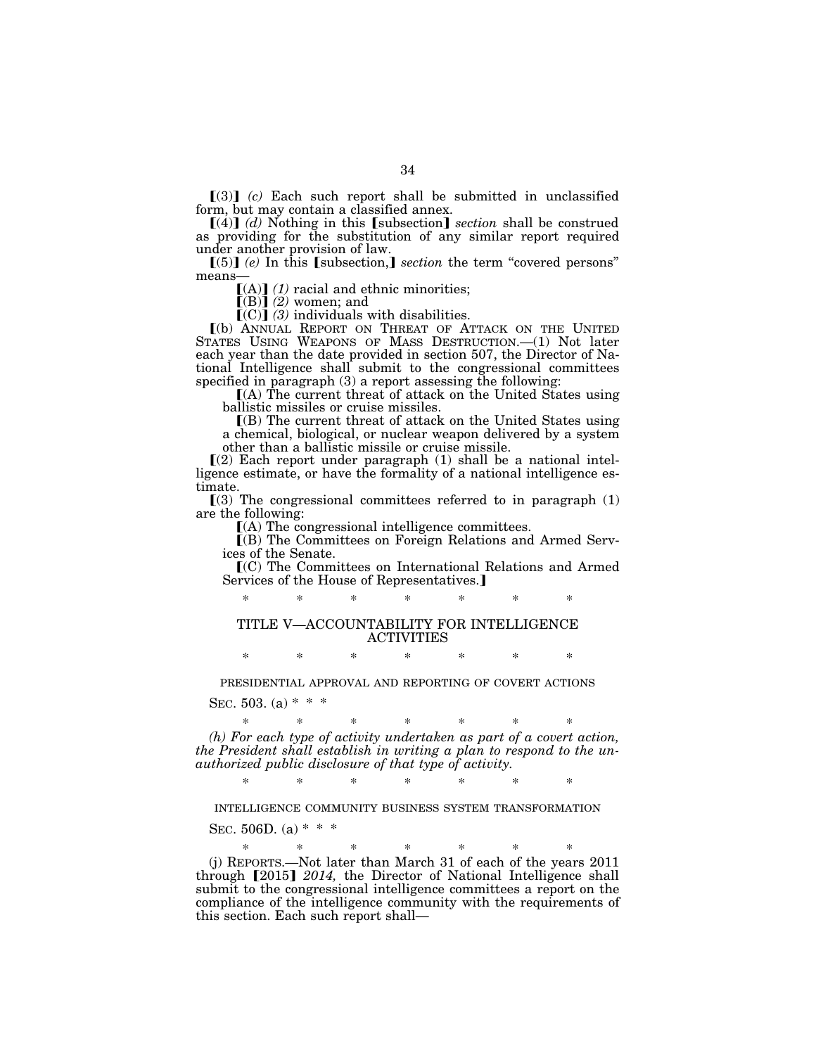$\lceil(3)\rceil$  *(c)* Each such report shall be submitted in unclassified form, but may contain a classified annex.

 $[(4)]$   $(d)$  Nothing in this [subsection] *section* shall be construed as providing for the substitution of any similar report required under another provision of law.

 $\llbracket (5) \rrbracket$  *(e)* In this [subsection,] *section* the term "covered persons" means—

 $[(A)]$   $(1)$  racial and ethnic minorities;

 $\llbracket$ (B) $\rrbracket$  (2) women; and

 $(C)$  (3) individuals with disabilities.

ø(b) ANNUAL REPORT ON THREAT OF ATTACK ON THE UNITED STATES USING WEAPONS OF MASS DESTRUCTION.—(1) Not later each year than the date provided in section 507, the Director of National Intelligence shall submit to the congressional committees specified in paragraph (3) a report assessing the following:

 $(A)$  The current threat of attack on the United States using ballistic missiles or cruise missiles.

 $($ B) The current threat of attack on the United States using a chemical, biological, or nuclear weapon delivered by a system other than a ballistic missile or cruise missile.

 $(2)$  Each report under paragraph  $(1)$  shall be a national intelligence estimate, or have the formality of a national intelligence estimate.

 $(3)$  The congressional committees referred to in paragraph  $(1)$ are the following:

 $(A)$  The congressional intelligence committees.

ø(B) The Committees on Foreign Relations and Armed Services of the Senate.

ø(C) The Committees on International Relations and Armed Services of the House of Representatives.

# \* \* \* \* \* \* \* TITLE V—ACCOUNTABILITY FOR INTELLIGENCE

#### ACTIVITIES

\* \* \* \* \* \* \*

## PRESIDENTIAL APPROVAL AND REPORTING OF COVERT ACTIONS

SEC. 503. (a)  $* * *$ 

\* \* \* \* \* \* \* *(h) For each type of activity undertaken as part of a covert action, the President shall establish in writing a plan to respond to the unauthorized public disclosure of that type of activity.* 

\* \* \* \* \* \* \*

INTELLIGENCE COMMUNITY BUSINESS SYSTEM TRANSFORMATION

SEC. 506D. (a)  $* * *$ 

this section. Each such report shall—

\* \* \* \* \* \* \* (j) REPORTS.—Not later than March 31 of each of the years 2011 through [2015] 2014, the Director of National Intelligence shall submit to the congressional intelligence committees a report on the compliance of the intelligence community with the requirements of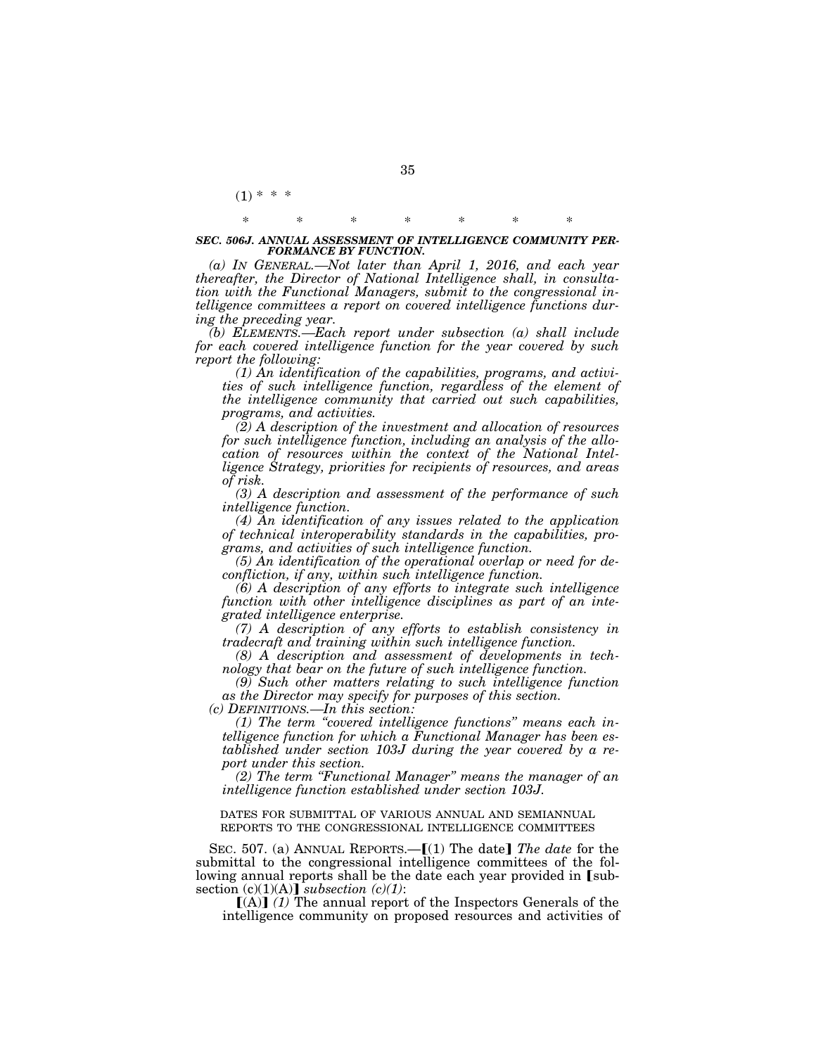## \* \* \* \* \* \* \* *SEC. 506J. ANNUAL ASSESSMENT OF INTELLIGENCE COMMUNITY PER-FORMANCE BY FUNCTION.*

*(a) IN GENERAL.—Not later than April 1, 2016, and each year thereafter, the Director of National Intelligence shall, in consultation with the Functional Managers, submit to the congressional intelligence committees a report on covered intelligence functions during the preceding year.* 

*(b) ELEMENTS.—Each report under subsection (a) shall include for each covered intelligence function for the year covered by such report the following:* 

*(1) An identification of the capabilities, programs, and activities of such intelligence function, regardless of the element of the intelligence community that carried out such capabilities, programs, and activities.* 

*(2) A description of the investment and allocation of resources for such intelligence function, including an analysis of the allocation of resources within the context of the National Intelligence Strategy, priorities for recipients of resources, and areas of risk.* 

*(3) A description and assessment of the performance of such intelligence function.* 

*(4) An identification of any issues related to the application of technical interoperability standards in the capabilities, programs, and activities of such intelligence function.* 

*(5) An identification of the operational overlap or need for deconfliction, if any, within such intelligence function.* 

*(6) A description of any efforts to integrate such intelligence function with other intelligence disciplines as part of an integrated intelligence enterprise.* 

*(7) A description of any efforts to establish consistency in tradecraft and training within such intelligence function.* 

*(8) A description and assessment of developments in technology that bear on the future of such intelligence function.* 

*(9) Such other matters relating to such intelligence function as the Director may specify for purposes of this section. (c) DEFINITIONS.—In this section:* 

*(1) The term ''covered intelligence functions'' means each intelligence function for which a Functional Manager has been established under section 103J during the year covered by a report under this section.* 

*(2) The term ''Functional Manager'' means the manager of an intelligence function established under section 103J.* 

DATES FOR SUBMITTAL OF VARIOUS ANNUAL AND SEMIANNUAL REPORTS TO THE CONGRESSIONAL INTELLIGENCE COMMITTEES

SEC. 507. (a) ANNUAL REPORTS.—[(1) The date] The date for the submittal to the congressional intelligence committees of the following annual reports shall be the date each year provided in [subsection  $(c)(1)(A)$  *subsection*  $(c)(1)$ :

 $[(A)]$  (1) The annual report of the Inspectors Generals of the intelligence community on proposed resources and activities of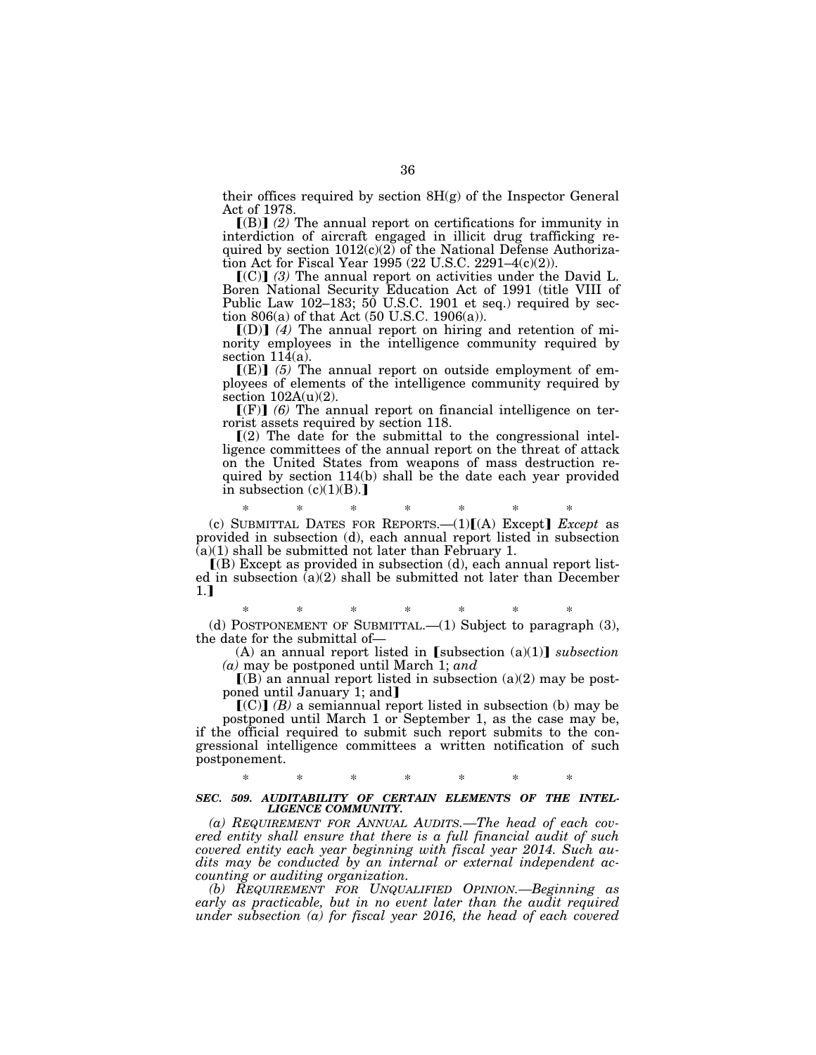their offices required by section  $8H(g)$  of the Inspector General Act of 1978.

[(B)] (2) The annual report on certifications for immunity in interdiction of aircraft engaged in illicit drug trafficking required by section  $1012(c)(2)$  of the National Defense Authorization Act for Fiscal Year 1995 (22 U.S.C. 2291–4(c)(2)).

 $[(C)]$  (3) The annual report on activities under the David L. Boren National Security Education Act of 1991 (title VIII of Public Law 102–183; 50 U.S.C. 1901 et seq.) required by section 806(a) of that Act (50 U.S.C. 1906(a)).

 $\lbrack$ (D) $\rbrack$  *(4)* The annual report on hiring and retention of minority employees in the intelligence community required by section 114(a).

 $[(E)]$  (5) The annual report on outside employment of employees of elements of the intelligence community required by section  $102A(u)(2)$ .

 $\llbracket$ (F) $\rrbracket$  (6) The annual report on financial intelligence on terrorist assets required by section 118.

 $(2)$  The date for the submittal to the congressional intelligence committees of the annual report on the threat of attack on the United States from weapons of mass destruction required by section 114(b) shall be the date each year provided in subsection  $(c)(1)(B)$ .]

\* \* \* \* \* \* \* (c) SUBMITTAL DATES FOR REPORTS. $-(1)[(A)$  Except] *Except* as provided in subsection (d), each annual report listed in subsection  $(a)(1)$  shall be submitted not later than February 1.

 $(6)$  Except as provided in subsection (d), each annual report listed in subsection (a)(2) shall be submitted not later than December  $1.1$ 

\* \* \* \* \* \* \* (d) POSTPONEMENT OF SUBMITTAL.— $(1)$  Subject to paragraph  $(3)$ , the date for the submittal of—

(A) an annual report listed in  $[subsection (a)(1)]$  *subsection (a)* may be postponed until March 1; *and* 

 $(R)$  an annual report listed in subsection (a)(2) may be postponed until January 1; and

 $\left[\text{(C)}\right]$  *(B)* a semiannual report listed in subsection (b) may be postponed until March 1 or September 1, as the case may be, if the official required to submit such report submits to the congressional intelligence committees a written notification of such postponement.

## \* \* \* \* \* \* \* *SEC. 509. AUDITABILITY OF CERTAIN ELEMENTS OF THE INTEL-LIGENCE COMMUNITY.*

*(a) REQUIREMENT FOR ANNUAL AUDITS.—The head of each covered entity shall ensure that there is a full financial audit of such covered entity each year beginning with fiscal year 2014. Such audits may be conducted by an internal or external independent accounting or auditing organization.* 

*(b) REQUIREMENT FOR UNQUALIFIED OPINION.—Beginning as early as practicable, but in no event later than the audit required under subsection (a) for fiscal year 2016, the head of each covered*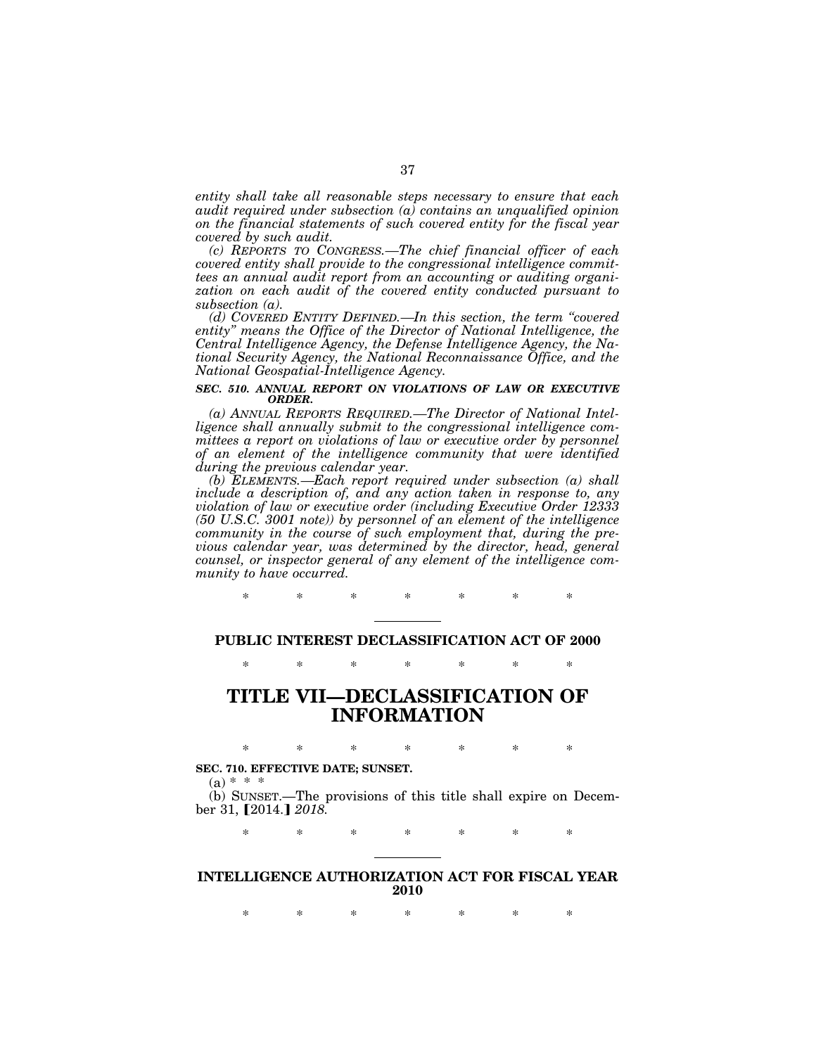*entity shall take all reasonable steps necessary to ensure that each audit required under subsection (a) contains an unqualified opinion on the financial statements of such covered entity for the fiscal year covered by such audit.* 

*(c) REPORTS TO CONGRESS.—The chief financial officer of each covered entity shall provide to the congressional intelligence committees an annual audit report from an accounting or auditing organization on each audit of the covered entity conducted pursuant to subsection (a).* 

*(d) COVERED ENTITY DEFINED.—In this section, the term ''covered entity'' means the Office of the Director of National Intelligence, the Central Intelligence Agency, the Defense Intelligence Agency, the National Security Agency, the National Reconnaissance Office, and the National Geospatial-Intelligence Agency.* 

## *SEC. 510. ANNUAL REPORT ON VIOLATIONS OF LAW OR EXECUTIVE ORDER.*

*(a) ANNUAL REPORTS REQUIRED.—The Director of National Intelligence shall annually submit to the congressional intelligence committees a report on violations of law or executive order by personnel of an element of the intelligence community that were identified during the previous calendar year.* 

*(b) ELEMENTS.—Each report required under subsection (a) shall include a description of, and any action taken in response to, any violation of law or executive order (including Executive Order 12333 (50 U.S.C. 3001 note)) by personnel of an element of the intelligence community in the course of such employment that, during the previous calendar year, was determined by the director, head, general counsel, or inspector general of any element of the intelligence community to have occurred.* 

**PUBLIC INTEREST DECLASSIFICATION ACT OF 2000** 

\* \* \* \* \* \* \*

\* \* \* \* \* \* \*

# **TITLE VII—DECLASSIFICATION OF INFORMATION**

\* \* \* \* \* \* \* **SEC. 710. EFFECTIVE DATE; SUNSET.** 

 $(a) * * +$ 

(b) SUNSET.—The provisions of this title shall expire on December 31, [2014.] 2018.

\* \* \* \* \* \* \*

## **INTELLIGENCE AUTHORIZATION ACT FOR FISCAL YEAR 2010**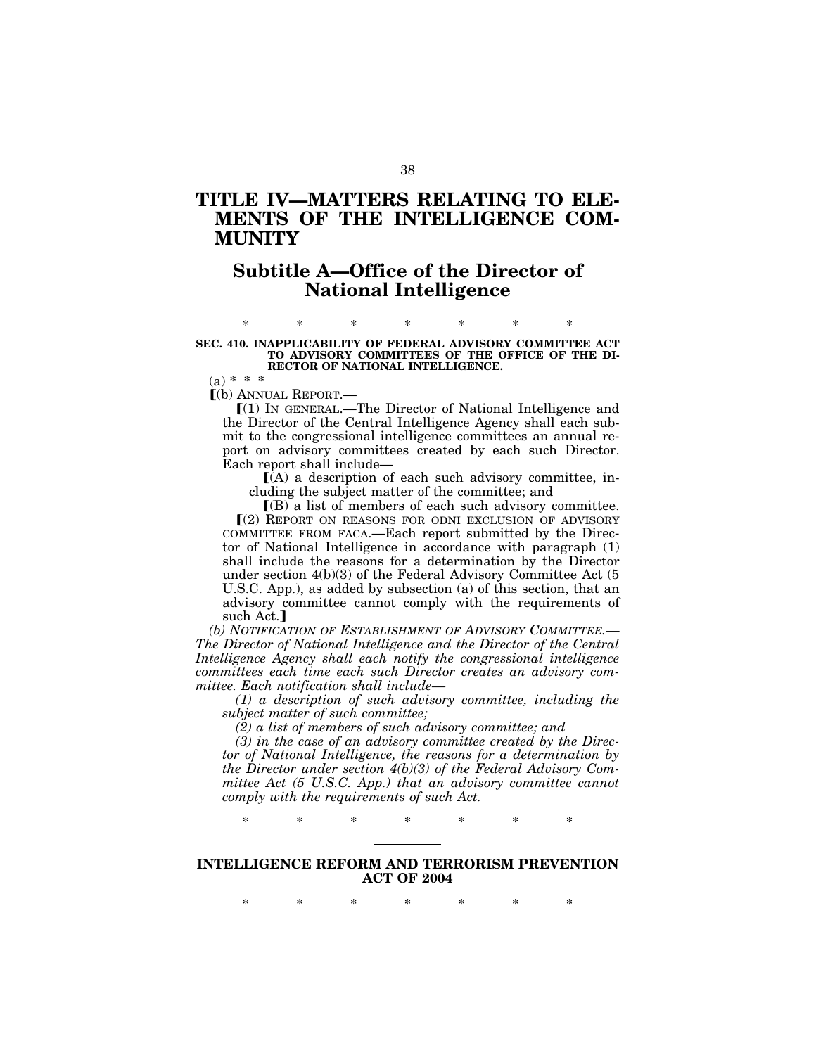# **TITLE IV—MATTERS RELATING TO ELE-MENTS OF THE INTELLIGENCE COM-MUNITY**

# **Subtitle A—Office of the Director of National Intelligence**

## \* \* \* \* \* \* \* **SEC. 410. INAPPLICABILITY OF FEDERAL ADVISORY COMMITTEE ACT TO ADVISORY COMMITTEES OF THE OFFICE OF THE DI-RECTOR OF NATIONAL INTELLIGENCE.**

 $(a) * * *$ 

ø(b) ANNUAL REPORT.—

ø(1) IN GENERAL.—The Director of National Intelligence and the Director of the Central Intelligence Agency shall each submit to the congressional intelligence committees an annual report on advisory committees created by each such Director. Each report shall include—

 $(A)$  a description of each such advisory committee, including the subject matter of the committee; and

 $I(B)$  a list of members of each such advisory committee. ø(2) REPORT ON REASONS FOR ODNI EXCLUSION OF ADVISORY COMMITTEE FROM FACA.—Each report submitted by the Director of National Intelligence in accordance with paragraph (1) shall include the reasons for a determination by the Director under section 4(b)(3) of the Federal Advisory Committee Act (5 U.S.C. App.), as added by subsection (a) of this section, that an advisory committee cannot comply with the requirements of such Act.]

*(b) NOTIFICATION OF ESTABLISHMENT OF ADVISORY COMMITTEE.— The Director of National Intelligence and the Director of the Central Intelligence Agency shall each notify the congressional intelligence committees each time each such Director creates an advisory committee. Each notification shall include—* 

*(1) a description of such advisory committee, including the subject matter of such committee;* 

*(2) a list of members of such advisory committee; and* 

*(3) in the case of an advisory committee created by the Director of National Intelligence, the reasons for a determination by the Director under section 4(b)(3) of the Federal Advisory Committee Act (5 U.S.C. App.) that an advisory committee cannot comply with the requirements of such Act.* 

\* \* \* \* \* \* \*

## **INTELLIGENCE REFORM AND TERRORISM PREVENTION ACT OF 2004**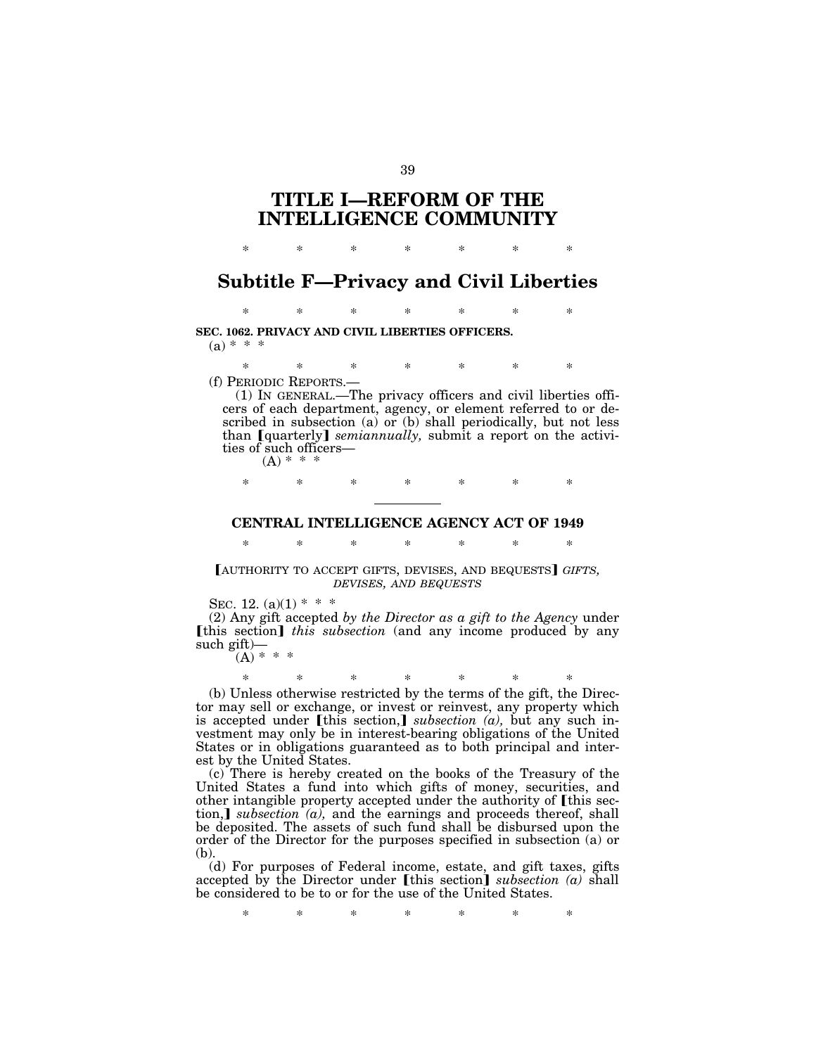# **TITLE I—REFORM OF THE INTELLIGENCE COMMUNITY**

# **Subtitle F—Privacy and Civil Liberties**

\* \* \* \* \* \* \*

\* \* \* \* \* \* \*

**SEC. 1062. PRIVACY AND CIVIL LIBERTIES OFFICERS.**   $(a) * * * *$ 

\* \* \* \* \* \* \*

(f) PERIODIC REPORTS.—

(1) IN GENERAL.—The privacy officers and civil liberties officers of each department, agency, or element referred to or described in subsection (a) or (b) shall periodically, but not less than [quarterly] *semiannually*, submit a report on the activities of such officers—

 $(A) * * *$ 

\* \* \* \* \* \* \*

## **CENTRAL INTELLIGENCE AGENCY ACT OF 1949**

\* \* \* \* \* \* \*

[AUTHORITY TO ACCEPT GIFTS, DEVISES, AND BEQUESTS] GIFTS, *DEVISES, AND BEQUESTS*

SEC. 12.  $(a)(1)$  \* \* \*

(2) Any gift accepted *by the Director as a gift to the Agency* under **[this section]** *this subsection* (and any income produced by any such gift)—  $(A)$  \* \*

\* \* \* \* \* \* \* (b) Unless otherwise restricted by the terms of the gift, the Director may sell or exchange, or invest or reinvest, any property which is accepted under [this section,] *subsection (a)*, but any such investment may only be in interest-bearing obligations of the United States or in obligations guaranteed as to both principal and interest by the United States.

(c) There is hereby created on the books of the Treasury of the United States a fund into which gifts of money, securities, and other intangible property accepted under the authority of [this section,] *subsection*  $(a)$ , and the earnings and proceeds thereof, shall be deposited. The assets of such fund shall be disbursed upon the order of the Director for the purposes specified in subsection (a) or (b).

(d) For purposes of Federal income, estate, and gift taxes, gifts accepted by the Director under [this section] *subsection (a)* shall be considered to be to or for the use of the United States.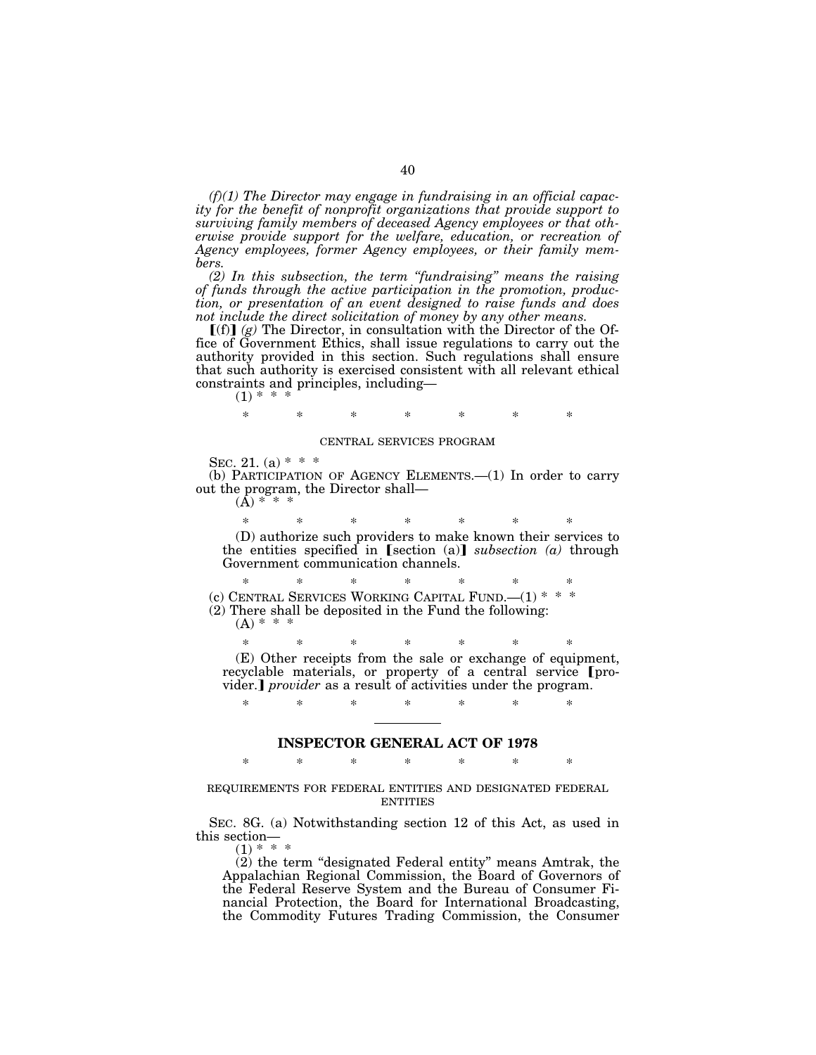*(f)(1) The Director may engage in fundraising in an official capacity for the benefit of nonprofit organizations that provide support to surviving family members of deceased Agency employees or that otherwise provide support for the welfare, education, or recreation of Agency employees, former Agency employees, or their family members.* 

*(2) In this subsection, the term ''fundraising'' means the raising of funds through the active participation in the promotion, production, or presentation of an event designed to raise funds and does not include the direct solicitation of money by any other means.* 

 $[(f)]$  (g) The Director, in consultation with the Director of the Office of Government Ethics, shall issue regulations to carry out the authority provided in this section. Such regulations shall ensure that such authority is exercised consistent with all relevant ethical constraints and principles, including—

 $(1) * *$ 

\* \* \* \* \* \* \*

#### CENTRAL SERVICES PROGRAM

SEC. 21. (a)  $* * *$ 

(b) PARTICIPATION OF AGENCY ELEMENTS.—(1) In order to carry out the program, the Director shall—  $(A) *$ 

\* \* \* \* \* \* \* (D) authorize such providers to make known their services to the entities specified in [section (a)] *subsection* (a) through Government communication channels.

\* \* \* \* \* \* \* (c) CENTRAL SERVICES WORKING CAPITAL FUND.—(1) \* \* \* (2) There shall be deposited in the Fund the following:

 $(A) * * *$ 

\* \* \* \* \* \* \*

(E) Other receipts from the sale or exchange of equipment, recyclable materials, or property of a central service [provider.] *provider* as a result of activities under the program.

# **INSPECTOR GENERAL ACT OF 1978**  \* \* \* \* \* \* \*

\* \* \* \* \* \* \*

#### REQUIREMENTS FOR FEDERAL ENTITIES AND DESIGNATED FEDERAL **ENTITIES**

SEC. 8G. (a) Notwithstanding section 12 of this Act, as used in this section—  $(1) * * *$ 

(2) the term ''designated Federal entity'' means Amtrak, the Appalachian Regional Commission, the Board of Governors of the Federal Reserve System and the Bureau of Consumer Financial Protection, the Board for International Broadcasting, the Commodity Futures Trading Commission, the Consumer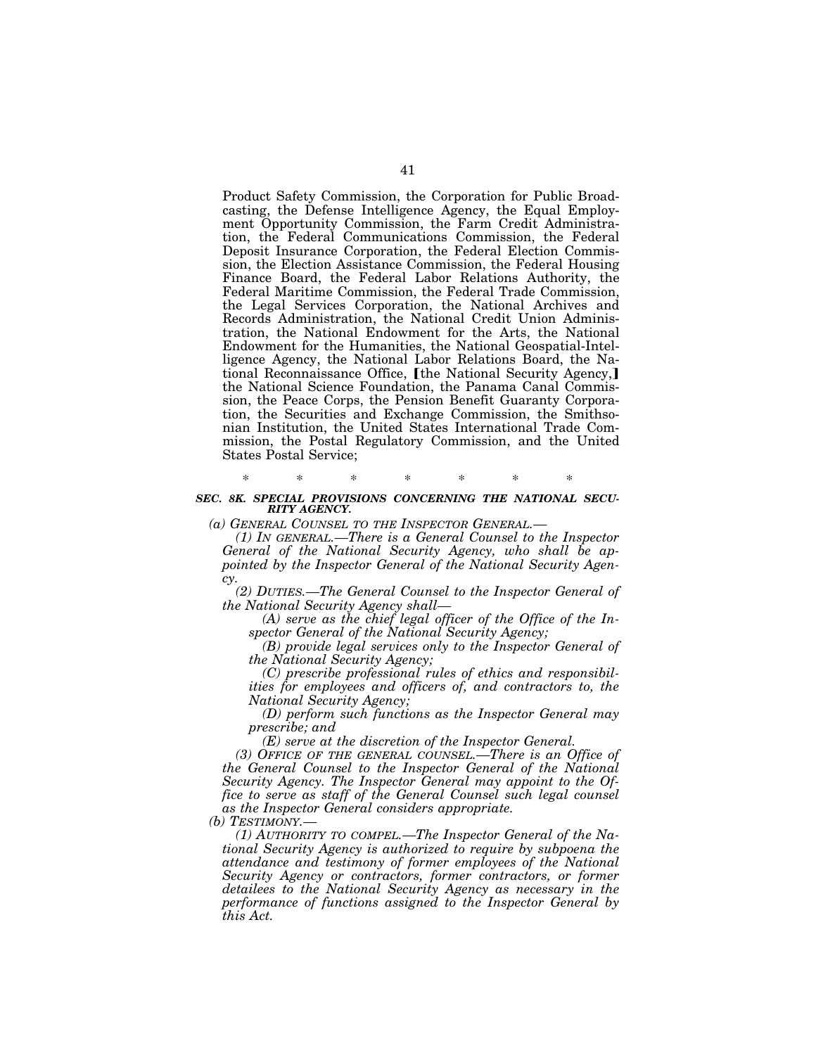Product Safety Commission, the Corporation for Public Broadcasting, the Defense Intelligence Agency, the Equal Employment Opportunity Commission, the Farm Credit Administration, the Federal Communications Commission, the Federal Deposit Insurance Corporation, the Federal Election Commission, the Election Assistance Commission, the Federal Housing Finance Board, the Federal Labor Relations Authority, the Federal Maritime Commission, the Federal Trade Commission, the Legal Services Corporation, the National Archives and Records Administration, the National Credit Union Administration, the National Endowment for the Arts, the National Endowment for the Humanities, the National Geospatial-Intelligence Agency, the National Labor Relations Board, the National Reconnaissance Office, [the National Security Agency,] the National Science Foundation, the Panama Canal Commission, the Peace Corps, the Pension Benefit Guaranty Corporation, the Securities and Exchange Commission, the Smithsonian Institution, the United States International Trade Commission, the Postal Regulatory Commission, and the United States Postal Service;

## \* \* \* \* \* \* \* *SEC. 8K. SPECIAL PROVISIONS CONCERNING THE NATIONAL SECU-RITY AGENCY.*

*(a) GENERAL COUNSEL TO THE INSPECTOR GENERAL.—* 

*(1) IN GENERAL.—There is a General Counsel to the Inspector General of the National Security Agency, who shall be appointed by the Inspector General of the National Security Agency.* 

*(2) DUTIES.—The General Counsel to the Inspector General of the National Security Agency shall—* 

*(A) serve as the chief legal officer of the Office of the Inspector General of the National Security Agency;* 

*(B) provide legal services only to the Inspector General of the National Security Agency;* 

*(C) prescribe professional rules of ethics and responsibilities for employees and officers of, and contractors to, the National Security Agency;* 

*(D) perform such functions as the Inspector General may prescribe; and* 

*(E) serve at the discretion of the Inspector General.* 

*(3) OFFICE OF THE GENERAL COUNSEL.—There is an Office of the General Counsel to the Inspector General of the National Security Agency. The Inspector General may appoint to the Office to serve as staff of the General Counsel such legal counsel as the Inspector General considers appropriate.* 

*(b) TESTIMONY.—* 

*(1) AUTHORITY TO COMPEL.—The Inspector General of the National Security Agency is authorized to require by subpoena the attendance and testimony of former employees of the National Security Agency or contractors, former contractors, or former detailees to the National Security Agency as necessary in the performance of functions assigned to the Inspector General by this Act.*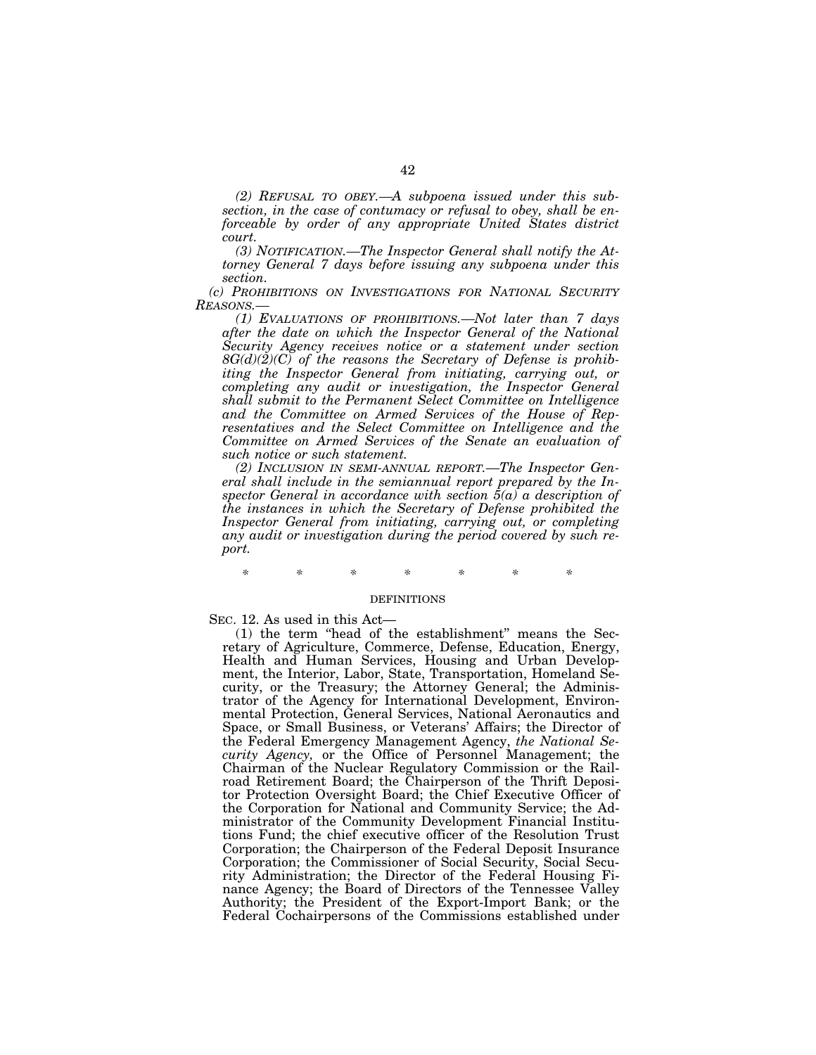*(2) REFUSAL TO OBEY.—A subpoena issued under this subsection, in the case of contumacy or refusal to obey, shall be enforceable by order of any appropriate United States district court.* 

*(3) NOTIFICATION.—The Inspector General shall notify the Attorney General 7 days before issuing any subpoena under this section.* 

*(c) PROHIBITIONS ON INVESTIGATIONS FOR NATIONAL SECURITY REASONS.—* 

*(1) EVALUATIONS OF PROHIBITIONS.—Not later than 7 days after the date on which the Inspector General of the National Security Agency receives notice or a statement under section 8G(d)(2)(C) of the reasons the Secretary of Defense is prohib*iting the Inspector General from initiating, carrying out, or *completing any audit or investigation, the Inspector General shall submit to the Permanent Select Committee on Intelligence and the Committee on Armed Services of the House of Representatives and the Select Committee on Intelligence and the Committee on Armed Services of the Senate an evaluation of such notice or such statement.* 

*(2) INCLUSION IN SEMI-ANNUAL REPORT.—The Inspector General shall include in the semiannual report prepared by the Inspector General in accordance with section 5(a) a description of the instances in which the Secretary of Defense prohibited the Inspector General from initiating, carrying out, or completing any audit or investigation during the period covered by such report.* 

*\* \* \* \* \* \* \** 

#### **DEFINITIONS**

SEC. 12. As used in this Act—

(1) the term ''head of the establishment'' means the Secretary of Agriculture, Commerce, Defense, Education, Energy, Health and Human Services, Housing and Urban Development, the Interior, Labor, State, Transportation, Homeland Security, or the Treasury; the Attorney General; the Administrator of the Agency for International Development, Environmental Protection, General Services, National Aeronautics and Space, or Small Business, or Veterans' Affairs; the Director of the Federal Emergency Management Agency, *the National Security Agency,* or the Office of Personnel Management; the Chairman of the Nuclear Regulatory Commission or the Railroad Retirement Board; the Chairperson of the Thrift Depositor Protection Oversight Board; the Chief Executive Officer of the Corporation for National and Community Service; the Administrator of the Community Development Financial Institutions Fund; the chief executive officer of the Resolution Trust Corporation; the Chairperson of the Federal Deposit Insurance Corporation; the Commissioner of Social Security, Social Security Administration; the Director of the Federal Housing Finance Agency; the Board of Directors of the Tennessee Valley Authority; the President of the Export-Import Bank; or the Federal Cochairpersons of the Commissions established under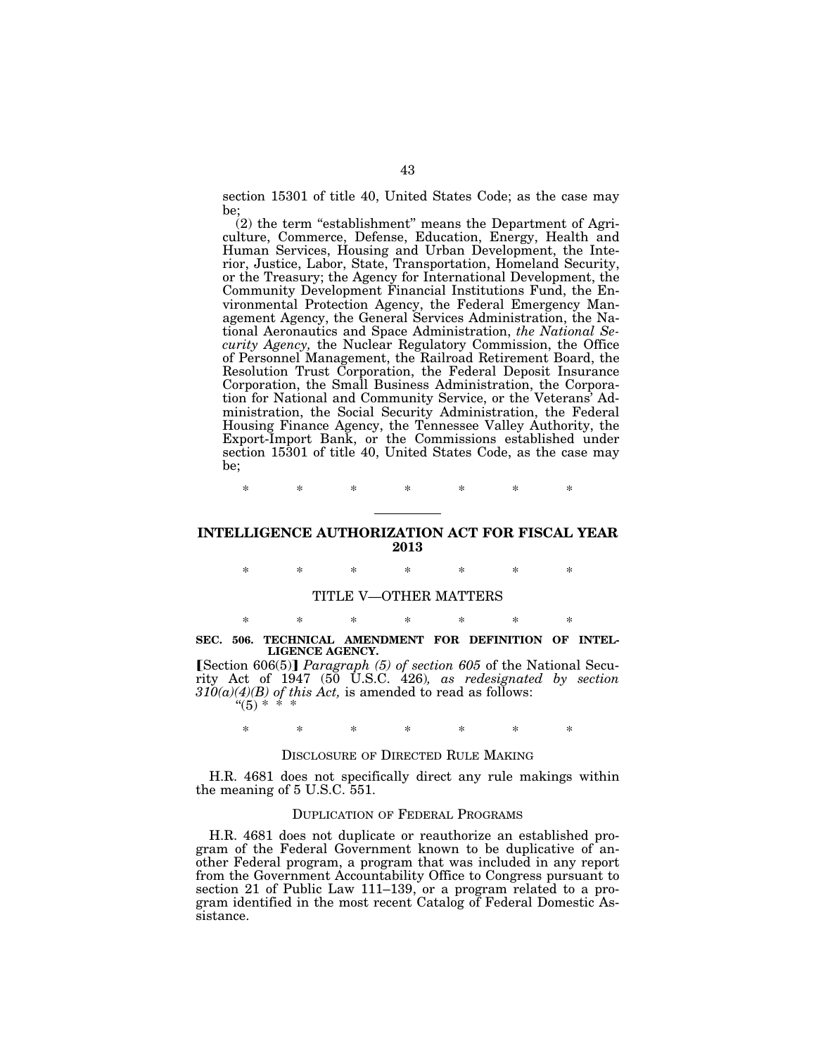section 15301 of title 40, United States Code; as the case may be;

 $(2)$  the term "establishment" means the Department of Agriculture, Commerce, Defense, Education, Energy, Health and Human Services, Housing and Urban Development, the Interior, Justice, Labor, State, Transportation, Homeland Security, or the Treasury; the Agency for International Development, the Community Development Financial Institutions Fund, the Environmental Protection Agency, the Federal Emergency Management Agency, the General Services Administration, the National Aeronautics and Space Administration, *the National Security Agency,* the Nuclear Regulatory Commission, the Office of Personnel Management, the Railroad Retirement Board, the Resolution Trust Corporation, the Federal Deposit Insurance Corporation, the Small Business Administration, the Corporation for National and Community Service, or the Veterans' Administration, the Social Security Administration, the Federal Housing Finance Agency, the Tennessee Valley Authority, the Export-Import Bank, or the Commissions established under section 15301 of title 40, United States Code, as the case may be;

\* \* \* \* \* \* \*

## **INTELLIGENCE AUTHORIZATION ACT FOR FISCAL YEAR 2013**

\* \* \* \* \* \* \*

#### TITLE V—OTHER MATTERS

## \* \* \* \* \* \* \* **SEC. 506. TECHNICAL AMENDMENT FOR DEFINITION OF INTEL-LIGENCE AGENCY.**

**[Section 606(5)]** *Paragraph (5) of section 605* of the National Security Act of 1947 (50 U.S.C. 426)*, as redesignated by section 310(a)(4)(B) of this Act,* is amended to read as follows:  $(5) * *$ 

## \* \* \* \* \* \* \*

#### DISCLOSURE OF DIRECTED RULE MAKING

H.R. 4681 does not specifically direct any rule makings within the meaning of 5 U.S.C. 551.

#### DUPLICATION OF FEDERAL PROGRAMS

H.R. 4681 does not duplicate or reauthorize an established program of the Federal Government known to be duplicative of another Federal program, a program that was included in any report from the Government Accountability Office to Congress pursuant to section 21 of Public Law 111–139, or a program related to a program identified in the most recent Catalog of Federal Domestic Assistance.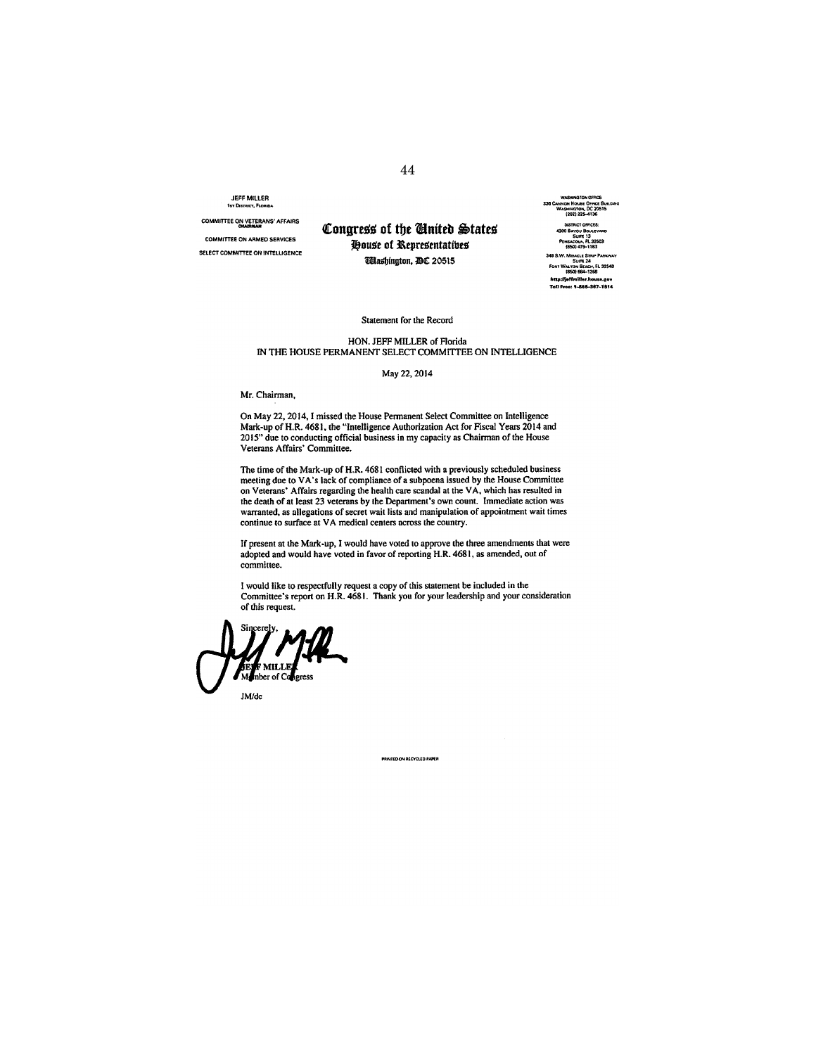JEFF MILLER **1STDlsTRlCT,FloRd)A** 

**COMMrrrEE ON VETERANS' AFFAIRS** ...........

**COMMITTEE ON ARMED SERVICES SELECT COMMITTEE ON INTELUGENCE** 

## Congress of the **United States Pouse of Representatives Wlashington, DC 20515**

**WI\9IINGTONOFfICE: 336 CANNON HOUH OFFICE BuILDING WASHlH41'ON. DC 20515 (202)225-4136 4300 BAYOU BOULEVARD SUf'lt13**  Pensacola, FL 32503 **(850)419-1183**  348 S.W. Miracle Strip Parkway Suite 24 **foRT WN..'fUH SUCH, Fl nS48 1850)684-1266**  http://joffmil.or.house.gov **Ton hoe:** *,,,,\$-H1.18'"* 

#### Statement for the Record

#### HON. JEFF MILLER of Florida IN THE HOUSE PERMANENT SELECT COMMITTEE ON INTELLIGENCE

#### May 22, 2014

Mr. Chairman,

On May 22, 2014, I missed the House Pennanent Select Committee on Intelligence Mark-up of H.R. 4681, the "Intelligence Authorization Act for Fiscal Years 2014 and 2015" due to conducting official business in my capacity as Chairman of the House Veterans Affairs' Committee.

The time of the Mark-up of H.R. 4681 conflicted with a previously scheduled business<br>meeting due to VA's lack of compliance of a subpoena issued by the House Committee<br>on Veterans' Affairs regarding the health care scandal the death of at least 23 veterans by the Department's own coun!. Immediate action was warranted, as allegations of secret wait lists and manipulation of appointment wait times continue to surface at VA medical centers across the country.

If present at the Mark-up, I would have voted to approve the three amendments that were adopted and would have voted in favor of reporting H.R. 4681, as amended, out of committee.

I would like to respectfully request a copy of this statement be included in the Committee's report on H.R. 4681. Thank you for your leadership and your consideration

.<br>VIED ON RECYCLED PAPER

of this request.<br>Sincerely,  $\mathcal{M}$ - $\mathcal{M}$ **Expanding Contract Services F** MILLE<br>nber of Ca JMldc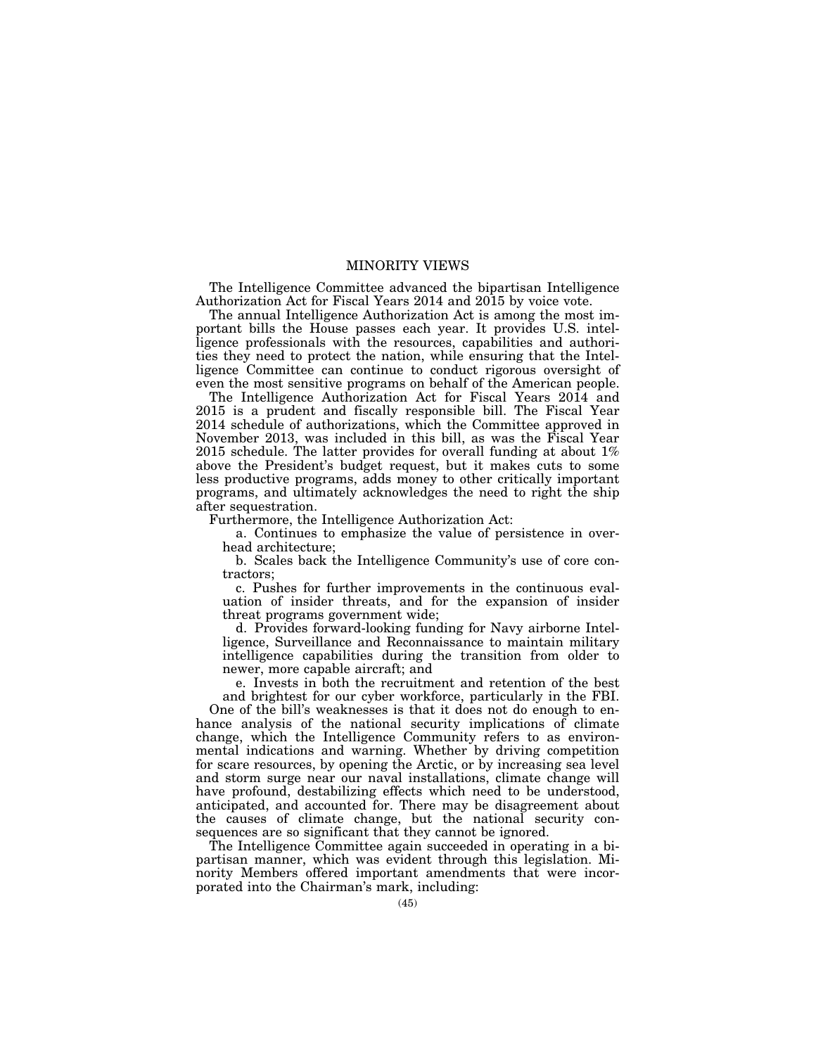## MINORITY VIEWS

The Intelligence Committee advanced the bipartisan Intelligence Authorization Act for Fiscal Years 2014 and 2015 by voice vote.

The annual Intelligence Authorization Act is among the most important bills the House passes each year. It provides U.S. intelligence professionals with the resources, capabilities and authorities they need to protect the nation, while ensuring that the Intelligence Committee can continue to conduct rigorous oversight of even the most sensitive programs on behalf of the American people.

The Intelligence Authorization Act for Fiscal Years 2014 and 2015 is a prudent and fiscally responsible bill. The Fiscal Year 2014 schedule of authorizations, which the Committee approved in November 2013, was included in this bill, as was the Fiscal Year 2015 schedule. The latter provides for overall funding at about 1% above the President's budget request, but it makes cuts to some less productive programs, adds money to other critically important programs, and ultimately acknowledges the need to right the ship after sequestration.

Furthermore, the Intelligence Authorization Act:

a. Continues to emphasize the value of persistence in overhead architecture;

b. Scales back the Intelligence Community's use of core contractors;

c. Pushes for further improvements in the continuous evaluation of insider threats, and for the expansion of insider threat programs government wide;

d. Provides forward-looking funding for Navy airborne Intelligence, Surveillance and Reconnaissance to maintain military intelligence capabilities during the transition from older to newer, more capable aircraft; and

e. Invests in both the recruitment and retention of the best and brightest for our cyber workforce, particularly in the FBI.

One of the bill's weaknesses is that it does not do enough to enhance analysis of the national security implications of climate change, which the Intelligence Community refers to as environmental indications and warning. Whether by driving competition for scare resources, by opening the Arctic, or by increasing sea level and storm surge near our naval installations, climate change will have profound, destabilizing effects which need to be understood, anticipated, and accounted for. There may be disagreement about the causes of climate change, but the national security consequences are so significant that they cannot be ignored.

The Intelligence Committee again succeeded in operating in a bipartisan manner, which was evident through this legislation. Minority Members offered important amendments that were incorporated into the Chairman's mark, including: